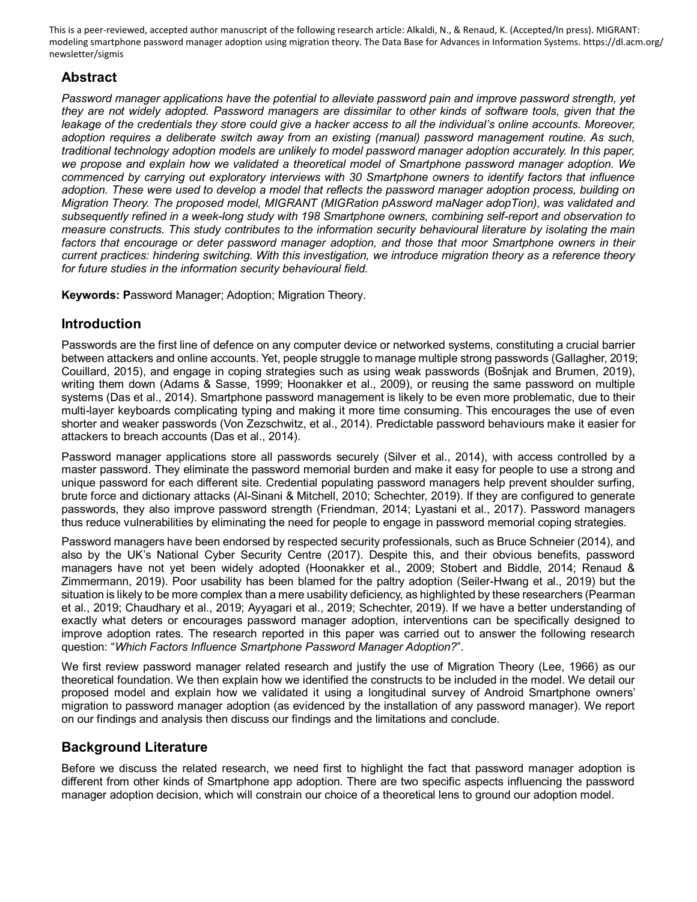This is a peer-reviewed, accepted author manuscript of the following research article: Alkaldi, N., & Renaud, K. (Accepted/In press). MIGRANT: modeling smartphone password manager adoption using migration theory. The Data Base for Advances in Information Systems. https://dl.acm.org/ newsletter/sigmis

# **Abstract**

*Password manager applications have the potential to alleviate password pain and improve password strength, yet they are not widely adopted. Password managers are dissimilar to other kinds of software tools, given that the*  leakage of the credentials they store could give a hacker access to all the individual's online accounts. Moreover, *adoption requires a deliberate switch away from an existing (manual) password management routine. As such, traditional technology adoption models are unlikely to model password manager adoption accurately. In this paper, we propose and explain how we validated a theoretical model of Smartphone password manager adoption. We commenced by carrying out exploratory interviews with 30 Smartphone owners to identify factors that influence adoption. These were used to develop a model that reflects the password manager adoption process, building on Migration Theory. The proposed model, MIGRANT (MIGRation pAssword maNager adopTion), was validated and subsequently refined in a week-long study with 198 Smartphone owners, combining self-report and observation to measure constructs. This study contributes to the information security behavioural literature by isolating the main factors that encourage or deter password manager adoption, and those that moor Smartphone owners in their current practices: hindering switching. With this investigation, we introduce migration theory as a reference theory for future studies in the information security behavioural field.* 

**Keywords: P**assword Manager; Adoption; Migration Theory.

# **Introduction**

Passwords are the first line of defence on any computer device or networked systems, constituting a crucial barrier between attackers and online accounts. Yet, people struggle to manage multiple strong passwords (Gallagher, 2019; Couillard, 2015), and engage in coping strategies such as using weak passwords (Bošnjak and Brumen, 2019), writing them down (Adams & Sasse, 1999; Hoonakker et al., 2009), or reusing the same password on multiple systems (Das et al., 2014). Smartphone password management is likely to be even more problematic, due to their multi-layer keyboards complicating typing and making it more time consuming. This encourages the use of even shorter and weaker passwords (Von Zezschwitz, et al., 2014). Predictable password behaviours make it easier for attackers to breach accounts (Das et al., 2014).

Password manager applications store all passwords securely (Silver et al., 2014), with access controlled by a master password. They eliminate the password memorial burden and make it easy for people to use a strong and unique password for each different site. Credential populating password managers help prevent shoulder surfing, brute force and dictionary attacks (Al-Sinani & Mitchell, 2010; Schechter, 2019). If they are configured to generate passwords, they also improve password strength (Friendman, 2014; Lyastani et al., 2017). Password managers thus reduce vulnerabilities by eliminating the need for people to engage in password memorial coping strategies.

Password managers have been endorsed by respected security professionals, such as Bruce Schneier (2014), and also by the UK's National Cyber Security Centre (2017). Despite this, and their obvious benefits, password managers have not yet been widely adopted (Hoonakker et al., 2009; Stobert and Biddle, 2014; Renaud & Zimmermann, 2019). Poor usability has been blamed for the paltry adoption (Seiler-Hwang et al., 2019) but the situation is likely to be more complex than a mere usability deficiency, as highlighted by these researchers (Pearman et al., 2019; Chaudhary et al., 2019; Ayyagari et al., 2019; Schechter, 2019). If we have a better understanding of exactly what deters or encourages password manager adoption, interventions can be specifically designed to improve adoption rates. The research reported in this paper was carried out to answer the following research question: "*Which Factors Influence Smartphone Password Manager Adoption?*".

We first review password manager related research and justify the use of Migration Theory (Lee, 1966) as our theoretical foundation. We then explain how we identified the constructs to be included in the model. We detail our proposed model and explain how we validated it using a longitudinal survey of Android Smartphone owners' migration to password manager adoption (as evidenced by the installation of any password manager). We report on our findings and analysis then discuss our findings and the limitations and conclude.

# **Background Literature**

Before we discuss the related research, we need first to highlight the fact that password manager adoption is different from other kinds of Smartphone app adoption. There are two specific aspects influencing the password manager adoption decision, which will constrain our choice of a theoretical lens to ground our adoption model.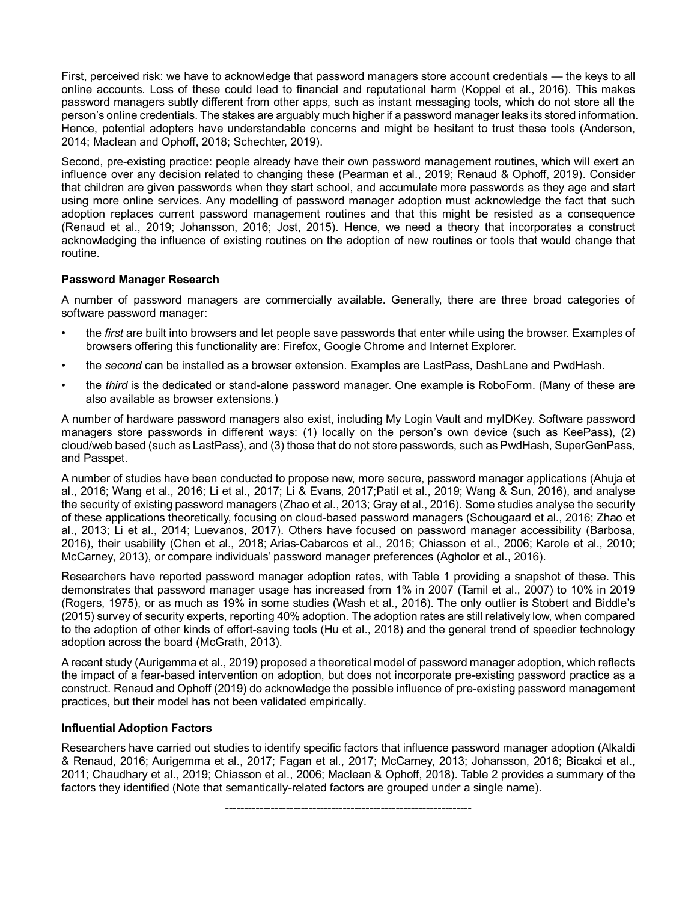First, perceived risk: we have to acknowledge that password managers store account credentials — the keys to all online accounts. Loss of these could lead to financial and reputational harm (Koppel et al., 2016). This makes password managers subtly different from other apps, such as instant messaging tools, which do not store all the person's online credentials. The stakes are arguably much higher if a password manager leaks its stored information. Hence, potential adopters have understandable concerns and might be hesitant to trust these tools (Anderson, 2014; Maclean and Ophoff, 2018; Schechter, 2019).

Second, pre-existing practice: people already have their own password management routines, which will exert an influence over any decision related to changing these (Pearman et al., 2019; Renaud & Ophoff, 2019). Consider that children are given passwords when they start school, and accumulate more passwords as they age and start using more online services. Any modelling of password manager adoption must acknowledge the fact that such adoption replaces current password management routines and that this might be resisted as a consequence (Renaud et al., 2019; Johansson, 2016; Jost, 2015). Hence, we need a theory that incorporates a construct acknowledging the influence of existing routines on the adoption of new routines or tools that would change that routine.

#### **Password Manager Research**

A number of password managers are commercially available. Generally, there are three broad categories of software password manager:

- the *first* are built into browsers and let people save passwords that enter while using the browser. Examples of browsers offering this functionality are: Firefox, Google Chrome and Internet Explorer.
- the *second* can be installed as a browser extension. Examples are LastPass, DashLane and PwdHash.
- the *third* is the dedicated or stand-alone password manager. One example is RoboForm. (Many of these are also available as browser extensions.)

A number of hardware password managers also exist, including My Login Vault and myIDKey. Software password managers store passwords in different ways: (1) locally on the person's own device (such as KeePass), (2) cloud/web based (such as LastPass), and (3) those that do not store passwords, such as PwdHash, SuperGenPass, and Passpet.

A number of studies have been conducted to propose new, more secure, password manager applications (Ahuja et al., 2016; Wang et al., 2016; Li et al., 2017; Li & Evans, 2017;Patil et al., 2019; Wang & Sun, 2016), and analyse the security of existing password managers (Zhao et al., 2013; Gray et al., 2016). Some studies analyse the security of these applications theoretically, focusing on cloud-based password managers (Schougaard et al., 2016; Zhao et al., 2013; Li et al., 2014; Luevanos, 2017). Others have focused on password manager accessibility (Barbosa, 2016), their usability (Chen et al., 2018; Arias-Cabarcos et al., 2016; Chiasson et al., 2006; Karole et al., 2010; McCarney, 2013), or compare individuals' password manager preferences (Agholor et al., 2016).

Researchers have reported password manager adoption rates, with Table 1 providing a snapshot of these. This demonstrates that password manager usage has increased from 1% in 2007 (Tamil et al., 2007) to 10% in 2019 (Rogers, 1975), or as much as 19% in some studies (Wash et al., 2016). The only outlier is Stobert and Biddle's (2015) survey of security experts, reporting 40% adoption. The adoption rates are still relatively low, when compared to the adoption of other kinds of effort-saving tools (Hu et al., 2018) and the general trend of speedier technology adoption across the board (McGrath, 2013).

A recent study (Aurigemma et al., 2019) proposed a theoretical model of password manager adoption, which reflects the impact of a fear-based intervention on adoption, but does not incorporate pre-existing password practice as a construct. Renaud and Ophoff (2019) do acknowledge the possible influence of pre-existing password management practices, but their model has not been validated empirically.

#### **Influential Adoption Factors**

Researchers have carried out studies to identify specific factors that influence password manager adoption (Alkaldi & Renaud, 2016; Aurigemma et al., 2017; Fagan et al., 2017; McCarney, 2013; Johansson, 2016; Bicakci et al., 2011; Chaudhary et al., 2019; Chiasson et al., 2006; Maclean & Ophoff, 2018). Table 2 provides a summary of the factors they identified (Note that semantically-related factors are grouped under a single name).

-----------------------------------------------------------------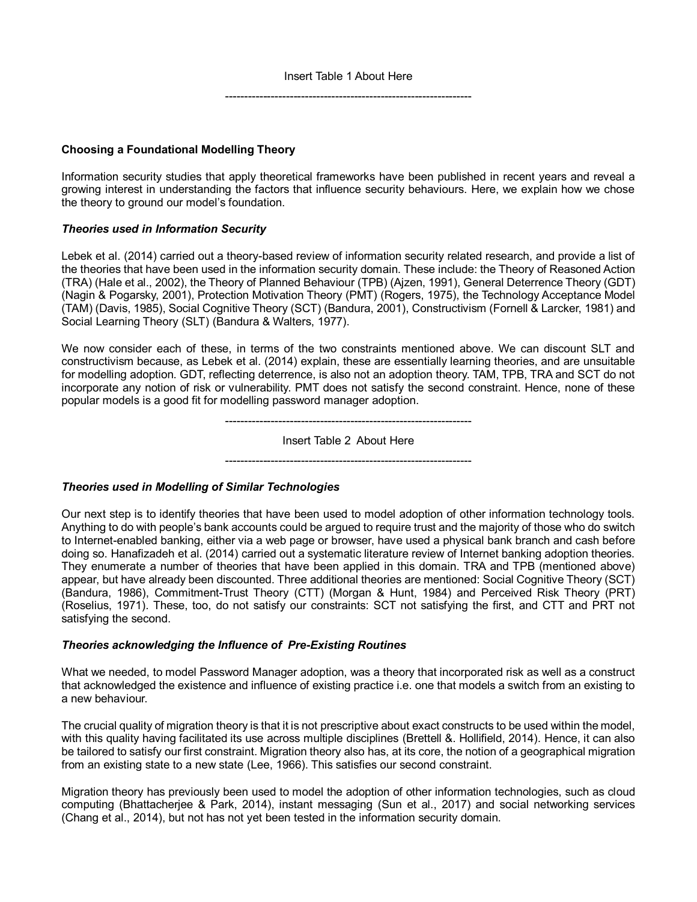### **Choosing a Foundational Modelling Theory**

Information security studies that apply theoretical frameworks have been published in recent years and reveal a growing interest in understanding the factors that influence security behaviours. Here, we explain how we chose the theory to ground our model's foundation.

#### *Theories used in Information Security*

Lebek et al. (2014) carried out a theory-based review of information security related research, and provide a list of the theories that have been used in the information security domain. These include: the Theory of Reasoned Action (TRA) (Hale et al., 2002), the Theory of Planned Behaviour (TPB) (Ajzen, 1991), General Deterrence Theory (GDT) (Nagin & Pogarsky, 2001), Protection Motivation Theory (PMT) (Rogers, 1975), the Technology Acceptance Model (TAM) (Davis, 1985), Social Cognitive Theory (SCT) (Bandura, 2001), Constructivism (Fornell & Larcker, 1981) and Social Learning Theory (SLT) (Bandura & Walters, 1977).

We now consider each of these, in terms of the two constraints mentioned above. We can discount SLT and constructivism because, as Lebek et al. (2014) explain, these are essentially learning theories, and are unsuitable for modelling adoption. GDT, reflecting deterrence, is also not an adoption theory. TAM, TPB, TRA and SCT do not incorporate any notion of risk or vulnerability. PMT does not satisfy the second constraint. Hence, none of these popular models is a good fit for modelling password manager adoption.

> ----------------------------------------------------------------- Insert Table 2 About Here

-----------------------------------------------------------------

#### *Theories used in Modelling of Similar Technologies*

Our next step is to identify theories that have been used to model adoption of other information technology tools. Anything to do with people's bank accounts could be argued to require trust and the majority of those who do switch to Internet-enabled banking, either via a web page or browser, have used a physical bank branch and cash before doing so. Hanafizadeh et al. (2014) carried out a systematic literature review of Internet banking adoption theories. They enumerate a number of theories that have been applied in this domain. TRA and TPB (mentioned above) appear, but have already been discounted. Three additional theories are mentioned: Social Cognitive Theory (SCT) (Bandura, 1986), Commitment-Trust Theory (CTT) (Morgan & Hunt, 1984) and Perceived Risk Theory (PRT) (Roselius, 1971). These, too, do not satisfy our constraints: SCT not satisfying the first, and CTT and PRT not satisfying the second.

#### *Theories acknowledging the Influence of Pre-Existing Routines*

What we needed, to model Password Manager adoption, was a theory that incorporated risk as well as a construct that acknowledged the existence and influence of existing practice i.e. one that models a switch from an existing to a new behaviour.

The crucial quality of migration theory is that it is not prescriptive about exact constructs to be used within the model, with this quality having facilitated its use across multiple disciplines (Brettell &. Hollifield, 2014). Hence, it can also be tailored to satisfy our first constraint. Migration theory also has, at its core, the notion of a geographical migration from an existing state to a new state (Lee, 1966). This satisfies our second constraint.

Migration theory has previously been used to model the adoption of other information technologies, such as cloud computing (Bhattacherjee & Park, 2014), instant messaging (Sun et al., 2017) and social networking services (Chang et al., 2014), but not has not yet been tested in the information security domain.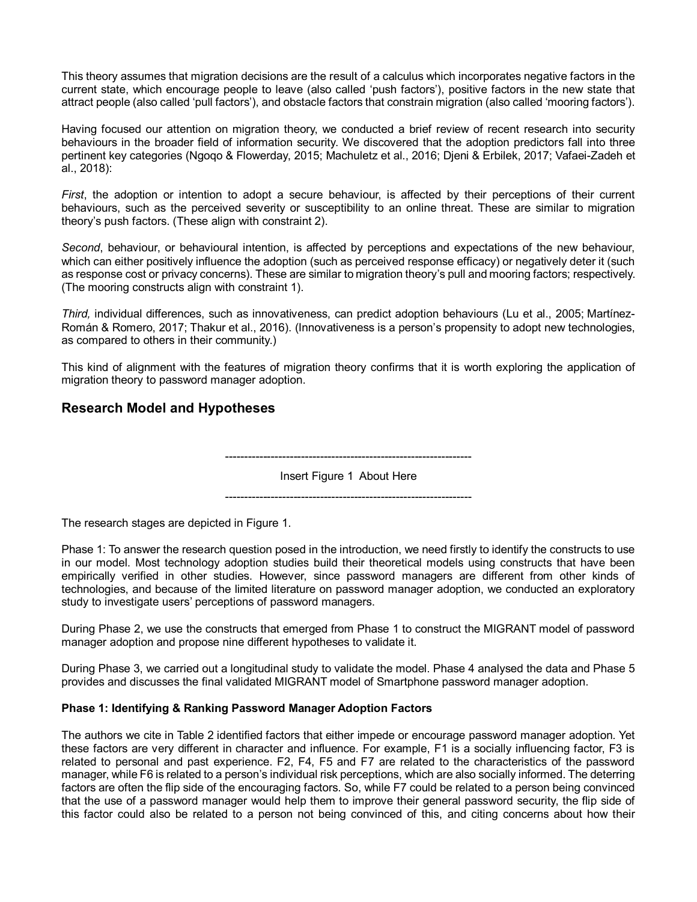This theory assumes that migration decisions are the result of a calculus which incorporates negative factors in the current state, which encourage people to leave (also called 'push factors'), positive factors in the new state that attract people (also called 'pull factors'), and obstacle factors that constrain migration (also called 'mooring factors').

Having focused our attention on migration theory, we conducted a brief review of recent research into security behaviours in the broader field of information security. We discovered that the adoption predictors fall into three pertinent key categories (Ngoqo & Flowerday, 2015; Machuletz et al., 2016; Djeni & Erbilek, 2017; Vafaei-Zadeh et al., 2018):

*First*, the adoption or intention to adopt a secure behaviour, is affected by their perceptions of their current behaviours, such as the perceived severity or susceptibility to an online threat. These are similar to migration theory's push factors. (These align with constraint 2).

*Second*, behaviour, or behavioural intention, is affected by perceptions and expectations of the new behaviour, which can either positively influence the adoption (such as perceived response efficacy) or negatively deter it (such as response cost or privacy concerns). These are similar to migration theory's pull and mooring factors; respectively. (The mooring constructs align with constraint 1).

*Third,* individual differences, such as innovativeness, can predict adoption behaviours (Lu et al., 2005; Martínez-Román & Romero, 2017; Thakur et al., 2016). (Innovativeness is a person's propensity to adopt new technologies, as compared to others in their community.)

This kind of alignment with the features of migration theory confirms that it is worth exploring the application of migration theory to password manager adoption.

# **Research Model and Hypotheses**

----------------------------------------------------------------- Insert Figure 1 About Here

-----------------------------------------------------------------

The research stages are depicted in Figure 1.

Phase 1: To answer the research question posed in the introduction, we need firstly to identify the constructs to use in our model. Most technology adoption studies build their theoretical models using constructs that have been empirically verified in other studies. However, since password managers are different from other kinds of technologies, and because of the limited literature on password manager adoption, we conducted an exploratory study to investigate users' perceptions of password managers.

During Phase 2, we use the constructs that emerged from Phase 1 to construct the MIGRANT model of password manager adoption and propose nine different hypotheses to validate it.

During Phase 3, we carried out a longitudinal study to validate the model. Phase 4 analysed the data and Phase 5 provides and discusses the final validated MIGRANT model of Smartphone password manager adoption.

### **Phase 1: Identifying & Ranking Password Manager Adoption Factors**

The authors we cite in Table 2 identified factors that either impede or encourage password manager adoption. Yet these factors are very different in character and influence. For example, F1 is a socially influencing factor, F3 is related to personal and past experience. F2, F4, F5 and F7 are related to the characteristics of the password manager, while F6 is related to a person's individual risk perceptions, which are also socially informed. The deterring factors are often the flip side of the encouraging factors. So, while F7 could be related to a person being convinced that the use of a password manager would help them to improve their general password security, the flip side of this factor could also be related to a person not being convinced of this, and citing concerns about how their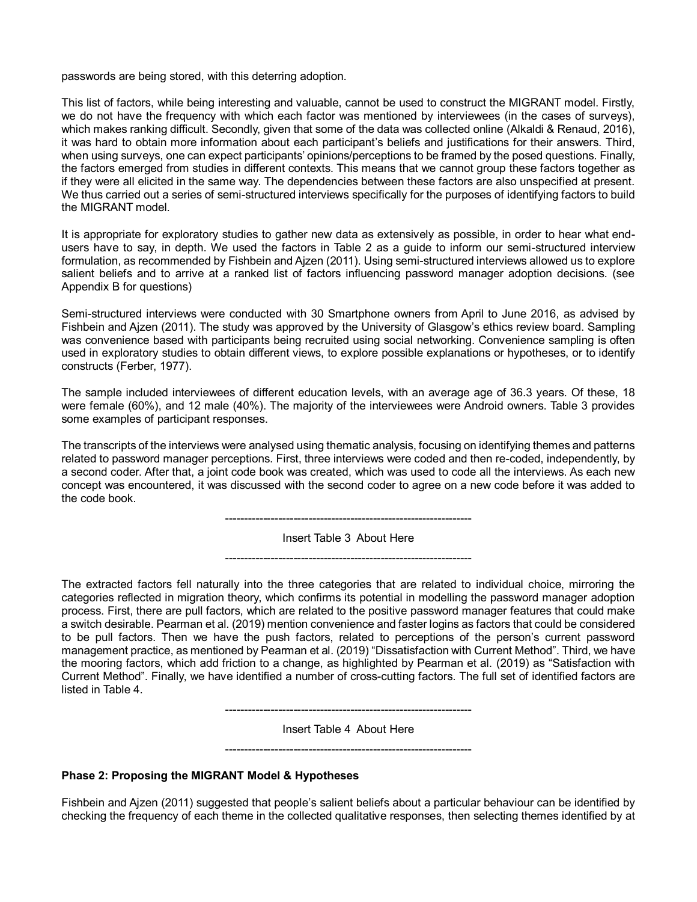passwords are being stored, with this deterring adoption.

This list of factors, while being interesting and valuable, cannot be used to construct the MIGRANT model. Firstly, we do not have the frequency with which each factor was mentioned by interviewees (in the cases of surveys), which makes ranking difficult. Secondly, given that some of the data was collected online (Alkaldi & Renaud, 2016), it was hard to obtain more information about each participant's beliefs and justifications for their answers. Third, when using surveys, one can expect participants' opinions/perceptions to be framed by the posed questions. Finally, the factors emerged from studies in different contexts. This means that we cannot group these factors together as if they were all elicited in the same way. The dependencies between these factors are also unspecified at present. We thus carried out a series of semi-structured interviews specifically for the purposes of identifying factors to build the MIGRANT model.

It is appropriate for exploratory studies to gather new data as extensively as possible, in order to hear what endusers have to say, in depth. We used the factors in Table 2 as a guide to inform our semi-structured interview formulation, as recommended by Fishbein and Ajzen (2011). Using semi-structured interviews allowed us to explore salient beliefs and to arrive at a ranked list of factors influencing password manager adoption decisions. (see Appendix B for questions)

Semi-structured interviews were conducted with 30 Smartphone owners from April to June 2016, as advised by Fishbein and Ajzen (2011). The study was approved by the University of Glasgow's ethics review board. Sampling was convenience based with participants being recruited using social networking. Convenience sampling is often used in exploratory studies to obtain different views, to explore possible explanations or hypotheses, or to identify constructs (Ferber, 1977).

The sample included interviewees of different education levels, with an average age of 36.3 years. Of these, 18 were female (60%), and 12 male (40%). The majority of the interviewees were Android owners. Table 3 provides some examples of participant responses.

The transcripts of the interviews were analysed using thematic analysis, focusing on identifying themes and patterns related to password manager perceptions. First, three interviews were coded and then re-coded, independently, by a second coder. After that, a joint code book was created, which was used to code all the interviews. As each new concept was encountered, it was discussed with the second coder to agree on a new code before it was added to the code book.

-----------------------------------------------------------------

Insert Table 3 About Here

-----------------------------------------------------------------

The extracted factors fell naturally into the three categories that are related to individual choice, mirroring the categories reflected in migration theory, which confirms its potential in modelling the password manager adoption process. First, there are pull factors, which are related to the positive password manager features that could make a switch desirable. Pearman et al. (2019) mention convenience and faster logins as factors that could be considered to be pull factors. Then we have the push factors, related to perceptions of the person's current password management practice, as mentioned by Pearman et al. (2019) "Dissatisfaction with Current Method". Third, we have the mooring factors, which add friction to a change, as highlighted by Pearman et al. (2019) as "Satisfaction with Current Method". Finally, we have identified a number of cross-cutting factors. The full set of identified factors are listed in Table 4.

-----------------------------------------------------------------

Insert Table 4 About Here -----------------------------------------------------------------

#### **Phase 2: Proposing the MIGRANT Model & Hypotheses**

Fishbein and Ajzen (2011) suggested that people's salient beliefs about a particular behaviour can be identified by checking the frequency of each theme in the collected qualitative responses, then selecting themes identified by at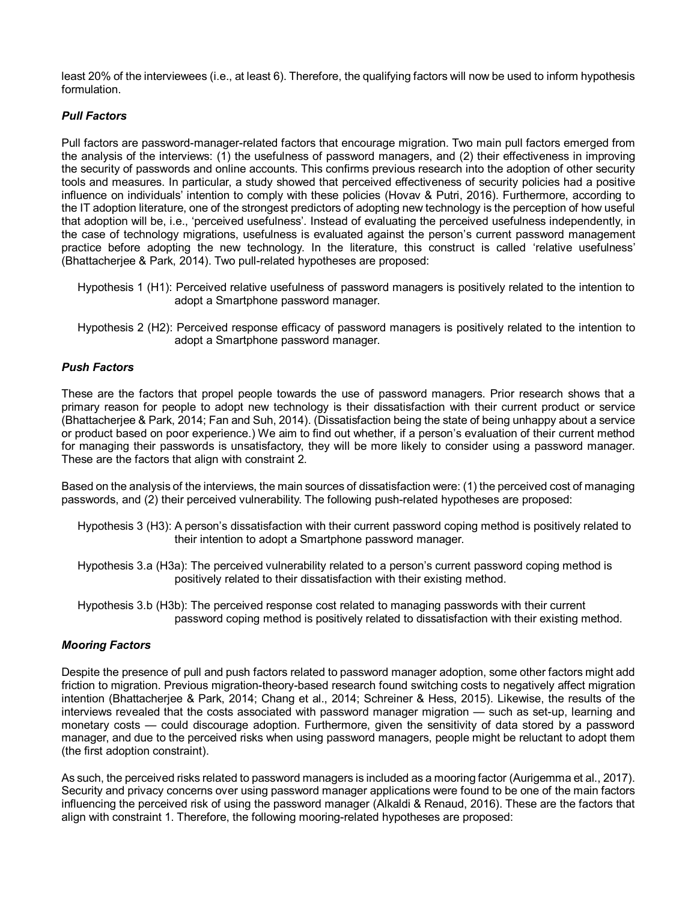least 20% of the interviewees (i.e., at least 6). Therefore, the qualifying factors will now be used to inform hypothesis formulation.

### *Pull Factors*

Pull factors are password-manager-related factors that encourage migration. Two main pull factors emerged from the analysis of the interviews: (1) the usefulness of password managers, and (2) their effectiveness in improving the security of passwords and online accounts. This confirms previous research into the adoption of other security tools and measures. In particular, a study showed that perceived effectiveness of security policies had a positive influence on individuals' intention to comply with these policies (Hovav & Putri, 2016). Furthermore, according to the IT adoption literature, one of the strongest predictors of adopting new technology is the perception of how useful that adoption will be, i.e., 'perceived usefulness'. Instead of evaluating the perceived usefulness independently, in the case of technology migrations, usefulness is evaluated against the person's current password management practice before adopting the new technology. In the literature, this construct is called 'relative usefulness' (Bhattacherjee & Park, 2014). Two pull-related hypotheses are proposed:

- Hypothesis 1 (H1): Perceived relative usefulness of password managers is positively related to the intention to adopt a Smartphone password manager.
- Hypothesis 2 (H2): Perceived response efficacy of password managers is positively related to the intention to adopt a Smartphone password manager.

### *Push Factors*

These are the factors that propel people towards the use of password managers. Prior research shows that a primary reason for people to adopt new technology is their dissatisfaction with their current product or service (Bhattacherjee & Park, 2014; Fan and Suh, 2014). (Dissatisfaction being the state of being unhappy about a service or product based on poor experience.) We aim to find out whether, if a person's evaluation of their current method for managing their passwords is unsatisfactory, they will be more likely to consider using a password manager. These are the factors that align with constraint 2.

Based on the analysis of the interviews, the main sources of dissatisfaction were: (1) the perceived cost of managing passwords, and (2) their perceived vulnerability. The following push-related hypotheses are proposed:

- Hypothesis 3 (H3): A person's dissatisfaction with their current password coping method is positively related to their intention to adopt a Smartphone password manager.
- Hypothesis 3.a (H3a): The perceived vulnerability related to a person's current password coping method is positively related to their dissatisfaction with their existing method.
- Hypothesis 3.b (H3b): The perceived response cost related to managing passwords with their current password coping method is positively related to dissatisfaction with their existing method.

### *Mooring Factors*

Despite the presence of pull and push factors related to password manager adoption, some other factors might add friction to migration. Previous migration-theory-based research found switching costs to negatively affect migration intention (Bhattacherjee & Park, 2014; Chang et al., 2014; Schreiner & Hess, 2015). Likewise, the results of the interviews revealed that the costs associated with password manager migration — such as set-up, learning and monetary costs — could discourage adoption. Furthermore, given the sensitivity of data stored by a password manager, and due to the perceived risks when using password managers, people might be reluctant to adopt them (the first adoption constraint).

As such, the perceived risks related to password managers is included as a mooring factor (Aurigemma et al., 2017). Security and privacy concerns over using password manager applications were found to be one of the main factors influencing the perceived risk of using the password manager (Alkaldi & Renaud, 2016). These are the factors that align with constraint 1. Therefore, the following mooring-related hypotheses are proposed: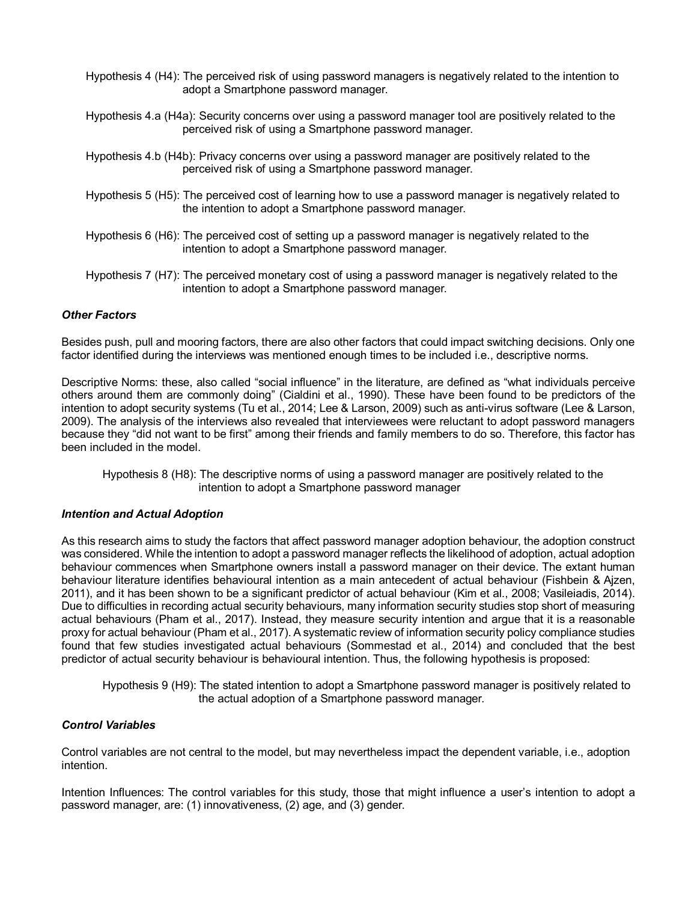- Hypothesis 4 (H4): The perceived risk of using password managers is negatively related to the intention to adopt a Smartphone password manager.
- Hypothesis 4.a (H4a): Security concerns over using a password manager tool are positively related to the perceived risk of using a Smartphone password manager.
- Hypothesis 4.b (H4b): Privacy concerns over using a password manager are positively related to the perceived risk of using a Smartphone password manager.
- Hypothesis 5 (H5): The perceived cost of learning how to use a password manager is negatively related to the intention to adopt a Smartphone password manager.
- Hypothesis 6 (H6): The perceived cost of setting up a password manager is negatively related to the intention to adopt a Smartphone password manager.
- Hypothesis 7 (H7): The perceived monetary cost of using a password manager is negatively related to the intention to adopt a Smartphone password manager.

#### *Other Factors*

Besides push, pull and mooring factors, there are also other factors that could impact switching decisions. Only one factor identified during the interviews was mentioned enough times to be included i.e., descriptive norms.

Descriptive Norms: these, also called "social influence" in the literature, are defined as "what individuals perceive others around them are commonly doing" (Cialdini et al., 1990). These have been found to be predictors of the intention to adopt security systems (Tu et al., 2014; Lee & Larson, 2009) such as anti-virus software (Lee & Larson, 2009). The analysis of the interviews also revealed that interviewees were reluctant to adopt password managers because they "did not want to be first" among their friends and family members to do so. Therefore, this factor has been included in the model.

Hypothesis 8 (H8): The descriptive norms of using a password manager are positively related to the intention to adopt a Smartphone password manager

#### *Intention and Actual Adoption*

As this research aims to study the factors that affect password manager adoption behaviour, the adoption construct was considered. While the intention to adopt a password manager reflects the likelihood of adoption, actual adoption behaviour commences when Smartphone owners install a password manager on their device. The extant human behaviour literature identifies behavioural intention as a main antecedent of actual behaviour (Fishbein & Ajzen, 2011), and it has been shown to be a significant predictor of actual behaviour (Kim et al., 2008; Vasileiadis, 2014). Due to difficulties in recording actual security behaviours, many information security studies stop short of measuring actual behaviours (Pham et al., 2017). Instead, they measure security intention and argue that it is a reasonable proxy for actual behaviour (Pham et al., 2017). A systematic review of information security policy compliance studies found that few studies investigated actual behaviours (Sommestad et al., 2014) and concluded that the best predictor of actual security behaviour is behavioural intention. Thus, the following hypothesis is proposed:

Hypothesis 9 (H9): The stated intention to adopt a Smartphone password manager is positively related to the actual adoption of a Smartphone password manager.

#### *Control Variables*

Control variables are not central to the model, but may nevertheless impact the dependent variable, i.e., adoption intention.

Intention Influences: The control variables for this study, those that might influence a user's intention to adopt a password manager, are: (1) innovativeness, (2) age, and (3) gender.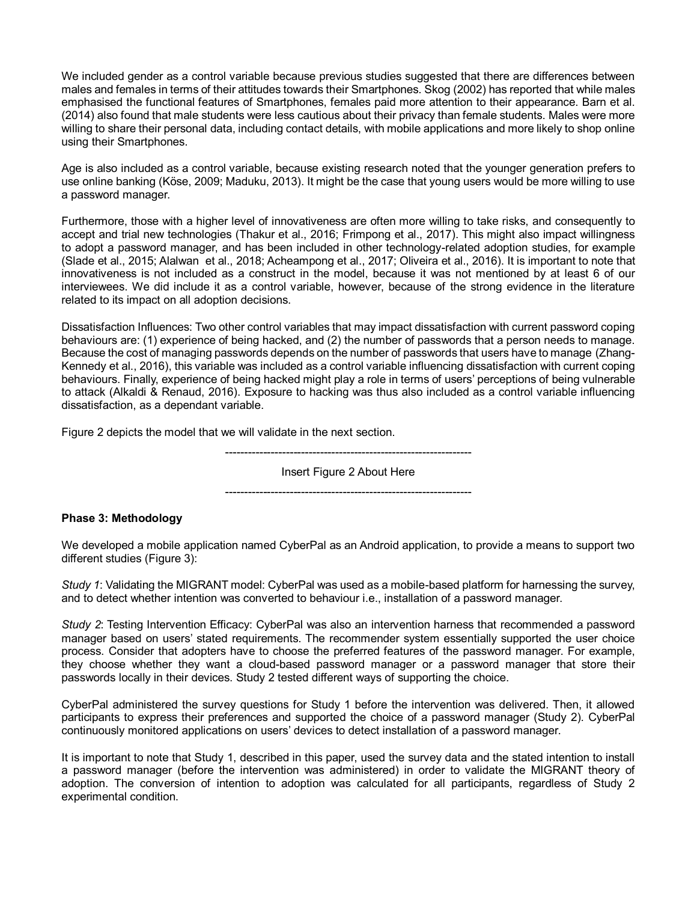We included gender as a control variable because previous studies suggested that there are differences between males and females in terms of their attitudes towards their Smartphones. Skog (2002) has reported that while males emphasised the functional features of Smartphones, females paid more attention to their appearance. Barn et al. (2014) also found that male students were less cautious about their privacy than female students. Males were more willing to share their personal data, including contact details, with mobile applications and more likely to shop online using their Smartphones.

Age is also included as a control variable, because existing research noted that the younger generation prefers to use online banking (Köse, 2009; Maduku, 2013). It might be the case that young users would be more willing to use a password manager.

Furthermore, those with a higher level of innovativeness are often more willing to take risks, and consequently to accept and trial new technologies (Thakur et al., 2016; Frimpong et al., 2017). This might also impact willingness to adopt a password manager, and has been included in other technology-related adoption studies, for example (Slade et al., 2015; Alalwan et al., 2018; Acheampong et al., 2017; Oliveira et al., 2016). It is important to note that innovativeness is not included as a construct in the model, because it was not mentioned by at least 6 of our interviewees. We did include it as a control variable, however, because of the strong evidence in the literature related to its impact on all adoption decisions.

Dissatisfaction Influences: Two other control variables that may impact dissatisfaction with current password coping behaviours are: (1) experience of being hacked, and (2) the number of passwords that a person needs to manage. Because the cost of managing passwords depends on the number of passwords that users have to manage (Zhang-Kennedy et al., 2016), this variable was included as a control variable influencing dissatisfaction with current coping behaviours. Finally, experience of being hacked might play a role in terms of users' perceptions of being vulnerable to attack (Alkaldi & Renaud, 2016). Exposure to hacking was thus also included as a control variable influencing dissatisfaction, as a dependant variable.

Figure 2 depicts the model that we will validate in the next section.

----------------------------------------------------------------- Insert Figure 2 About Here

-----------------------------------------------------------------

#### **Phase 3: Methodology**

We developed a mobile application named CyberPal as an Android application, to provide a means to support two different studies (Figure 3):

*Study 1*: Validating the MIGRANT model: CyberPal was used as a mobile-based platform for harnessing the survey, and to detect whether intention was converted to behaviour i.e., installation of a password manager.

*Study 2*: Testing Intervention Efficacy: CyberPal was also an intervention harness that recommended a password manager based on users' stated requirements. The recommender system essentially supported the user choice process. Consider that adopters have to choose the preferred features of the password manager. For example, they choose whether they want a cloud-based password manager or a password manager that store their passwords locally in their devices. Study 2 tested different ways of supporting the choice.

CyberPal administered the survey questions for Study 1 before the intervention was delivered. Then, it allowed participants to express their preferences and supported the choice of a password manager (Study 2). CyberPal continuously monitored applications on users' devices to detect installation of a password manager.

It is important to note that Study 1, described in this paper, used the survey data and the stated intention to install a password manager (before the intervention was administered) in order to validate the MIGRANT theory of adoption. The conversion of intention to adoption was calculated for all participants, regardless of Study 2 experimental condition.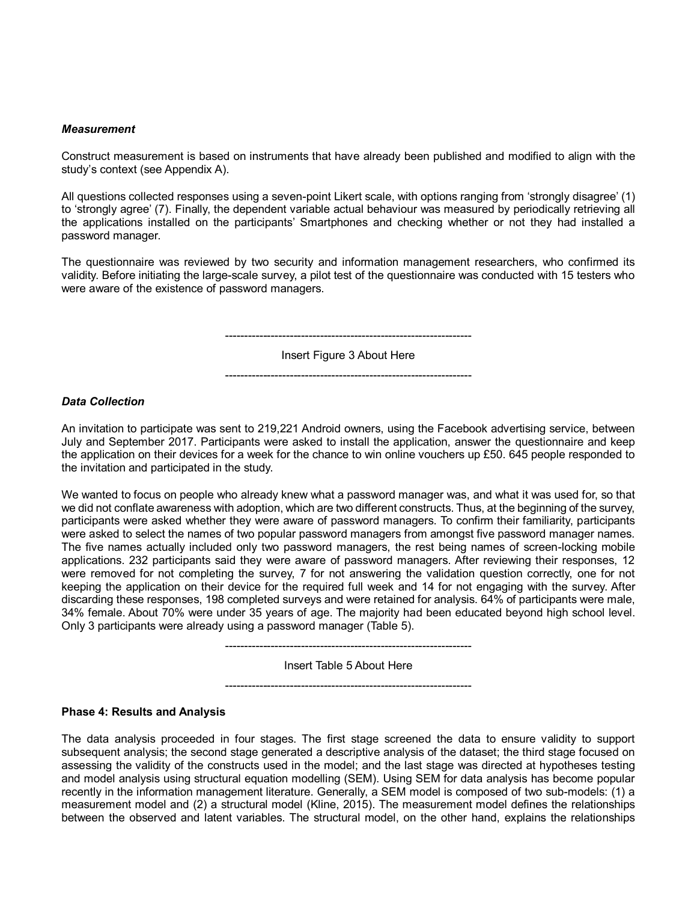#### *Measurement*

Construct measurement is based on instruments that have already been published and modified to align with the study's context (see Appendix A).

All questions collected responses using a seven-point Likert scale, with options ranging from 'strongly disagree' (1) to 'strongly agree' (7). Finally, the dependent variable actual behaviour was measured by periodically retrieving all the applications installed on the participants' Smartphones and checking whether or not they had installed a password manager.

The questionnaire was reviewed by two security and information management researchers, who confirmed its validity. Before initiating the large-scale survey, a pilot test of the questionnaire was conducted with 15 testers who were aware of the existence of password managers.

> ----------------------------------------------------------------- Insert Figure 3 About Here

> -----------------------------------------------------------------

### *Data Collection*

An invitation to participate was sent to 219,221 Android owners, using the Facebook advertising service, between July and September 2017. Participants were asked to install the application, answer the questionnaire and keep the application on their devices for a week for the chance to win online vouchers up £50. 645 people responded to the invitation and participated in the study.

We wanted to focus on people who already knew what a password manager was, and what it was used for, so that we did not conflate awareness with adoption, which are two different constructs. Thus, at the beginning of the survey, participants were asked whether they were aware of password managers. To confirm their familiarity, participants were asked to select the names of two popular password managers from amongst five password manager names. The five names actually included only two password managers, the rest being names of screen-locking mobile applications. 232 participants said they were aware of password managers. After reviewing their responses, 12 were removed for not completing the survey, 7 for not answering the validation question correctly, one for not keeping the application on their device for the required full week and 14 for not engaging with the survey. After discarding these responses, 198 completed surveys and were retained for analysis. 64% of participants were male, 34% female. About 70% were under 35 years of age. The majority had been educated beyond high school level. Only 3 participants were already using a password manager (Table 5).

> ----------------------------------------------------------------- Insert Table 5 About Here -----------------------------------------------------------------

#### **Phase 4: Results and Analysis**

The data analysis proceeded in four stages. The first stage screened the data to ensure validity to support subsequent analysis; the second stage generated a descriptive analysis of the dataset; the third stage focused on assessing the validity of the constructs used in the model; and the last stage was directed at hypotheses testing and model analysis using structural equation modelling (SEM). Using SEM for data analysis has become popular recently in the information management literature. Generally, a SEM model is composed of two sub-models: (1) a measurement model and (2) a structural model (Kline, 2015). The measurement model defines the relationships between the observed and latent variables. The structural model, on the other hand, explains the relationships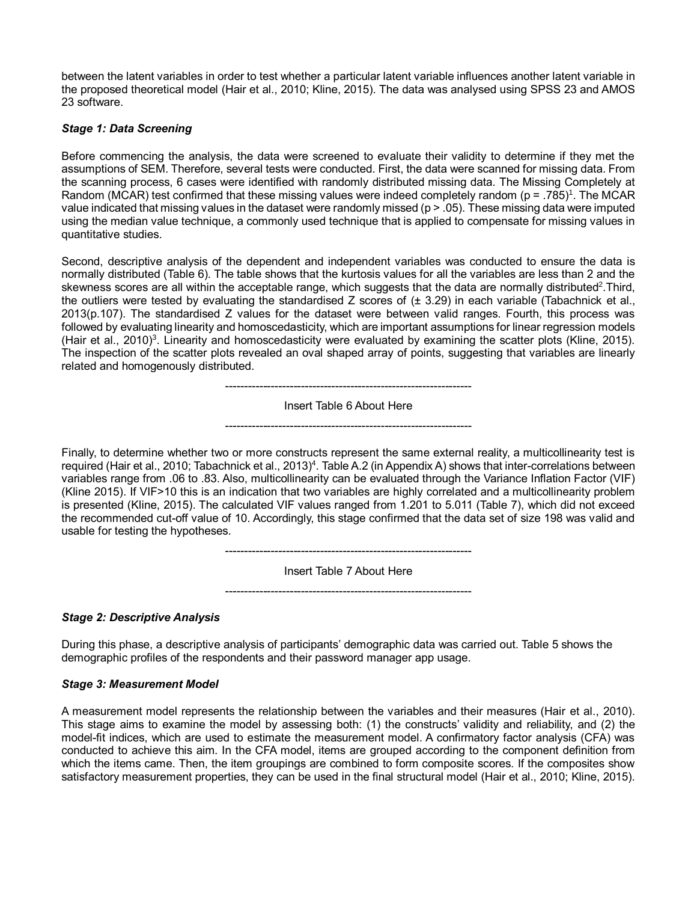between the latent variables in order to test whether a particular latent variable influences another latent variable in the proposed theoretical model (Hair et al., 2010; Kline, 2015). The data was analysed using SPSS 23 and AMOS 23 software.

### *Stage 1: Data Screening*

Before commencing the analysis, the data were screened to evaluate their validity to determine if they met the assumptions of SEM. Therefore, several tests were conducted. First, the data were scanned for missing data. From the scanning process, 6 cases were identified with randomly distributed missing data. The Missing Completely at Random (MCAR) test confirmed that these missing values were indeed completely random ( $p = .785$ )<sup>1</sup>. The MCAR value indicated that missing values in the dataset were randomly missed (p > .05). These missing data were imputed using the median value technique, a commonly used technique that is applied to compensate for missing values in quantitative studies.

Second, descriptive analysis of the dependent and independent variables was conducted to ensure the data is normally distributed (Table 6). The table shows that the kurtosis values for all the variables are less than 2 and the skewness scores are all within the acceptable range, which suggests that the data are normally distributed<sup>2</sup>. Third, the outliers were tested by evaluating the standardised Z scores of  $(\pm 3.29)$  in each variable (Tabachnick et al., 2013(p.107). The standardised Z values for the dataset were between valid ranges. Fourth, this process was followed by evaluating linearity and homoscedasticity, which are important assumptions for linear regression models (Hair et al., 2010)<sup>3</sup>. Linearity and homoscedasticity were evaluated by examining the scatter plots (Kline, 2015). The inspection of the scatter plots revealed an oval shaped array of points, suggesting that variables are linearly related and homogenously distributed.

-----------------------------------------------------------------

Insert Table 6 About Here

-----------------------------------------------------------------

Finally, to determine whether two or more constructs represent the same external reality, a multicollinearity test is required (Hair et al., 2010; Tabachnick et al., 2013) $^4$ . Table A.2 (in Appendix A) shows that inter-correlations between variables range from .06 to .83. Also, multicollinearity can be evaluated through the Variance Inflation Factor (VIF) (Kline 2015). If VIF>10 this is an indication that two variables are highly correlated and a multicollinearity problem is presented (Kline, 2015). The calculated VIF values ranged from 1.201 to 5.011 (Table 7), which did not exceed the recommended cut-off value of 10. Accordingly, this stage confirmed that the data set of size 198 was valid and usable for testing the hypotheses.

> ----------------------------------------------------------------- Insert Table 7 About Here

> -----------------------------------------------------------------

### *Stage 2: Descriptive Analysis*

During this phase, a descriptive analysis of participants' demographic data was carried out. Table 5 shows the demographic profiles of the respondents and their password manager app usage.

#### *Stage 3: Measurement Model*

A measurement model represents the relationship between the variables and their measures (Hair et al., 2010). This stage aims to examine the model by assessing both: (1) the constructs' validity and reliability, and (2) the model-fit indices, which are used to estimate the measurement model. A confirmatory factor analysis (CFA) was conducted to achieve this aim. In the CFA model, items are grouped according to the component definition from which the items came. Then, the item groupings are combined to form composite scores. If the composites show satisfactory measurement properties, they can be used in the final structural model (Hair et al., 2010; Kline, 2015).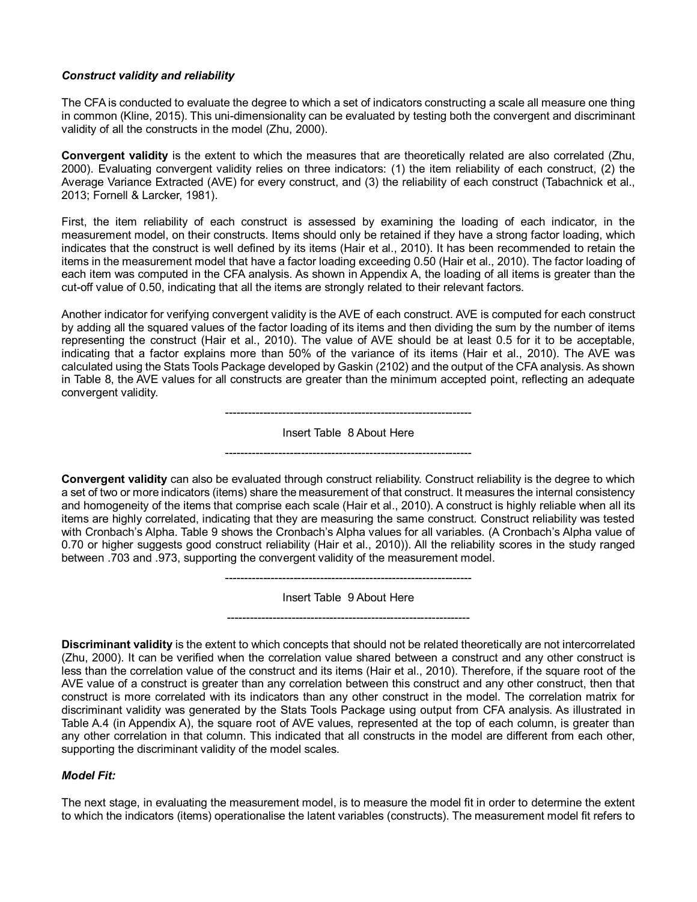### *Construct validity and reliability*

The CFA is conducted to evaluate the degree to which a set of indicators constructing a scale all measure one thing in common (Kline, 2015). This uni-dimensionality can be evaluated by testing both the convergent and discriminant validity of all the constructs in the model (Zhu, 2000).

**Convergent validity** is the extent to which the measures that are theoretically related are also correlated (Zhu, 2000). Evaluating convergent validity relies on three indicators: (1) the item reliability of each construct, (2) the Average Variance Extracted (AVE) for every construct, and (3) the reliability of each construct (Tabachnick et al., 2013; Fornell & Larcker, 1981).

First, the item reliability of each construct is assessed by examining the loading of each indicator, in the measurement model, on their constructs. Items should only be retained if they have a strong factor loading, which indicates that the construct is well defined by its items (Hair et al., 2010). It has been recommended to retain the items in the measurement model that have a factor loading exceeding 0.50 (Hair et al., 2010). The factor loading of each item was computed in the CFA analysis. As shown in Appendix A, the loading of all items is greater than the cut-off value of 0.50, indicating that all the items are strongly related to their relevant factors.

Another indicator for verifying convergent validity is the AVE of each construct. AVE is computed for each construct by adding all the squared values of the factor loading of its items and then dividing the sum by the number of items representing the construct (Hair et al., 2010). The value of AVE should be at least 0.5 for it to be acceptable, indicating that a factor explains more than 50% of the variance of its items (Hair et al., 2010). The AVE was calculated using the Stats Tools Package developed by Gaskin (2102) and the output of the CFA analysis. As shown in Table 8, the AVE values for all constructs are greater than the minimum accepted point, reflecting an adequate convergent validity.

> ----------------------------------------------------------------- Insert Table 8 About Here -----------------------------------------------------------------

**Convergent validity** can also be evaluated through construct reliability. Construct reliability is the degree to which a set of two or more indicators (items) share the measurement of that construct. It measures the internal consistency and homogeneity of the items that comprise each scale (Hair et al., 2010). A construct is highly reliable when all its items are highly correlated, indicating that they are measuring the same construct. Construct reliability was tested with Cronbach's Alpha. Table 9 shows the Cronbach's Alpha values for all variables. (A Cronbach's Alpha value of 0.70 or higher suggests good construct reliability (Hair et al., 2010)). All the reliability scores in the study ranged between .703 and .973, supporting the convergent validity of the measurement model.

> ----------------------------------------------------------------- Insert Table 9 About Here

> ----------------------------------------------------------------

**Discriminant validity** is the extent to which concepts that should not be related theoretically are not intercorrelated (Zhu, 2000). It can be verified when the correlation value shared between a construct and any other construct is less than the correlation value of the construct and its items (Hair et al., 2010). Therefore, if the square root of the AVE value of a construct is greater than any correlation between this construct and any other construct, then that construct is more correlated with its indicators than any other construct in the model. The correlation matrix for discriminant validity was generated by the Stats Tools Package using output from CFA analysis. As illustrated in Table A.4 (in Appendix A), the square root of AVE values, represented at the top of each column, is greater than any other correlation in that column. This indicated that all constructs in the model are different from each other, supporting the discriminant validity of the model scales.

#### *Model Fit:*

The next stage, in evaluating the measurement model, is to measure the model fit in order to determine the extent to which the indicators (items) operationalise the latent variables (constructs). The measurement model fit refers to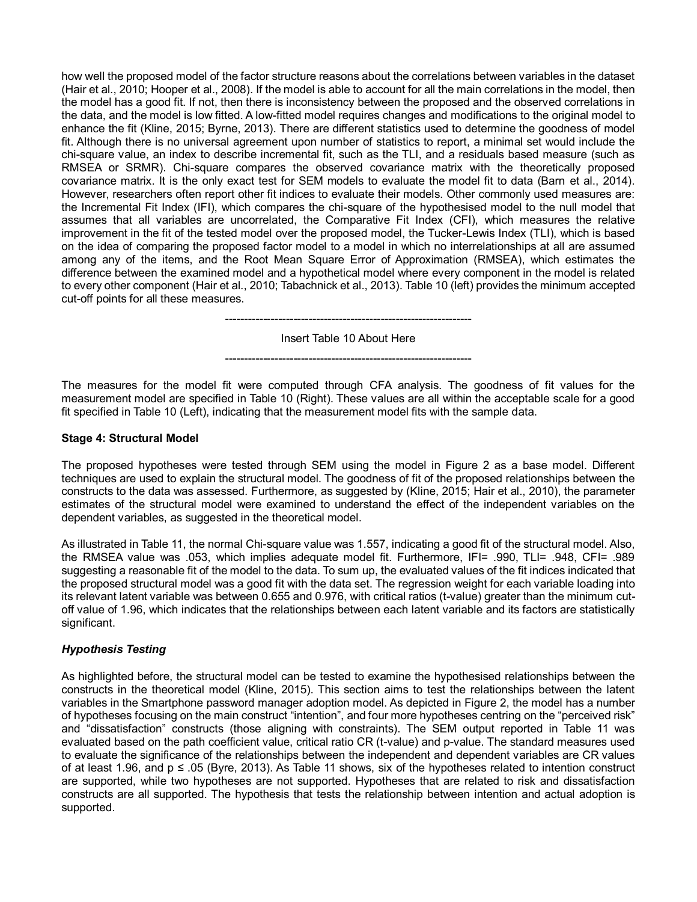how well the proposed model of the factor structure reasons about the correlations between variables in the dataset (Hair et al., 2010; Hooper et al., 2008). If the model is able to account for all the main correlations in the model, then the model has a good fit. If not, then there is inconsistency between the proposed and the observed correlations in the data, and the model is low fitted. A low-fitted model requires changes and modifications to the original model to enhance the fit (Kline, 2015; Byrne, 2013). There are different statistics used to determine the goodness of model fit. Although there is no universal agreement upon number of statistics to report, a minimal set would include the chi-square value, an index to describe incremental fit, such as the TLI, and a residuals based measure (such as RMSEA or SRMR). Chi-square compares the observed covariance matrix with the theoretically proposed covariance matrix. It is the only exact test for SEM models to evaluate the model fit to data (Barn et al., 2014). However, researchers often report other fit indices to evaluate their models. Other commonly used measures are: the Incremental Fit Index (IFI), which compares the chi-square of the hypothesised model to the null model that assumes that all variables are uncorrelated, the Comparative Fit Index (CFI), which measures the relative improvement in the fit of the tested model over the proposed model, the Tucker-Lewis Index (TLI), which is based on the idea of comparing the proposed factor model to a model in which no interrelationships at all are assumed among any of the items, and the Root Mean Square Error of Approximation (RMSEA), which estimates the difference between the examined model and a hypothetical model where every component in the model is related to every other component (Hair et al., 2010; Tabachnick et al., 2013). Table 10 (left) provides the minimum accepted cut-off points for all these measures.

> ----------------------------------------------------------------- Insert Table 10 About Here

-----------------------------------------------------------------

The measures for the model fit were computed through CFA analysis. The goodness of fit values for the measurement model are specified in Table 10 (Right). These values are all within the acceptable scale for a good fit specified in Table 10 (Left), indicating that the measurement model fits with the sample data.

#### **Stage 4: Structural Model**

The proposed hypotheses were tested through SEM using the model in Figure 2 as a base model. Different techniques are used to explain the structural model. The goodness of fit of the proposed relationships between the constructs to the data was assessed. Furthermore, as suggested by (Kline, 2015; Hair et al., 2010), the parameter estimates of the structural model were examined to understand the effect of the independent variables on the dependent variables, as suggested in the theoretical model.

As illustrated in Table 11, the normal Chi-square value was 1.557, indicating a good fit of the structural model. Also, the RMSEA value was .053, which implies adequate model fit. Furthermore, IFI= .990, TLI= .948, CFI= .989 suggesting a reasonable fit of the model to the data. To sum up, the evaluated values of the fit indices indicated that the proposed structural model was a good fit with the data set. The regression weight for each variable loading into its relevant latent variable was between 0.655 and 0.976, with critical ratios (t-value) greater than the minimum cutoff value of 1.96, which indicates that the relationships between each latent variable and its factors are statistically significant.

### *Hypothesis Testing*

As highlighted before, the structural model can be tested to examine the hypothesised relationships between the constructs in the theoretical model (Kline, 2015). This section aims to test the relationships between the latent variables in the Smartphone password manager adoption model. As depicted in Figure 2, the model has a number of hypotheses focusing on the main construct "intention", and four more hypotheses centring on the "perceived risk" and "dissatisfaction" constructs (those aligning with constraints). The SEM output reported in Table 11 was evaluated based on the path coefficient value, critical ratio CR (t-value) and p-value. The standard measures used to evaluate the significance of the relationships between the independent and dependent variables are CR values of at least 1.96, and  $p \le 0.05$  (Byre, 2013). As Table 11 shows, six of the hypotheses related to intention construct are supported, while two hypotheses are not supported. Hypotheses that are related to risk and dissatisfaction constructs are all supported. The hypothesis that tests the relationship between intention and actual adoption is supported.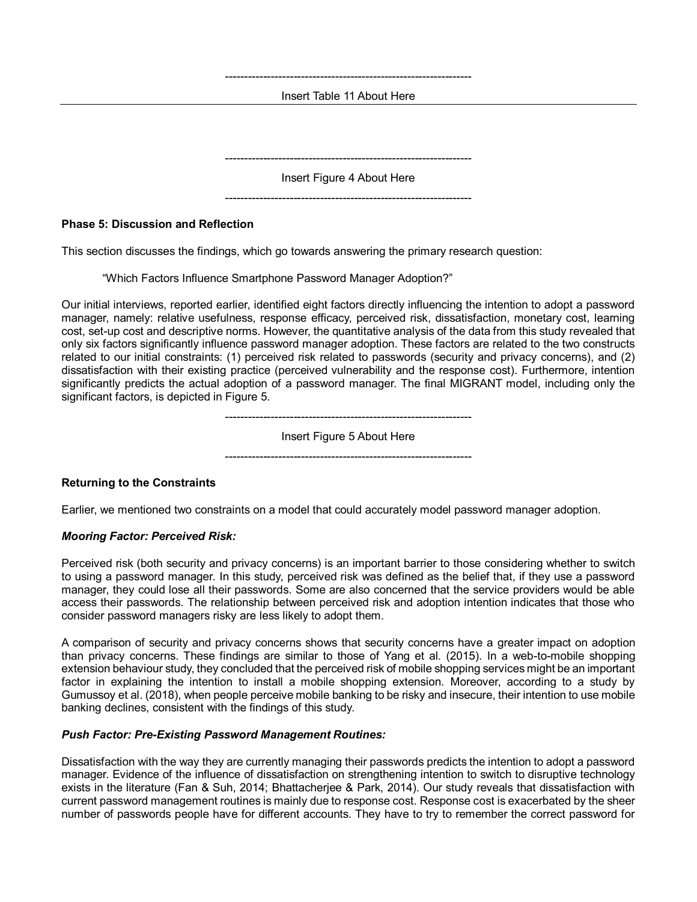----------------------------------------------------------------- Insert Table 11 About Here

----------------------------------------------------------------- Insert Figure 4 About Here

-----------------------------------------------------------------

**Phase 5: Discussion and Reflection**

This section discusses the findings, which go towards answering the primary research question:

"Which Factors Influence Smartphone Password Manager Adoption?"

Our initial interviews, reported earlier, identified eight factors directly influencing the intention to adopt a password manager, namely: relative usefulness, response efficacy, perceived risk, dissatisfaction, monetary cost, learning cost, set-up cost and descriptive norms. However, the quantitative analysis of the data from this study revealed that only six factors significantly influence password manager adoption. These factors are related to the two constructs related to our initial constraints: (1) perceived risk related to passwords (security and privacy concerns), and (2) dissatisfaction with their existing practice (perceived vulnerability and the response cost). Furthermore, intention significantly predicts the actual adoption of a password manager. The final MIGRANT model, including only the significant factors, is depicted in Figure 5.

Insert Figure 5 About Here

-----------------------------------------------------------------

-----------------------------------------------------------------

**Returning to the Constraints**

Earlier, we mentioned two constraints on a model that could accurately model password manager adoption.

### *Mooring Factor: Perceived Risk:*

Perceived risk (both security and privacy concerns) is an important barrier to those considering whether to switch to using a password manager. In this study, perceived risk was defined as the belief that, if they use a password manager, they could lose all their passwords. Some are also concerned that the service providers would be able access their passwords. The relationship between perceived risk and adoption intention indicates that those who consider password managers risky are less likely to adopt them.

A comparison of security and privacy concerns shows that security concerns have a greater impact on adoption than privacy concerns. These findings are similar to those of Yang et al. (2015). In a web-to-mobile shopping extension behaviour study, they concluded that the perceived risk of mobile shopping services might be an important factor in explaining the intention to install a mobile shopping extension. Moreover, according to a study by Gumussoy et al. (2018), when people perceive mobile banking to be risky and insecure, their intention to use mobile banking declines, consistent with the findings of this study.

#### *Push Factor: Pre-Existing Password Management Routines:*

Dissatisfaction with the way they are currently managing their passwords predicts the intention to adopt a password manager. Evidence of the influence of dissatisfaction on strengthening intention to switch to disruptive technology exists in the literature (Fan & Suh, 2014; Bhattacherjee & Park, 2014). Our study reveals that dissatisfaction with current password management routines is mainly due to response cost. Response cost is exacerbated by the sheer number of passwords people have for different accounts. They have to try to remember the correct password for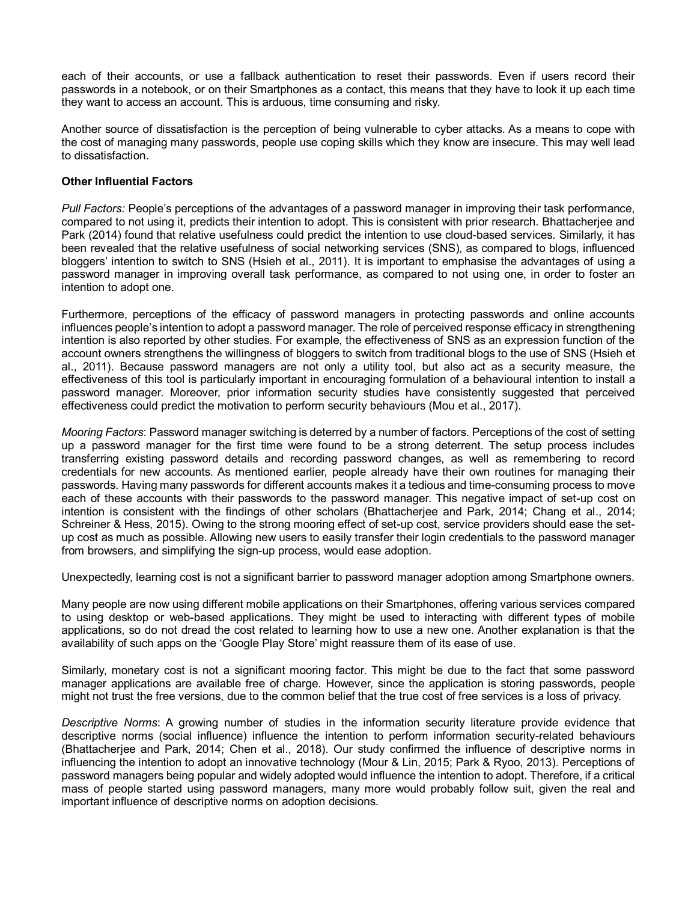each of their accounts, or use a fallback authentication to reset their passwords. Even if users record their passwords in a notebook, or on their Smartphones as a contact, this means that they have to look it up each time they want to access an account. This is arduous, time consuming and risky.

Another source of dissatisfaction is the perception of being vulnerable to cyber attacks. As a means to cope with the cost of managing many passwords, people use coping skills which they know are insecure. This may well lead to dissatisfaction.

#### **Other Influential Factors**

*Pull Factors:* People's perceptions of the advantages of a password manager in improving their task performance, compared to not using it, predicts their intention to adopt. This is consistent with prior research. Bhattacherjee and Park (2014) found that relative usefulness could predict the intention to use cloud-based services. Similarly, it has been revealed that the relative usefulness of social networking services (SNS), as compared to blogs, influenced bloggers' intention to switch to SNS (Hsieh et al., 2011). It is important to emphasise the advantages of using a password manager in improving overall task performance, as compared to not using one, in order to foster an intention to adopt one.

Furthermore, perceptions of the efficacy of password managers in protecting passwords and online accounts influences people's intention to adopt a password manager. The role of perceived response efficacy in strengthening intention is also reported by other studies. For example, the effectiveness of SNS as an expression function of the account owners strengthens the willingness of bloggers to switch from traditional blogs to the use of SNS (Hsieh et al., 2011). Because password managers are not only a utility tool, but also act as a security measure, the effectiveness of this tool is particularly important in encouraging formulation of a behavioural intention to install a password manager. Moreover, prior information security studies have consistently suggested that perceived effectiveness could predict the motivation to perform security behaviours (Mou et al., 2017).

*Mooring Factors*: Password manager switching is deterred by a number of factors. Perceptions of the cost of setting up a password manager for the first time were found to be a strong deterrent. The setup process includes transferring existing password details and recording password changes, as well as remembering to record credentials for new accounts. As mentioned earlier, people already have their own routines for managing their passwords. Having many passwords for different accounts makes it a tedious and time-consuming process to move each of these accounts with their passwords to the password manager. This negative impact of set-up cost on intention is consistent with the findings of other scholars (Bhattacherjee and Park, 2014; Chang et al., 2014; Schreiner & Hess, 2015). Owing to the strong mooring effect of set-up cost, service providers should ease the setup cost as much as possible. Allowing new users to easily transfer their login credentials to the password manager from browsers, and simplifying the sign-up process, would ease adoption.

Unexpectedly, learning cost is not a significant barrier to password manager adoption among Smartphone owners.

Many people are now using different mobile applications on their Smartphones, offering various services compared to using desktop or web-based applications. They might be used to interacting with different types of mobile applications, so do not dread the cost related to learning how to use a new one. Another explanation is that the availability of such apps on the 'Google Play Store' might reassure them of its ease of use.

Similarly, monetary cost is not a significant mooring factor. This might be due to the fact that some password manager applications are available free of charge. However, since the application is storing passwords, people might not trust the free versions, due to the common belief that the true cost of free services is a loss of privacy.

*Descriptive Norms*: A growing number of studies in the information security literature provide evidence that descriptive norms (social influence) influence the intention to perform information security-related behaviours (Bhattacherjee and Park, 2014; Chen et al., 2018). Our study confirmed the influence of descriptive norms in influencing the intention to adopt an innovative technology (Mour & Lin, 2015; Park & Ryoo, 2013). Perceptions of password managers being popular and widely adopted would influence the intention to adopt. Therefore, if a critical mass of people started using password managers, many more would probably follow suit, given the real and important influence of descriptive norms on adoption decisions.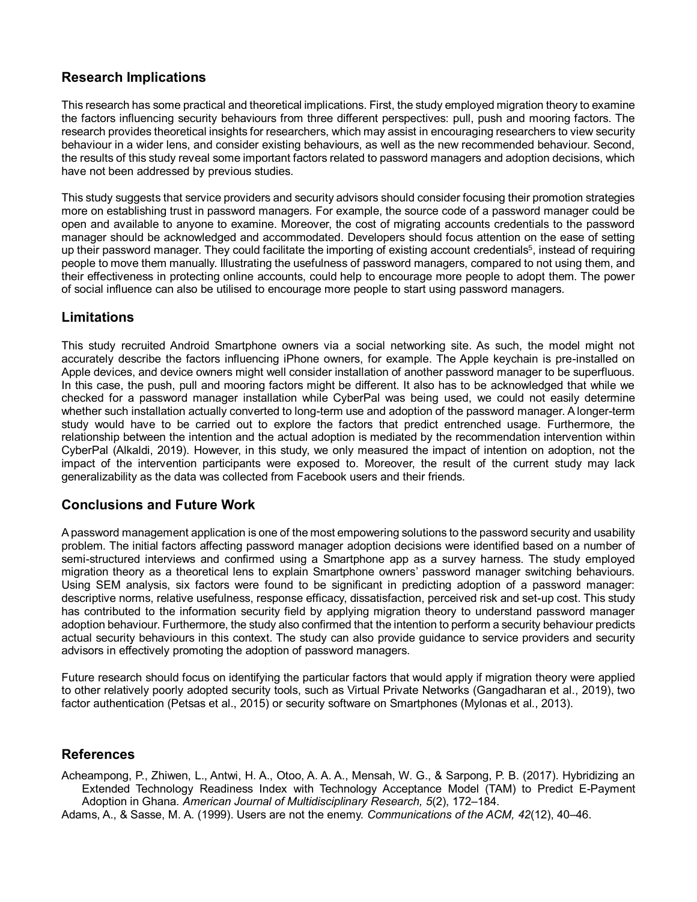# **Research Implications**

This research has some practical and theoretical implications. First, the study employed migration theory to examine the factors influencing security behaviours from three different perspectives: pull, push and mooring factors. The research provides theoretical insights for researchers, which may assist in encouraging researchers to view security behaviour in a wider lens, and consider existing behaviours, as well as the new recommended behaviour. Second, the results of this study reveal some important factors related to password managers and adoption decisions, which have not been addressed by previous studies.

This study suggests that service providers and security advisors should consider focusing their promotion strategies more on establishing trust in password managers. For example, the source code of a password manager could be open and available to anyone to examine. Moreover, the cost of migrating accounts credentials to the password manager should be acknowledged and accommodated. Developers should focus attention on the ease of setting up their password manager. They could facilitate the importing of existing account credentials<sup>5</sup>, instead of requiring people to move them manually. Illustrating the usefulness of password managers, compared to not using them, and their effectiveness in protecting online accounts, could help to encourage more people to adopt them. The power of social influence can also be utilised to encourage more people to start using password managers.

# **Limitations**

This study recruited Android Smartphone owners via a social networking site. As such, the model might not accurately describe the factors influencing iPhone owners, for example. The Apple keychain is pre-installed on Apple devices, and device owners might well consider installation of another password manager to be superfluous. In this case, the push, pull and mooring factors might be different. It also has to be acknowledged that while we checked for a password manager installation while CyberPal was being used, we could not easily determine whether such installation actually converted to long-term use and adoption of the password manager. A longer-term study would have to be carried out to explore the factors that predict entrenched usage. Furthermore, the relationship between the intention and the actual adoption is mediated by the recommendation intervention within CyberPal (Alkaldi, 2019). However, in this study, we only measured the impact of intention on adoption, not the impact of the intervention participants were exposed to. Moreover, the result of the current study may lack generalizability as the data was collected from Facebook users and their friends.

# **Conclusions and Future Work**

A password management application is one of the most empowering solutions to the password security and usability problem. The initial factors affecting password manager adoption decisions were identified based on a number of semi-structured interviews and confirmed using a Smartphone app as a survey harness. The study employed migration theory as a theoretical lens to explain Smartphone owners' password manager switching behaviours. Using SEM analysis, six factors were found to be significant in predicting adoption of a password manager: descriptive norms, relative usefulness, response efficacy, dissatisfaction, perceived risk and set-up cost. This study has contributed to the information security field by applying migration theory to understand password manager adoption behaviour. Furthermore, the study also confirmed that the intention to perform a security behaviour predicts actual security behaviours in this context. The study can also provide guidance to service providers and security advisors in effectively promoting the adoption of password managers.

Future research should focus on identifying the particular factors that would apply if migration theory were applied to other relatively poorly adopted security tools, such as Virtual Private Networks (Gangadharan et al., 2019), two factor authentication (Petsas et al., 2015) or security software on Smartphones (Mylonas et al., 2013).

# **References**

Acheampong, P., Zhiwen, L., Antwi, H. A., Otoo, A. A. A., Mensah, W. G., & Sarpong, P. B. (2017). Hybridizing an Extended Technology Readiness Index with Technology Acceptance Model (TAM) to Predict E-Payment Adoption in Ghana. *American Journal of Multidisciplinary Research, 5*(2), 172–184.

Adams, A., & Sasse, M. A. (1999). Users are not the enemy. *Communications of the ACM, 42*(12), 40–46.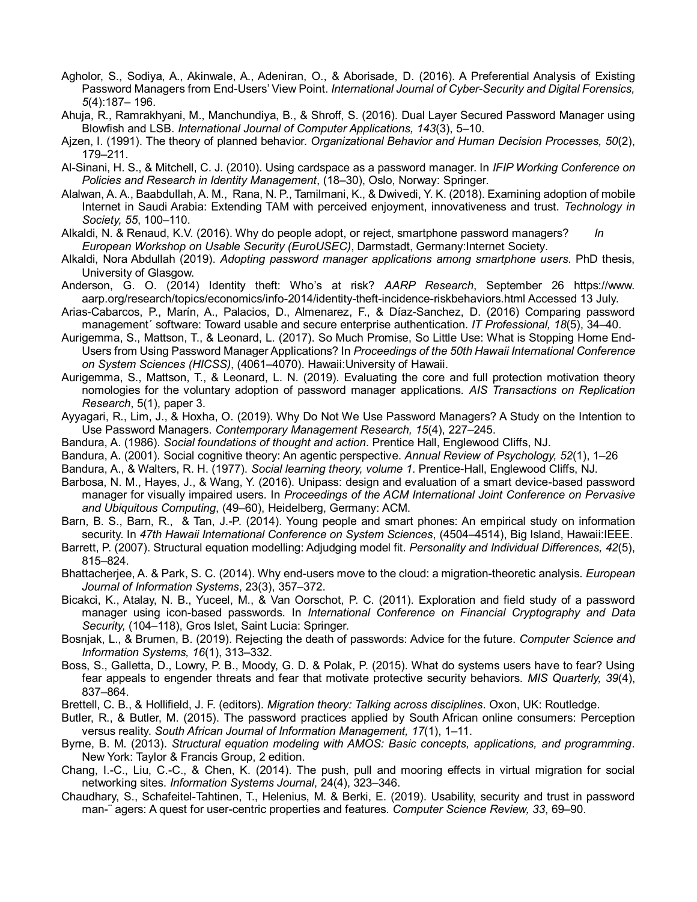- Agholor, S., Sodiya, A., Akinwale, A., Adeniran, O., & Aborisade, D. (2016). A Preferential Analysis of Existing Password Managers from End-Users' View Point. *International Journal of Cyber-Security and Digital Forensics, 5*(4):187– 196.
- Ahuja, R., Ramrakhyani, M., Manchundiya, B., & Shroff, S. (2016). Dual Layer Secured Password Manager using Blowfish and LSB. *International Journal of Computer Applications, 143*(3), 5–10.
- Ajzen, I. (1991). The theory of planned behavior. *Organizational Behavior and Human Decision Processes, 50*(2), 179–211.
- Al-Sinani, H. S., & Mitchell, C. J. (2010). Using cardspace as a password manager. In *IFIP Working Conference on Policies and Research in Identity Management*, (18–30), Oslo, Norway: Springer.
- Alalwan, A. A., Baabdullah, A. M., Rana, N. P., Tamilmani, K., & Dwivedi, Y. K. (2018). Examining adoption of mobile Internet in Saudi Arabia: Extending TAM with perceived enjoyment, innovativeness and trust. *Technology in Society, 55*, 100–110.
- Alkaldi, N. & Renaud, K.V. (2016). Why do people adopt, or reject, smartphone password managers? *In European Workshop on Usable Security (EuroUSEC)*, Darmstadt, Germany:Internet Society.
- Alkaldi, Nora Abdullah (2019). *Adopting password manager applications among smartphone users*. PhD thesis, University of Glasgow.
- Anderson, G. O. (2014) Identity theft: Who's at risk? *AARP Research*, September 26 https://www. aarp.org/research/topics/economics/info-2014/identity-theft-incidence-riskbehaviors.html Accessed 13 July.
- Arias-Cabarcos, P., Marín, A., Palacios, D., Almenarez, F., & Díaz-Sanchez, D. (2016) Comparing password management´ software: Toward usable and secure enterprise authentication*. IT Professional, 18*(5), 34–40.
- Aurigemma, S., Mattson, T., & Leonard, L. (2017). So Much Promise, So Little Use: What is Stopping Home End-Users from Using Password Manager Applications? In *Proceedings of the 50th Hawaii International Conference on System Sciences (HICSS)*, (4061–4070). Hawaii:University of Hawaii.
- Aurigemma, S., Mattson, T., & Leonard, L. N. (2019). Evaluating the core and full protection motivation theory nomologies for the voluntary adoption of password manager applications. *AIS Transactions on Replication Research*, 5(1), paper 3.
- Ayyagari, R., Lim, J., & Hoxha, O. (2019). Why Do Not We Use Password Managers? A Study on the Intention to Use Password Managers. *Contemporary Management Research, 15*(4), 227–245.
- Bandura, A. (1986). *Social foundations of thought and action*. Prentice Hall, Englewood Cliffs, NJ.
- Bandura, A. (2001). Social cognitive theory: An agentic perspective. *Annual Review of Psychology, 52*(1), 1–26
- Bandura, A., & Walters, R. H. (1977). *Social learning theory, volume 1*. Prentice-Hall, Englewood Cliffs, NJ.
- Barbosa, N. M., Hayes, J., & Wang, Y. (2016). Unipass: design and evaluation of a smart device-based password manager for visually impaired users. In *Proceedings of the ACM International Joint Conference on Pervasive and Ubiquitous Computing*, (49–60), Heidelberg, Germany: ACM.
- Barn, B. S., Barn, R., & Tan, J.-P. (2014). Young people and smart phones: An empirical study on information security. In *47th Hawaii International Conference on System Sciences*, (4504–4514), Big Island, Hawaii:IEEE.
- Barrett, P. (2007). Structural equation modelling: Adjudging model fit. *Personality and Individual Differences, 42*(5), 815–824.
- Bhattacherjee, A. & Park, S. C. (2014). Why end-users move to the cloud: a migration-theoretic analysis. *European Journal of Information Systems*, 23(3), 357–372.
- Bicakci, K., Atalay, N. B., Yuceel, M., & Van Oorschot, P. C. (2011). Exploration and field study of a password manager using icon-based passwords. In *International Conference on Financial Cryptography and Data Security,* (104–118), Gros Islet, Saint Lucia: Springer.
- Bosnjak, L., & Brumen, B. (2019). Rejecting the death of passwords: Advice for the future. *Computer Science and Information Systems, 16*(1), 313–332.
- Boss, S., Galletta, D., Lowry, P. B., Moody, G. D. & Polak, P. (2015). What do systems users have to fear? Using fear appeals to engender threats and fear that motivate protective security behaviors. *MIS Quarterly, 39*(4), 837–864.
- Brettell, C. B., & Hollifield, J. F. (editors). *Migration theory: Talking across disciplines*. Oxon, UK: Routledge.
- Butler, R., & Butler, M. (2015). The password practices applied by South African online consumers: Perception versus reality. *South African Journal of Information Management, 17*(1), 1–11.
- Byrne, B. M. (2013). *Structural equation modeling with AMOS: Basic concepts, applications, and programming*. New York: Taylor & Francis Group, 2 edition.
- Chang, I.-C., Liu, C.-C., & Chen, K. (2014). The push, pull and mooring effects in virtual migration for social networking sites. *Information Systems Journal*, 24(4), 323–346.
- Chaudhary, S., Schafeitel-Tahtinen, T., Helenius, M. & Berki, E. (2019). Usability, security and trust in password man-¨ agers: A quest for user-centric properties and features. *Computer Science Review, 33*, 69–90.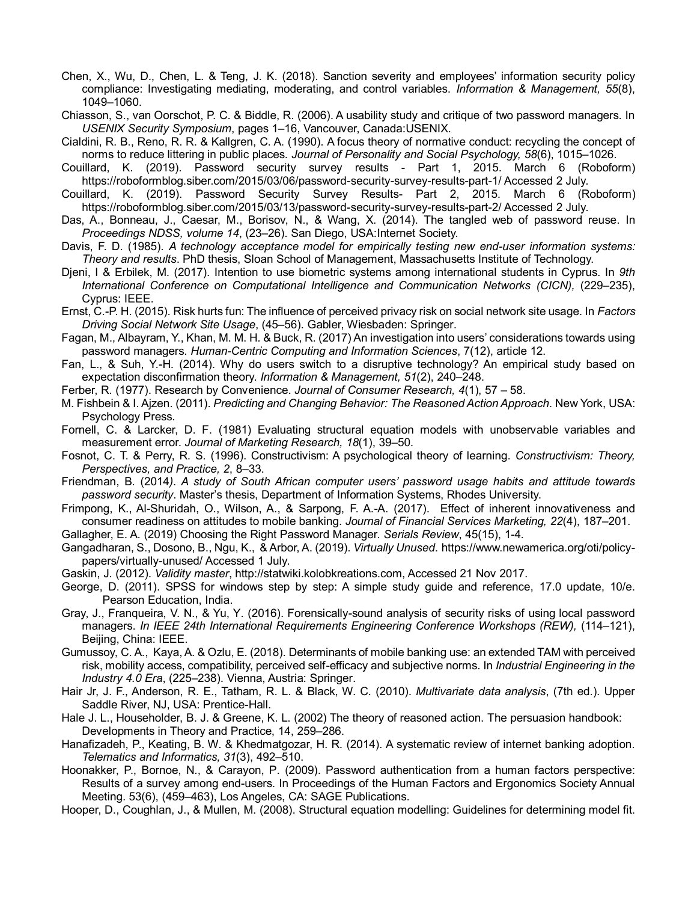- Chen, X., Wu, D., Chen, L. & Teng, J. K. (2018). Sanction severity and employees' information security policy compliance: Investigating mediating, moderating, and control variables. *Information & Management, 55*(8), 1049–1060.
- Chiasson, S., van Oorschot, P. C. & Biddle, R. (2006). A usability study and critique of two password managers. In *USENIX Security Symposium*, pages 1–16, Vancouver, Canada:USENIX.
- Cialdini, R. B., Reno, R. R. & Kallgren, C. A. (1990). A focus theory of normative conduct: recycling the concept of norms to reduce littering in public places. *Journal of Personality and Social Psychology, 58*(6), 1015–1026.
- Couillard, K. (2019). Password security survey results Part 1, 2015. March 6 (Roboform) https://roboformblog.siber.com/2015/03/06/password-security-survey-results-part-1/ Accessed 2 July.
- Couillard, K. (2019). Password Security Survey Results- Part 2, 2015. March 6 (Roboform) https://roboformblog.siber.com/2015/03/13/password-security-survey-results-part-2/ Accessed 2 July.
- Das, A., Bonneau, J., Caesar, M., Borisov, N., & Wang, X. (2014). The tangled web of password reuse. In *Proceedings NDSS, volume 14*, (23–26). San Diego, USA:Internet Society.
- Davis, F. D. (1985). *A technology acceptance model for empirically testing new end-user information systems: Theory and results*. PhD thesis, Sloan School of Management, Massachusetts Institute of Technology.
- Djeni, I & Erbilek, M. (2017). Intention to use biometric systems among international students in Cyprus. In *9th International Conference on Computational Intelligence and Communication Networks (CICN),* (229–235), Cyprus: IEEE.
- Ernst, C.-P. H. (2015). Risk hurts fun: The influence of perceived privacy risk on social network site usage. In *Factors Driving Social Network Site Usage*, (45–56). Gabler, Wiesbaden: Springer.
- Fagan, M., Albayram, Y., Khan, M. M. H. & Buck, R. (2017) An investigation into users' considerations towards using password managers. *Human-Centric Computing and Information Sciences*, 7(12), article 12.
- Fan, L., & Suh, Y.-H. (2014). Why do users switch to a disruptive technology? An empirical study based on expectation disconfirmation theory. *Information & Management, 51*(2), 240–248.
- Ferber, R. (1977). Research by Convenience. *Journal of Consumer Research, 4*(1), 57 58.
- M. Fishbein & I. Ajzen. (2011). *Predicting and Changing Behavior: The Reasoned Action Approach*. New York, USA: Psychology Press.
- Fornell, C. & Larcker, D. F. (1981) Evaluating structural equation models with unobservable variables and measurement error. *Journal of Marketing Research, 18*(1), 39–50.
- Fosnot, C. T. & Perry, R. S. (1996). Constructivism: A psychological theory of learning. *Constructivism: Theory, Perspectives, and Practice, 2*, 8–33.
- Friendman, B. (2014*). A study of South African computer users' password usage habits and attitude towards password security*. Master's thesis, Department of Information Systems, Rhodes University.
- Frimpong, K., Al-Shuridah, O., Wilson, A., & Sarpong, F. A.-A. (2017). Effect of inherent innovativeness and consumer readiness on attitudes to mobile banking. *Journal of Financial Services Marketing, 22*(4), 187–201.
- Gallagher, E. A. (2019) Choosing the Right Password Manager. *Serials Review*, 45(15), 1-4.
- Gangadharan, S., Dosono, B., Ngu, K., & Arbor, A. (2019). *Virtually Unused*. https://www.newamerica.org/oti/policypapers/virtually-unused/ Accessed 1 July.
- Gaskin, J. (2012). *Validity master*, http://statwiki.kolobkreations.com, Accessed 21 Nov 2017.
- George, D. (2011). SPSS for windows step by step: A simple study guide and reference, 17.0 update, 10/e. Pearson Education, India.
- Gray, J., Franqueira, V. N., & Yu, Y. (2016). Forensically-sound analysis of security risks of using local password managers. *In IEEE 24th International Requirements Engineering Conference Workshops (REW),* (114–121), Beijing, China: IEEE.
- Gumussoy, C. A., Kaya, A. & Ozlu, E. (2018). Determinants of mobile banking use: an extended TAM with perceived risk, mobility access, compatibility, perceived self-efficacy and subjective norms. In *Industrial Engineering in the Industry 4.0 Era*, (225–238). Vienna, Austria: Springer.
- Hair Jr, J. F., Anderson, R. E., Tatham, R. L. & Black, W. C. (2010). *Multivariate data analysis*, (7th ed.). Upper Saddle River, NJ, USA: Prentice-Hall.
- Hale J. L., Householder, B. J. & Greene, K. L. (2002) The theory of reasoned action. The persuasion handbook: Developments in Theory and Practice, 14, 259–286.
- Hanafizadeh, P., Keating, B. W. & Khedmatgozar, H. R. (2014). A systematic review of internet banking adoption. *Telematics and Informatics, 31*(3), 492–510.
- Hoonakker, P., Bornoe, N., & Carayon, P. (2009). Password authentication from a human factors perspective: Results of a survey among end-users. In Proceedings of the Human Factors and Ergonomics Society Annual Meeting. 53(6), (459–463), Los Angeles, CA: SAGE Publications.
- Hooper, D., Coughlan, J., & Mullen, M. (2008). Structural equation modelling: Guidelines for determining model fit.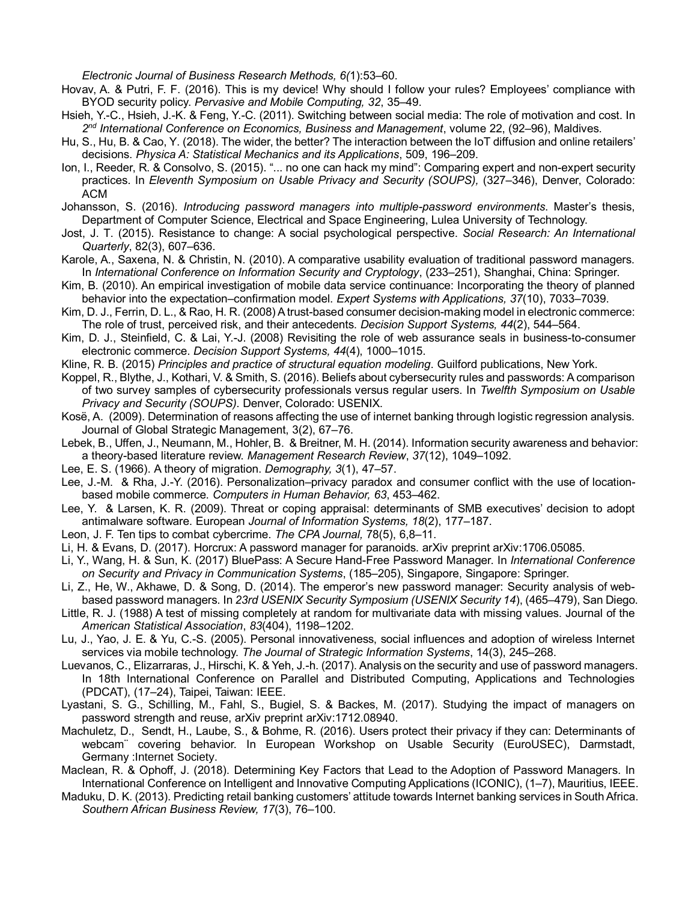*Electronic Journal of Business Research Methods, 6(*1):53–60.

- Hovav, A. & Putri, F. F. (2016). This is my device! Why should I follow your rules? Employees' compliance with BYOD security policy. *Pervasive and Mobile Computing, 32*, 35–49.
- Hsieh, Y.-C., Hsieh, J.-K. & Feng, Y.-C. (2011). Switching between social media: The role of motivation and cost. In 2<sup>nd</sup> International Conference on Economics, Business and Management, volume 22, (92–96), Maldives.
- Hu, S., Hu, B. & Cao, Y. (2018). The wider, the better? The interaction between the IoT diffusion and online retailers' decisions. *Physica A: Statistical Mechanics and its Applications*, 509, 196–209.
- Ion, I., Reeder, R. & Consolvo, S. (2015). "... no one can hack my mind": Comparing expert and non-expert security practices. In *Eleventh Symposium on Usable Privacy and Security (SOUPS),* (327–346), Denver, Colorado: ACM
- Johansson, S. (2016). *Introducing password managers into multiple-password environments*. Master's thesis, Department of Computer Science, Electrical and Space Engineering, Lulea University of Technology.
- Jost, J. T. (2015). Resistance to change: A social psychological perspective. *Social Research: An International Quarterly*, 82(3), 607–636.
- Karole, A., Saxena, N. & Christin, N. (2010). A comparative usability evaluation of traditional password managers. In *International Conference on Information Security and Cryptology*, (233–251), Shanghai, China: Springer.
- Kim, B. (2010). An empirical investigation of mobile data service continuance: Incorporating the theory of planned behavior into the expectation–confirmation model. *Expert Systems with Applications, 37*(10), 7033–7039.
- Kim, D. J., Ferrin, D. L., & Rao, H. R. (2008) A trust-based consumer decision-making model in electronic commerce: The role of trust, perceived risk, and their antecedents. *Decision Support Systems, 44*(2), 544–564.
- Kim, D. J., Steinfield, C. & Lai, Y.-J. (2008) Revisiting the role of web assurance seals in business-to-consumer electronic commerce. *Decision Support Systems, 44*(4), 1000–1015.
- Kline, R. B. (2015) *Principles and practice of structural equation modeling*. Guilford publications, New York.
- Koppel, R., Blythe, J., Kothari, V. & Smith, S. (2016). Beliefs about cybersecurity rules and passwords: A comparison of two survey samples of cybersecurity professionals versus regular users. In *Twelfth Symposium on Usable Privacy and Security (SOUPS)*. Denver, Colorado: USENIX.
- Kosë, A. (2009). Determination of reasons affecting the use of internet banking through logistic regression analysis. Journal of Global Strategic Management, 3(2), 67–76.
- Lebek, B., Uffen, J., Neumann, M., Hohler, B. & Breitner, M. H. (2014). Information security awareness and behavior: a theory-based literature review. *Management Research Review*, *37*(12), 1049–1092.
- Lee, E. S. (1966). A theory of migration. *Demography, 3*(1), 47–57.
- Lee, J.-M. & Rha, J.-Y. (2016). Personalization–privacy paradox and consumer conflict with the use of locationbased mobile commerce. *Computers in Human Behavior, 63*, 453–462.
- Lee, Y. & Larsen, K. R. (2009). Threat or coping appraisal: determinants of SMB executives' decision to adopt antimalware software. European *Journal of Information Systems, 18*(2), 177–187.
- Leon, J. F. Ten tips to combat cybercrime. *The CPA Journal,* 78(5), 6,8–11.
- Li, H. & Evans, D. (2017). Horcrux: A password manager for paranoids. arXiv preprint arXiv:1706.05085.
- Li, Y., Wang, H. & Sun, K. (2017) BluePass: A Secure Hand-Free Password Manager. In *International Conference on Security and Privacy in Communication Systems*, (185–205), Singapore, Singapore: Springer.
- Li, Z., He, W., Akhawe, D. & Song, D. (2014). The emperor's new password manager: Security analysis of webbased password managers. In *23rd USENIX Security Symposium (USENIX Security 14*), (465–479), San Diego.
- Little, R. J. (1988) A test of missing completely at random for multivariate data with missing values. Journal of the *American Statistical Association*, *83*(404), 1198–1202.
- Lu, J., Yao, J. E. & Yu, C.-S. (2005). Personal innovativeness, social influences and adoption of wireless Internet services via mobile technology. *The Journal of Strategic Information Systems*, 14(3), 245–268.
- Luevanos, C., Elizarraras, J., Hirschi, K. & Yeh, J.-h. (2017). Analysis on the security and use of password managers. In 18th International Conference on Parallel and Distributed Computing, Applications and Technologies (PDCAT), (17–24), Taipei, Taiwan: IEEE.
- Lyastani, S. G., Schilling, M., Fahl, S., Bugiel, S. & Backes, M. (2017). Studying the impact of managers on password strength and reuse, arXiv preprint arXiv:1712.08940.
- Machuletz, D., Sendt, H., Laube, S., & Bohme, R. (2016). Users protect their privacy if they can: Determinants of webcam¨ covering behavior. In European Workshop on Usable Security (EuroUSEC), Darmstadt, Germany :Internet Society.
- Maclean, R. & Ophoff, J. (2018). Determining Key Factors that Lead to the Adoption of Password Managers. In International Conference on Intelligent and Innovative Computing Applications (ICONIC), (1–7), Mauritius, IEEE.
- Maduku, D. K. (2013). Predicting retail banking customers' attitude towards Internet banking services in South Africa. *Southern African Business Review, 17*(3), 76–100.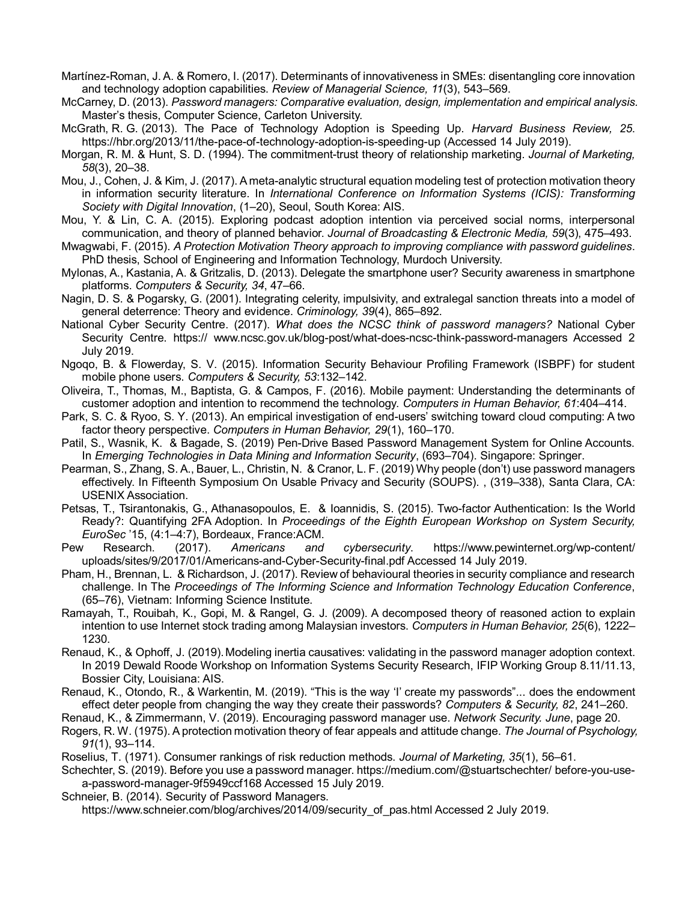- Martínez-Roman, J. A. & Romero, I. (2017). Determinants of innovativeness in SMEs: disentangling core innovation and technology adoption capabilities. *Review of Managerial Science, 11*(3), 543–569.
- McCarney, D. (2013). *Password managers: Comparative evaluation, design, implementation and empirical analysis.*  Master's thesis, Computer Science, Carleton University.
- McGrath, R. G. (2013). The Pace of Technology Adoption is Speeding Up. *Harvard Business Review, 25*. <https://hbr.org/2013/11/the-pace-of-technology-adoption-is-speeding-up> (Accessed 14 July 2019).
- Morgan, R. M. & Hunt, S. D. (1994). The commitment-trust theory of relationship marketing. *Journal of Marketing, 58*(3), 20–38.
- Mou, J., Cohen, J. & Kim, J. (2017). A meta-analytic structural equation modeling test of protection motivation theory in information security literature. In *International Conference on Information Systems (ICIS): Transforming Society with Digital Innovation*, (1–20), Seoul, South Korea: AIS.
- Mou, Y. & Lin, C. A. (2015). Exploring podcast adoption intention via perceived social norms, interpersonal communication, and theory of planned behavior. *Journal of Broadcasting & Electronic Media, 59*(3), 475–493.
- Mwagwabi, F. (2015). *A Protection Motivation Theory approach to improving compliance with password guidelines*. PhD thesis, School of Engineering and Information Technology, Murdoch University.
- Mylonas, A., Kastania, A. & Gritzalis, D. (2013). Delegate the smartphone user? Security awareness in smartphone platforms. *Computers & Security, 34*, 47–66.
- Nagin, D. S. & Pogarsky, G. (2001). Integrating celerity, impulsivity, and extralegal sanction threats into a model of general deterrence: Theory and evidence. *Criminology, 39*(4), 865–892.
- National Cyber Security Centre. (2017). *What does the NCSC think of password managers?* National Cyber Security Centre. https:// www.ncsc.gov.uk/blog-post/what-does-ncsc-think-password-managers Accessed 2 July 2019.
- Ngoqo, B. & Flowerday, S. V. (2015). Information Security Behaviour Profiling Framework (ISBPF) for student mobile phone users. *Computers & Security, 53*:132–142.
- Oliveira, T., Thomas, M., Baptista, G. & Campos, F. (2016). Mobile payment: Understanding the determinants of customer adoption and intention to recommend the technology. *Computers in Human Behavior, 61*:404–414.
- Park, S. C. & Ryoo, S. Y. (2013). An empirical investigation of end-users' switching toward cloud computing: A two factor theory perspective. *Computers in Human Behavior, 29*(1), 160–170.
- Patil, S., Wasnik, K. & Bagade, S. (2019) Pen-Drive Based Password Management System for Online Accounts. In *Emerging Technologies in Data Mining and Information Security*, (693–704). Singapore: Springer.
- Pearman, S., Zhang, S. A., Bauer, L., Christin, N. & Cranor, L. F. (2019) Why people (don't) use password managers effectively. In Fifteenth Symposium On Usable Privacy and Security (SOUPS). , (319–338), Santa Clara, CA: USENIX Association.
- Petsas, T., Tsirantonakis, G., Athanasopoulos, E. & Ioannidis, S. (2015). Two-factor Authentication: Is the World Ready?: Quantifying 2FA Adoption. In *Proceedings of the Eighth European Workshop on System Security, EuroSec* '15, (4:1–4:7), Bordeaux, France:ACM.
- Pew Research. (2017). *Americans and cybersecur*i*ty*. https://www.pewinternet.org/wp-content/ uploads/sites/9/2017/01/Americans-and-Cyber-Security-final.pdf Accessed 14 July 2019.
- Pham, H., Brennan, L. & Richardson, J. (2017). Review of behavioural theories in security compliance and research challenge. In The *Proceedings of The Informing Science and Information Technology Education Conference*, (65–76), Vietnam: Informing Science Institute.
- Ramayah, T., Rouibah, K., Gopi, M. & Rangel, G. J. (2009). A decomposed theory of reasoned action to explain intention to use Internet stock trading among Malaysian investors. *Computers in Human Behavior, 25*(6), 1222– 1230.
- Renaud, K., & Ophoff, J. (2019).Modeling inertia causatives: validating in the password manager adoption context. In 2019 Dewald Roode Workshop on Information Systems Security Research, IFIP Working Group 8.11/11.13, Bossier City, Louisiana: AIS.
- Renaud, K., Otondo, R., & Warkentin, M. (2019). "This is the way 'I' create my passwords"... does the endowment effect deter people from changing the way they create their passwords? *Computers & Security, 82*, 241–260.
- Renaud, K., & Zimmermann, V. (2019). Encouraging password manager use. *Network Security. June*, page 20.
- Rogers, R. W. (1975). A protection motivation theory of fear appeals and attitude change. *The Journal of Psychology, 91*(1), 93–114.
- Roselius, T. (1971). Consumer rankings of risk reduction methods. *Journal of Marketing, 35*(1), 56–61.
- Schechter, S. (2019). Before you use a password manager. https://medium.com/@stuartschechter/ before-you-usea-password-manager-9f5949ccf168 Accessed 15 July 2019.
- Schneier, B. (2014). Security of Password Managers.
	- https://www.schneier.com/blog/archives/2014/09/security of pas.html Accessed 2 July 2019.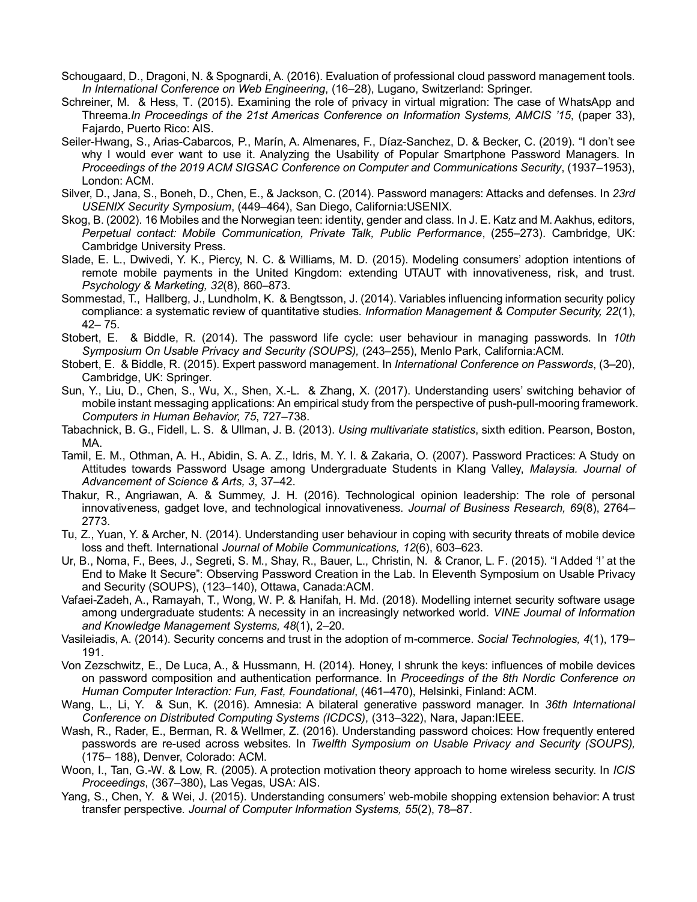- Schougaard, D., Dragoni, N. & Spognardi, A. (2016). Evaluation of professional cloud password management tools. *In International Conference on Web Engineering*, (16–28), Lugano, Switzerland: Springer.
- Schreiner, M. & Hess, T. (2015). Examining the role of privacy in virtual migration: The case of WhatsApp and Threema.*In Proceedings of the 21st Americas Conference on Information Systems, AMCIS '15*, (paper 33), Fajardo, Puerto Rico: AIS.
- Seiler-Hwang, S., Arias-Cabarcos, P., Marín, A. Almenares, F., Díaz-Sanchez, D. & Becker, C. (2019). "I don't see why I would ever want to use it. Analyzing the Usability of Popular Smartphone Password Managers. In *Proceedings of the 2019 ACM SIGSAC Conference on Computer and Communications Security*, (1937–1953), London: ACM.
- Silver, D., Jana, S., Boneh, D., Chen, E., & Jackson, C. (2014). Password managers: Attacks and defenses. In *23rd USENIX Security Symposium*, (449–464), San Diego, California:USENIX.
- Skog, B. (2002). 16 Mobiles and the Norwegian teen: identity, gender and class. In J. E. Katz and M. Aakhus, editors, *Perpetual contact: Mobile Communication, Private Talk, Public Performance*, (255–273). Cambridge, UK: Cambridge University Press.
- Slade, E. L., Dwivedi, Y. K., Piercy, N. C. & Williams, M. D. (2015). Modeling consumers' adoption intentions of remote mobile payments in the United Kingdom: extending UTAUT with innovativeness, risk, and trust. *Psychology & Marketing, 32*(8), 860–873.
- Sommestad, T., Hallberg, J., Lundholm, K. & Bengtsson, J. (2014). Variables influencing information security policy compliance: a systematic review of quantitative studies*. Information Management & Computer Security, 22*(1), 42– 75.
- Stobert, E. & Biddle, R. (2014). The password life cycle: user behaviour in managing passwords. In *10th Symposium On Usable Privacy and Security (SOUPS),* (243–255), Menlo Park, California:ACM.
- Stobert, E. & Biddle, R. (2015). Expert password management. In *International Conference on Passwords*, (3–20), Cambridge, UK: Springer.
- Sun, Y., Liu, D., Chen, S., Wu, X., Shen, X.-L. & Zhang, X. (2017). Understanding users' switching behavior of mobile instant messaging applications: An empirical study from the perspective of push-pull-mooring framework. *Computers in Human Behavior, 75*, 727–738.
- Tabachnick, B. G., Fidell, L. S. & Ullman, J. B. (2013). *Using multivariate statistics*, sixth edition. Pearson, Boston, MA.
- Tamil, E. M., Othman, A. H., Abidin, S. A. Z., Idris, M. Y. I. & Zakaria, O. (2007). Password Practices: A Study on Attitudes towards Password Usage among Undergraduate Students in Klang Valley, *Malaysia. Journal of Advancement of Science & Arts, 3*, 37–42.
- Thakur, R., Angriawan, A. & Summey, J. H. (2016). Technological opinion leadership: The role of personal innovativeness, gadget love, and technological innovativeness. *Journal of Business Research, 69*(8), 2764– 2773.
- Tu, Z., Yuan, Y. & Archer, N. (2014). Understanding user behaviour in coping with security threats of mobile device loss and theft. International *Journal of Mobile Communications, 12*(6), 603–623.
- Ur, B., Noma, F., Bees, J., Segreti, S. M., Shay, R., Bauer, L., Christin, N. & Cranor, L. F. (2015). "I Added '!' at the End to Make It Secure": Observing Password Creation in the Lab. In Eleventh Symposium on Usable Privacy and Security (SOUPS), (123–140), Ottawa, Canada:ACM.
- Vafaei-Zadeh, A., Ramayah, T., Wong, W. P. & Hanifah, H. Md. (2018). Modelling internet security software usage among undergraduate students: A necessity in an increasingly networked world. *VINE Journal of Information and Knowledge Management Systems, 48*(1), 2–20.
- Vasileiadis, A. (2014). Security concerns and trust in the adoption of m-commerce. *Social Technologies, 4*(1), 179– 191.
- Von Zezschwitz, E., De Luca, A., & Hussmann, H. (2014). Honey, I shrunk the keys: influences of mobile devices on password composition and authentication performance. In *Proceedings of the 8th Nordic Conference on Human Computer Interaction: Fun, Fast, Foundational*, (461–470), Helsinki, Finland: ACM.
- Wang, L., Li, Y. & Sun, K. (2016). Amnesia: A bilateral generative password manager. In *36th International Conference on Distributed Computing Systems (ICDCS)*, (313–322), Nara, Japan:IEEE.
- Wash, R., Rader, E., Berman, R. & Wellmer, Z. (2016). Understanding password choices: How frequently entered passwords are re-used across websites. In *Twelfth Symposium on Usable Privacy and Security (SOUPS),*  (175– 188), Denver, Colorado: ACM.
- Woon, I., Tan, G.-W. & Low, R. (2005). A protection motivation theory approach to home wireless security. In *ICIS Proceedings*, (367–380), Las Vegas, USA: AIS.
- Yang, S., Chen, Y. & Wei, J. (2015). Understanding consumers' web-mobile shopping extension behavior: A trust transfer perspective. *Journal of Computer Information Systems, 55*(2), 78–87.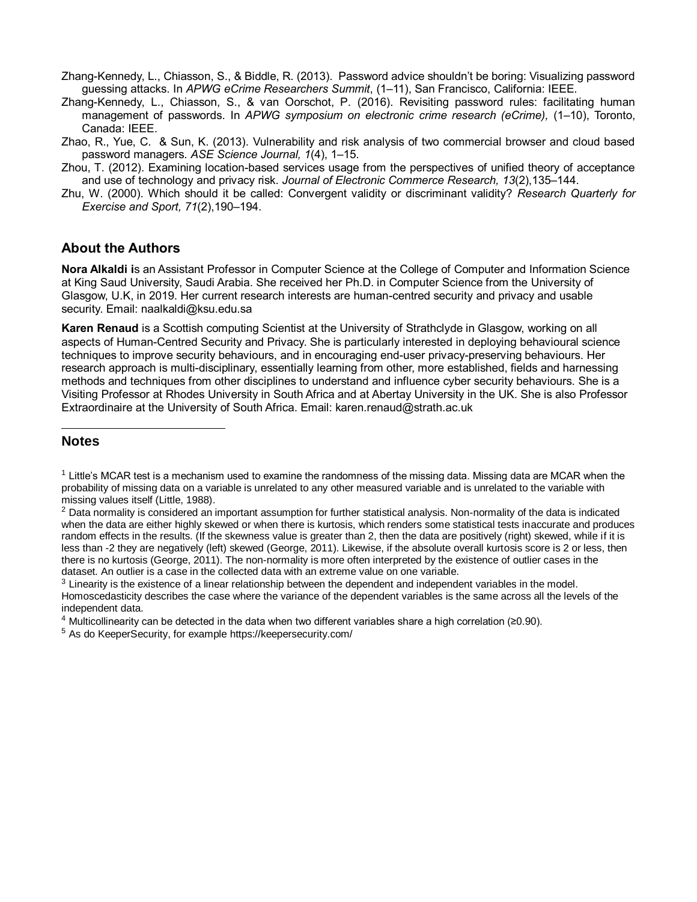- Zhang-Kennedy, L., Chiasson, S., & Biddle, R. (2013). Password advice shouldn't be boring: Visualizing password guessing attacks. In *APWG eCrime Researchers Summit*, (1–11), San Francisco, California: IEEE.
- Zhang-Kennedy, L., Chiasson, S., & van Oorschot, P. (2016). Revisiting password rules: facilitating human management of passwords. In *APWG symposium on electronic crime research (eCrime),* (1–10), Toronto, Canada: IEEE.
- Zhao, R., Yue, C. & Sun, K. (2013). Vulnerability and risk analysis of two commercial browser and cloud based password managers. *ASE Science Journal, 1*(4), 1–15.
- Zhou, T. (2012). Examining location-based services usage from the perspectives of unified theory of acceptance and use of technology and privacy risk. *Journal of Electronic Commerce Research, 13*(2),135–144.
- Zhu, W. (2000). Which should it be called: Convergent validity or discriminant validity? *Research Quarterly for Exercise and Sport, 71*(2),190–194.

# **About the Authors**

**Nora Alkaldi i**s an Assistant Professor in Computer Science at the College of Computer and Information Science at King Saud University, Saudi Arabia. She received her Ph.D. in Computer Science from the University of Glasgow, U.K, in 2019. Her current research interests are human-centred security and privacy and usable security. Email: naalkaldi@ksu.edu.sa

**Karen Renaud** is a Scottish computing Scientist at the University of Strathclyde in Glasgow, working on all aspects of Human-Centred Security and Privacy. She is particularly interested in deploying behavioural science techniques to improve security behaviours, and in encouraging end-user privacy-preserving behaviours. Her research approach is multi-disciplinary, essentially learning from other, more established, fields and harnessing methods and techniques from other disciplines to understand and influence cyber security behaviours. She is a Visiting Professor at Rhodes University in South Africa and at Abertay University in the UK. She is also Professor Extraordinaire at the University of South Africa. Email: [karen.renaud@strath.ac.uk](mailto:karen.renaud@strath.ac.uk)

# **Notes**

l

- <sup>4</sup> Multicollinearity can be detected in the data when two different variables share a high correlation (≥0.90).
- <sup>5</sup> As do KeeperSecurity, for example<https://keepersecurity.com/>

 $1$  Little's MCAR test is a mechanism used to examine the randomness of the missing data. Missing data are MCAR when the probability of missing data on a variable is unrelated to any other measured variable and is unrelated to the variable with missing values itself (Little, 1988).

 $<sup>2</sup>$  Data normality is considered an important assumption for further statistical analysis. Non-normality of the data is indicated</sup> when the data are either highly skewed or when there is kurtosis, which renders some statistical tests inaccurate and produces random effects in the results. (If the skewness value is greater than 2, then the data are positively (right) skewed, while if it is less than -2 they are negatively (left) skewed (George, 2011). Likewise, if the absolute overall kurtosis score is 2 or less, then there is no kurtosis (George, 2011). The non-normality is more often interpreted by the existence of outlier cases in the dataset. An outlier is a case in the collected data with an extreme value on one variable.

 $3$  Linearity is the existence of a linear relationship between the dependent and independent variables in the model. Homoscedasticity describes the case where the variance of the dependent variables is the same across all the levels of the independent data.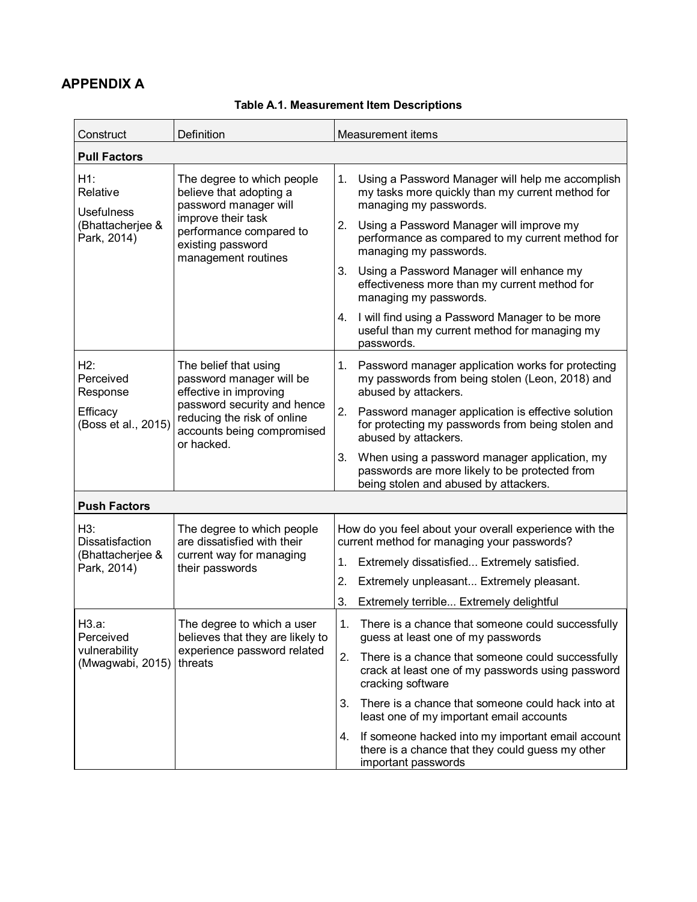# **APPENDIX A**

| Construct                            | Definition                                                                                             | Measurement items                                                                                                                              |
|--------------------------------------|--------------------------------------------------------------------------------------------------------|------------------------------------------------------------------------------------------------------------------------------------------------|
| <b>Pull Factors</b>                  |                                                                                                        |                                                                                                                                                |
| H1:<br>Relative<br><b>Usefulness</b> | The degree to which people<br>believe that adopting a<br>password manager will                         | Using a Password Manager will help me accomplish<br>1.<br>my tasks more quickly than my current method for<br>managing my passwords.           |
| (Bhattacherjee &<br>Park, 2014)      | improve their task<br>performance compared to<br>existing password<br>management routines              | Using a Password Manager will improve my<br>2.<br>performance as compared to my current method for<br>managing my passwords.                   |
|                                      |                                                                                                        | 3.<br>Using a Password Manager will enhance my<br>effectiveness more than my current method for<br>managing my passwords.                      |
|                                      |                                                                                                        | I will find using a Password Manager to be more<br>4.<br>useful than my current method for managing my<br>passwords.                           |
| H2:<br>Perceived<br>Response         | The belief that using<br>password manager will be<br>effective in improving                            | Password manager application works for protecting<br>1.<br>my passwords from being stolen (Leon, 2018) and<br>abused by attackers.             |
| Efficacy<br>(Boss et al., 2015)      | password security and hence<br>reducing the risk of online<br>accounts being compromised<br>or hacked. | 2.<br>Password manager application is effective solution<br>for protecting my passwords from being stolen and<br>abused by attackers.          |
|                                      |                                                                                                        | 3.<br>When using a password manager application, my<br>passwords are more likely to be protected from<br>being stolen and abused by attackers. |
| <b>Push Factors</b>                  |                                                                                                        |                                                                                                                                                |
| H3:<br>Dissatisfaction               | The degree to which people<br>are dissatisfied with their                                              | How do you feel about your overall experience with the<br>current method for managing your passwords?                                          |
| (Bhattacherjee &<br>Park, 2014)      | current way for managing<br>their passwords                                                            | Extremely dissatisfied Extremely satisfied.<br>1.                                                                                              |
|                                      |                                                                                                        | 2.<br>Extremely unpleasant Extremely pleasant.                                                                                                 |
|                                      |                                                                                                        | 3.<br>Extremely terrible Extremely delightful                                                                                                  |
| H3.a:<br>Perceived                   | The degree to which a user<br>believes that they are likely to                                         | 1.<br>There is a chance that someone could successfully<br>guess at least one of my passwords                                                  |
| vulnerability<br>(Mwagwabi, 2015)    | experience password related<br>threats                                                                 | 2.<br>There is a chance that someone could successfully<br>crack at least one of my passwords using password<br>cracking software              |
|                                      |                                                                                                        | There is a chance that someone could hack into at<br>3.<br>least one of my important email accounts                                            |
|                                      |                                                                                                        | If someone hacked into my important email account<br>4.<br>there is a chance that they could guess my other<br>important passwords             |

# **Table A.1. Measurement Item Descriptions**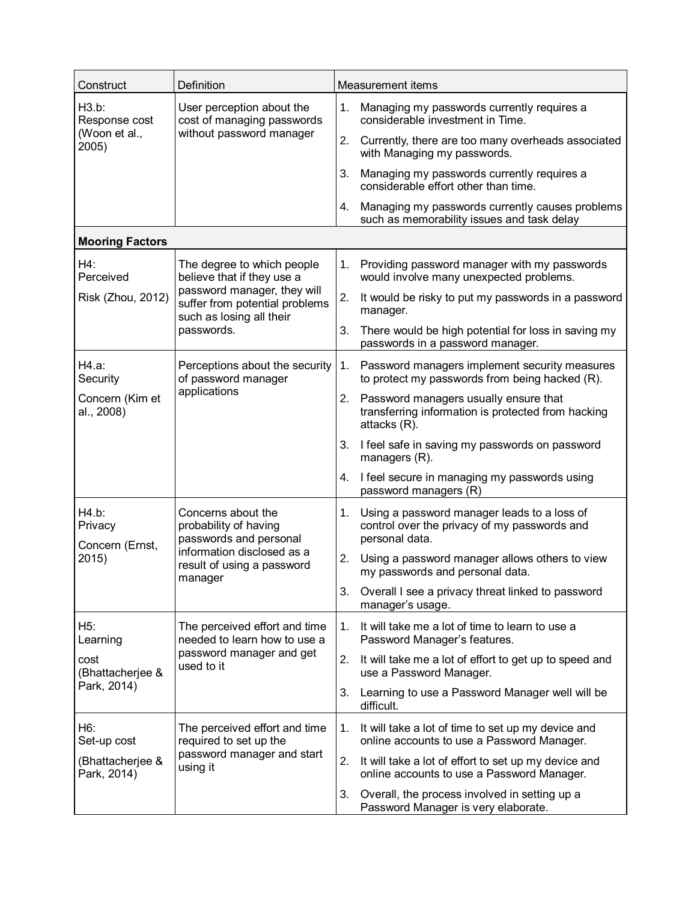| Construct                           | Definition                                                                                | Measurement items |                                                                                                                |  |  |
|-------------------------------------|-------------------------------------------------------------------------------------------|-------------------|----------------------------------------------------------------------------------------------------------------|--|--|
| H3.b:<br>Response cost              | User perception about the<br>cost of managing passwords                                   | 1.                | Managing my passwords currently requires a<br>considerable investment in Time.                                 |  |  |
| (Woon et al.,<br>2005)              | without password manager                                                                  | 2.                | Currently, there are too many overheads associated<br>with Managing my passwords.                              |  |  |
|                                     |                                                                                           | 3.                | Managing my passwords currently requires a<br>considerable effort other than time.                             |  |  |
|                                     |                                                                                           | 4.                | Managing my passwords currently causes problems<br>such as memorability issues and task delay                  |  |  |
| <b>Mooring Factors</b>              |                                                                                           |                   |                                                                                                                |  |  |
| H4:<br>Perceived                    | The degree to which people<br>believe that if they use a                                  | 1.                | Providing password manager with my passwords<br>would involve many unexpected problems.                        |  |  |
| Risk (Zhou, 2012)                   | password manager, they will<br>suffer from potential problems<br>such as losing all their | 2.                | It would be risky to put my passwords in a password<br>manager.                                                |  |  |
|                                     | passwords.                                                                                | 3.                | There would be high potential for loss in saving my<br>passwords in a password manager.                        |  |  |
| H4.a:<br>Security                   | Perceptions about the security<br>of password manager<br>applications                     | 1.                | Password managers implement security measures<br>to protect my passwords from being hacked (R).                |  |  |
| Concern (Kim et<br>al., 2008)       |                                                                                           |                   | 2. Password managers usually ensure that<br>transferring information is protected from hacking<br>attacks (R). |  |  |
|                                     |                                                                                           |                   | I feel safe in saving my passwords on password<br>managers (R).                                                |  |  |
|                                     |                                                                                           | 4.                | I feel secure in managing my passwords using<br>password managers (R)                                          |  |  |
| H4.b:<br>Privacy<br>Concern (Ernst, | Concerns about the<br>probability of having<br>passwords and personal                     | 1.                | Using a password manager leads to a loss of<br>control over the privacy of my passwords and<br>personal data.  |  |  |
| 2015)                               | information disclosed as a<br>result of using a password                                  | 2.                | Using a password manager allows others to view<br>my passwords and personal data.                              |  |  |
|                                     | manager                                                                                   | 3.                | Overall I see a privacy threat linked to password<br>manager's usage.                                          |  |  |
| H5:<br>Learning                     | The perceived effort and time<br>needed to learn how to use a                             | 1.                | It will take me a lot of time to learn to use a<br>Password Manager's features.                                |  |  |
| cost<br>(Bhattacherjee &            | password manager and get<br>used to it                                                    | 2.                | It will take me a lot of effort to get up to speed and<br>use a Password Manager.                              |  |  |
| Park, 2014)                         |                                                                                           | 3.                | Learning to use a Password Manager well will be<br>difficult.                                                  |  |  |
| H6:<br>Set-up cost                  | The perceived effort and time<br>required to set up the                                   | 1.                | It will take a lot of time to set up my device and<br>online accounts to use a Password Manager.               |  |  |
| (Bhattacherjee &<br>Park, 2014)     | password manager and start<br>using it                                                    |                   | It will take a lot of effort to set up my device and<br>online accounts to use a Password Manager.             |  |  |
|                                     |                                                                                           | 3.                | Overall, the process involved in setting up a<br>Password Manager is very elaborate.                           |  |  |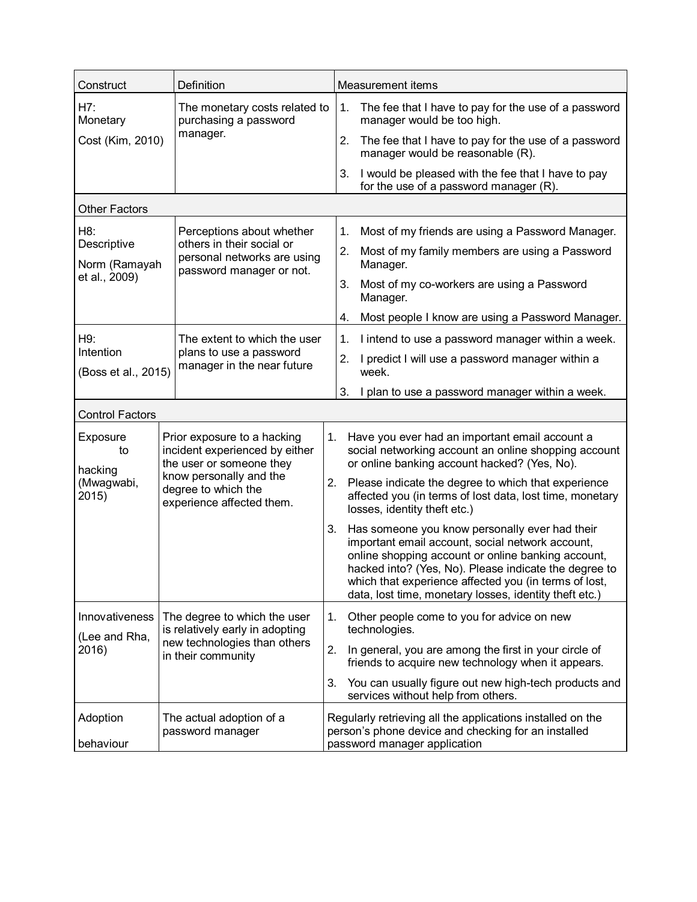| Construct                        |                                              | Definition                                                                                |    |                                                                                                                                                                                                                                                                                                                                            | Measurement items                                                                                                                                      |  |  |  |
|----------------------------------|----------------------------------------------|-------------------------------------------------------------------------------------------|----|--------------------------------------------------------------------------------------------------------------------------------------------------------------------------------------------------------------------------------------------------------------------------------------------------------------------------------------------|--------------------------------------------------------------------------------------------------------------------------------------------------------|--|--|--|
| H7:<br>Monetary                  |                                              | The monetary costs related to<br>purchasing a password                                    |    | 1.                                                                                                                                                                                                                                                                                                                                         | The fee that I have to pay for the use of a password<br>manager would be too high.                                                                     |  |  |  |
| Cost (Kim, 2010)                 |                                              | manager.                                                                                  |    | 2.                                                                                                                                                                                                                                                                                                                                         | The fee that I have to pay for the use of a password<br>manager would be reasonable (R).                                                               |  |  |  |
|                                  |                                              |                                                                                           |    | 3.                                                                                                                                                                                                                                                                                                                                         | I would be pleased with the fee that I have to pay<br>for the use of a password manager (R).                                                           |  |  |  |
| <b>Other Factors</b>             |                                              |                                                                                           |    |                                                                                                                                                                                                                                                                                                                                            |                                                                                                                                                        |  |  |  |
| H8:                              |                                              | Perceptions about whether                                                                 |    | 1.                                                                                                                                                                                                                                                                                                                                         | Most of my friends are using a Password Manager.                                                                                                       |  |  |  |
| Descriptive<br>Norm (Ramayah     |                                              | others in their social or<br>personal networks are using<br>password manager or not.      |    | 2.                                                                                                                                                                                                                                                                                                                                         | Most of my family members are using a Password<br>Manager.                                                                                             |  |  |  |
| et al., 2009)                    |                                              |                                                                                           |    |                                                                                                                                                                                                                                                                                                                                            | Most of my co-workers are using a Password<br>Manager.                                                                                                 |  |  |  |
|                                  |                                              |                                                                                           |    | 4.                                                                                                                                                                                                                                                                                                                                         | Most people I know are using a Password Manager.                                                                                                       |  |  |  |
| H9:                              |                                              | The extent to which the user                                                              |    | 1.                                                                                                                                                                                                                                                                                                                                         | I intend to use a password manager within a week.                                                                                                      |  |  |  |
| Intention<br>(Boss et al., 2015) |                                              | plans to use a password<br>manager in the near future                                     |    | 2.                                                                                                                                                                                                                                                                                                                                         | I predict I will use a password manager within a<br>week.                                                                                              |  |  |  |
|                                  |                                              |                                                                                           |    | 3.                                                                                                                                                                                                                                                                                                                                         | I plan to use a password manager within a week.                                                                                                        |  |  |  |
| <b>Control Factors</b>           |                                              |                                                                                           |    |                                                                                                                                                                                                                                                                                                                                            |                                                                                                                                                        |  |  |  |
| Exposure<br>to                   |                                              | Prior exposure to a hacking<br>incident experienced by either<br>the user or someone they | 1. |                                                                                                                                                                                                                                                                                                                                            | Have you ever had an important email account a<br>social networking account an online shopping account<br>or online banking account hacked? (Yes, No). |  |  |  |
| hacking<br>(Mwagwabi,<br>2015)   |                                              | know personally and the<br>degree to which the<br>experience affected them.               | 2. |                                                                                                                                                                                                                                                                                                                                            | Please indicate the degree to which that experience<br>affected you (in terms of lost data, lost time, monetary<br>losses, identity theft etc.)        |  |  |  |
|                                  |                                              |                                                                                           |    | Has someone you know personally ever had their<br>3.<br>important email account, social network account,<br>online shopping account or online banking account,<br>hacked into? (Yes, No). Please indicate the degree to<br>which that experience affected you (in terms of lost,<br>data, lost time, monetary losses, identity theft etc.) |                                                                                                                                                        |  |  |  |
| Innovativeness                   |                                              | The degree to which the user                                                              | 1. |                                                                                                                                                                                                                                                                                                                                            | Other people come to you for advice on new                                                                                                             |  |  |  |
| (Lee and Rha,                    |                                              | is relatively early in adopting<br>new technologies than others                           |    |                                                                                                                                                                                                                                                                                                                                            | technologies.                                                                                                                                          |  |  |  |
| 2016)                            | in their community                           |                                                                                           | 2. |                                                                                                                                                                                                                                                                                                                                            | In general, you are among the first in your circle of<br>friends to acquire new technology when it appears.                                            |  |  |  |
|                                  |                                              |                                                                                           |    | 3.                                                                                                                                                                                                                                                                                                                                         | You can usually figure out new high-tech products and<br>services without help from others.                                                            |  |  |  |
| Adoption<br>behaviour            | The actual adoption of a<br>password manager |                                                                                           |    | Regularly retrieving all the applications installed on the<br>person's phone device and checking for an installed<br>password manager application                                                                                                                                                                                          |                                                                                                                                                        |  |  |  |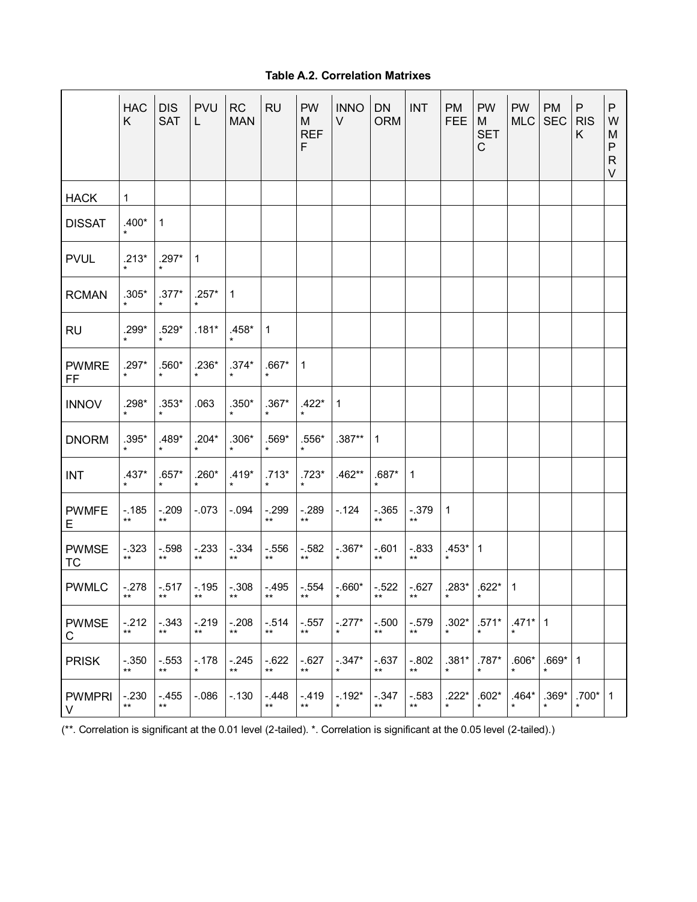# **Table A.2. Correlation Matrixes**

|                           | <b>HAC</b><br>K   | <b>DIS</b><br><b>SAT</b>   | <b>PVU</b><br>L.           | RC<br><b>MAN</b>         | <b>RU</b>                 | <b>PW</b><br>M<br><b>REF</b><br>F | <b>INNO</b><br>V            | <b>DN</b><br><b>ORM</b>   | <b>INT</b>       | PM<br><b>FEE</b>     | <b>PW</b><br>M<br><b>SET</b><br>$\mathsf C$ | <b>PW</b><br><b>MLC</b> | PM<br><b>SEC</b> | P<br><b>RIS</b><br>K | P<br>W<br>M<br>P<br>$\mathsf{R}$<br>V |
|---------------------------|-------------------|----------------------------|----------------------------|--------------------------|---------------------------|-----------------------------------|-----------------------------|---------------------------|------------------|----------------------|---------------------------------------------|-------------------------|------------------|----------------------|---------------------------------------|
| <b>HACK</b>               | $\mathbf{1}$      |                            |                            |                          |                           |                                   |                             |                           |                  |                      |                                             |                         |                  |                      |                                       |
| <b>DISSAT</b>             | $.400*$           | 1                          |                            |                          |                           |                                   |                             |                           |                  |                      |                                             |                         |                  |                      |                                       |
| <b>PVUL</b>               | $.213*$           | $.297*$                    | 1                          |                          |                           |                                   |                             |                           |                  |                      |                                             |                         |                  |                      |                                       |
| <b>RCMAN</b>              | $.305*$           | $.377*$                    | $.257*$                    | $\mathbf{1}$             |                           |                                   |                             |                           |                  |                      |                                             |                         |                  |                      |                                       |
| <b>RU</b>                 | $.299*$           | $.529*$                    | $.181*$                    | $.458*$                  | $\mathbf{1}$              |                                   |                             |                           |                  |                      |                                             |                         |                  |                      |                                       |
| <b>PWMRE</b><br>FF.       | $.297*$           | $.560*$                    | $.236*$                    | $.374*$                  | $.667*$                   | $\mathbf{1}$                      |                             |                           |                  |                      |                                             |                         |                  |                      |                                       |
| <b>INNOV</b>              | $.298*$           | $.353*$                    | .063                       | $.350*$                  | $.367*$                   | $.422*$                           | $\mathbf{1}$                |                           |                  |                      |                                             |                         |                  |                      |                                       |
| <b>DNORM</b>              | $.395*$           | $.489*$<br>$\star$         | $.204*$<br>$\star$         | $.306*$<br>$\star$       | $.569*$<br>$\star$        | $.556*$<br>$\star$                | $.387**$                    | $\mathbf{1}$              |                  |                      |                                             |                         |                  |                      |                                       |
| <b>INT</b>                | $.437*$           | $.657*$                    | $.260*$                    | $.419*$<br>$\star$       | $.713*$                   | $.723*$                           | $.462**$                    | $.687*$                   | $\overline{1}$   |                      |                                             |                         |                  |                      |                                       |
| <b>PWMFE</b><br>E.        | $-185$<br>$***$   | $-.209$<br>$***$           | $-.073$                    | $-0.94$                  | $-299$<br>$***$           | $-.289$<br>$***$                  | $-.124$                     | $-0.365$<br>$***$         | $-0.379$         | 1                    |                                             |                         |                  |                      |                                       |
| <b>PWMSE</b><br><b>TC</b> | $-0.323$<br>$***$ | $-.598$<br>$***$           | $-.233$<br>$***$           | $-334$<br>$***$          | $-.556$<br>$\star\star$   | $-582$<br>$***$                   | $-.367*$<br>$\star$         | $-0.601$<br>$***$         | $-.833$<br>$***$ | $.453*$ 1<br>$\star$ |                                             |                         |                  |                      |                                       |
| <b>PWMLC</b>              | $-.278$<br>$***$  | $-0.517$<br>$***$          | $***$                      | $-.195$ $-.308$<br>$***$ | $-495$<br>$***$           | $***$                             | $-.554$ $-.660*$<br>$\star$ | $-522$<br>$***$           | $-627$<br>$***$  | $.283*$<br>$\star$   | $.622*$<br>$\star$                          | $\mathbf{1}$            |                  |                      |                                       |
| <b>PWMSE</b><br>С         | $-212$<br>$***$   | $-0.343$<br>$***$          | $-.219$<br>$^{\star\star}$ | $-.208$<br>$***$         | $-514$<br>$^{\star\star}$ | $-0.557$<br>$\star\star$          | $-.277*$<br>$\star$         | $-.500$<br>$\star\star$   | $-.579$<br>$***$ | $.302*$<br>$\star$   | $.571*$<br>$\star$                          | $.471*$<br>$\star$      | 1                |                      |                                       |
| <b>PRISK</b>              | $-.350$<br>$***$  | $-.553$<br>$^{\star\star}$ | $-.178$                    | $-245$<br>$***$          | $-622$<br>$\star\star$    | $-627$<br>$***$                   | $-.347*$                    | $-637$<br>$^{\star\star}$ | $-.802$<br>$***$ | $.381*$<br>$\star$   | $.787*$<br>$\star$                          | $.606*$<br>$\star$      | $.669*$          | $\mathbf 1$          |                                       |
| <b>PWMPRI</b><br>V        | $-.230$<br>$***$  | $-455$<br>$***$            | $-0.086$                   | $-.130$                  | $-448$<br>$***$           | $-.419$<br>$***$                  | $-192*$                     | $-347$<br>$^{\star\star}$ | $-.583$<br>$***$ | $.222*$<br>$\star$   | $.602*$<br>*                                | $.464*$<br>$\star$      | $.369*$          | $.700*$<br>$\star$   | $\mathbf 1$                           |

(\*\*. Correlation is significant at the 0.01 level (2-tailed). \*. Correlation is significant at the 0.05 level (2-tailed).)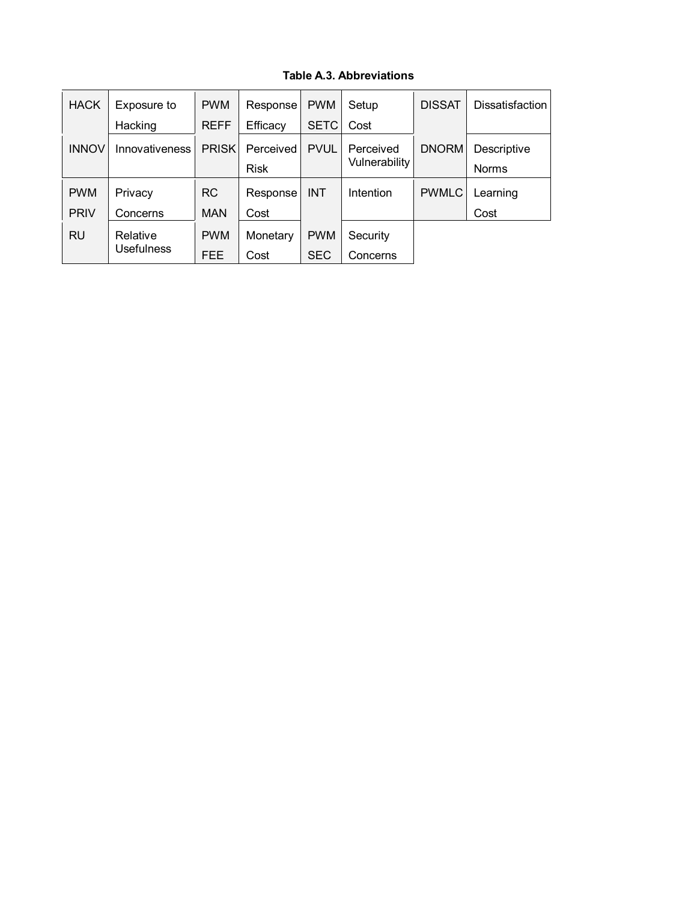## **Table A.3. Abbreviations**

| <b>HACK</b>  | Exposure to    | <b>PWM</b>             | Response    | <b>PWM</b>  | Setup                      | <b>DISSAT</b> | Dissatisfaction |
|--------------|----------------|------------------------|-------------|-------------|----------------------------|---------------|-----------------|
|              | Hacking        | <b>REFF</b>            | Efficacy    | <b>SETC</b> | Cost                       |               |                 |
| <b>INNOV</b> | Innovativeness | <b>PRISK</b>           | Perceived   | <b>PVUL</b> | Perceived<br>Vulnerability | <b>DNORM</b>  | Descriptive     |
|              |                |                        | <b>Risk</b> |             |                            |               | Norms           |
| <b>PWM</b>   | Privacy        | RC.                    | Response    | <b>INT</b>  | Intention                  | <b>PWMLC</b>  | Learning        |
| <b>PRIV</b>  | Concerns       | <b>MAN</b>             | Cost        |             |                            |               | Cost            |
| <b>RU</b>    | Relative       | <b>PWM</b><br>Monetary |             | <b>PWM</b>  | Security                   |               |                 |
|              | Usefulness     | FEE.                   | Cost        | <b>SEC</b>  | Concerns                   |               |                 |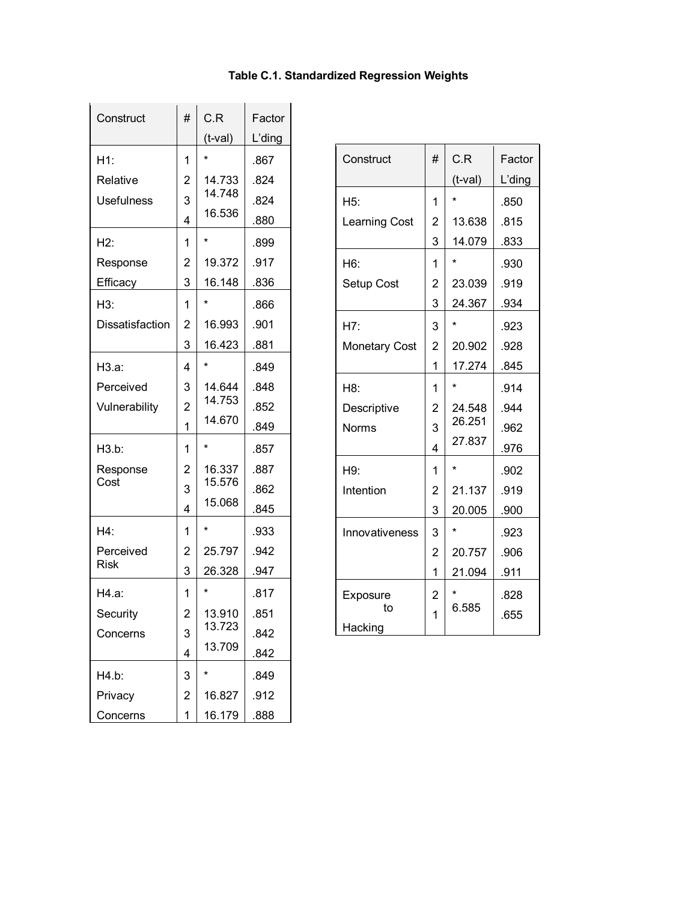# **Table C.1. Standardized Regression Weights**

| Construct         | #              | C.R        | Factor |
|-------------------|----------------|------------|--------|
|                   |                | $(t$ -val) | L'ding |
| H1:               | 1              | $\star$    | .867   |
| Relative          | 2              | 14.733     | .824   |
| <b>Usefulness</b> | 3              | 14.748     | .824   |
|                   | 4              | 16.536     | .880   |
| H2:               | 1              | $\star$    | .899   |
| Response          | 2              | 19.372     | .917   |
| Efficacy          | 3              | 16.148     | .836   |
| H3:               | 1              | $\star$    | .866   |
| Dissatisfaction   | $\overline{2}$ | 16.993     | .901   |
|                   | 3              | 16.423     | .881   |
| H3.a:             | 4              | $^\star$   | .849   |
| Perceived         | 3              | 14.644     | .848   |
| Vulnerability     | $\overline{2}$ | 14.753     | .852   |
|                   | 1              | 14.670     | .849   |
| H3.b:             | 1              | *          | .857   |
| Response          | $\overline{c}$ | 16.337     | .887   |
| Cost              | 3              | 15.576     | .862   |
|                   | 4              | 15.068     | .845   |
| H4:               | 1              | $^\star$   | .933   |
| Perceived         | 2              | 25.797     | .942   |
| <b>Risk</b>       | 3              | 26.328     | .947   |
| H4.a:             | 1              | $\star$    | .817   |
| Security          | $\overline{c}$ | 13.910     | .851   |
| Concerns          | 3              | 13.723     | .842   |
|                   | 4              | 13.709     | .842   |
| H4.b:             | 3              | *          | .849   |
| Privacy           | 2              | 16.827     | .912   |
| Concerns          | 1              | 16.179     | .888   |

| Construct            | #              | C.R              | Factor |
|----------------------|----------------|------------------|--------|
|                      |                | $(t$ -val)       | L'ding |
| H5:                  | 1              | $\star$          | .850   |
| <b>Learning Cost</b> | $\overline{c}$ | 13.638           | .815   |
|                      | 3              | 14.079           | .833   |
| H6:                  | 1              | $\star$          | .930   |
| Setup Cost           | $\overline{c}$ | 23.039           | .919   |
|                      | 3              | 24.367           | .934   |
| H7:                  | 3              | $\ast$           | .923   |
| <b>Monetary Cost</b> | $\overline{2}$ | 20.902           | .928   |
|                      | 1              | 17.274           | .845   |
| H8:                  | 1              | $\star$          | .914   |
| Descriptive          | $\overline{c}$ | 24.548<br>26.251 | .944   |
| Norms                | 3              |                  | .962   |
|                      | $\overline{4}$ | 27.837           | .976   |
| H9:                  | $\mathbf{1}$   | $\star$          | .902   |
| Intention            | $\overline{c}$ | 21.137           | .919   |
|                      | 3              | 20.005           | .900   |
| Innovativeness       | 3              | $\star$          | .923   |
|                      | $\overline{2}$ | 20.757           | .906   |
|                      | 1              | 21.094           | .911   |
| Exposure             | $\overline{2}$ | $\star$          | .828   |
| to                   | $\overline{1}$ | 6.585            | .655   |
| Hacking              |                |                  |        |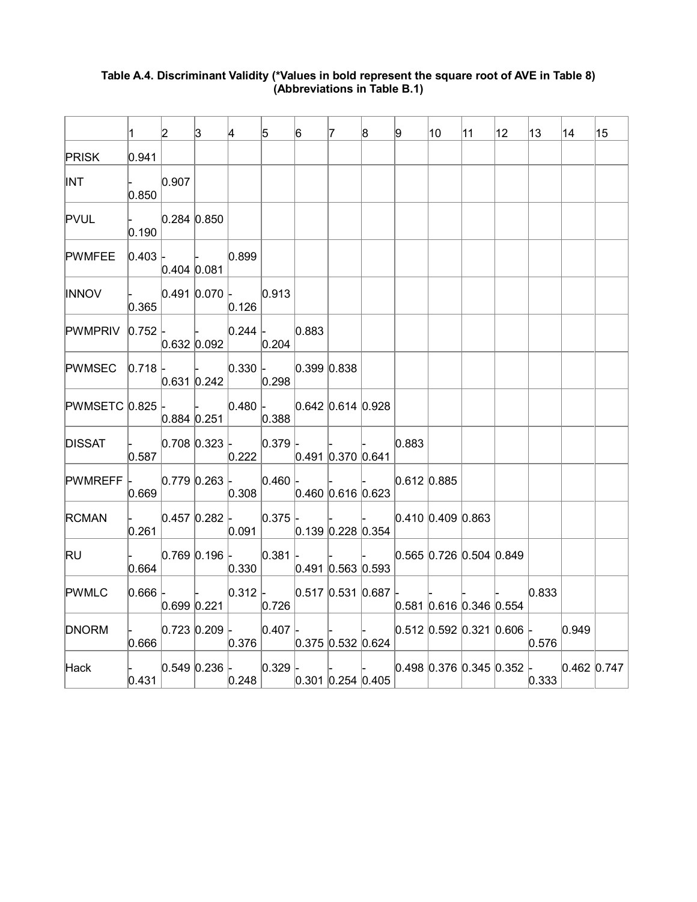|                                             | 1.           | $\vert$ 2                      | 3                                   | 4                                                                                                                                                                                                  | 5 | 6           | $\vert 7 \vert$ | 8                   | 9             | 10                                                                                                                                                                                                                                                                                                                                                                                                                                                                                                                                                                                  | 11 | $ 12\rangle$ | 13    | 14 | 15                                                                                        |
|---------------------------------------------|--------------|--------------------------------|-------------------------------------|----------------------------------------------------------------------------------------------------------------------------------------------------------------------------------------------------|---|-------------|-----------------|---------------------|---------------|-------------------------------------------------------------------------------------------------------------------------------------------------------------------------------------------------------------------------------------------------------------------------------------------------------------------------------------------------------------------------------------------------------------------------------------------------------------------------------------------------------------------------------------------------------------------------------------|----|--------------|-------|----|-------------------------------------------------------------------------------------------|
| <b>PRISK</b>                                | 0.941        |                                |                                     |                                                                                                                                                                                                    |   |             |                 |                     |               |                                                                                                                                                                                                                                                                                                                                                                                                                                                                                                                                                                                     |    |              |       |    |                                                                                           |
| <b>INT</b>                                  | 0.850        | 0.907                          |                                     |                                                                                                                                                                                                    |   |             |                 |                     |               |                                                                                                                                                                                                                                                                                                                                                                                                                                                                                                                                                                                     |    |              |       |    |                                                                                           |
| <b>PVUL</b>                                 | - 1<br>0.190 | 0.284 0.850                    |                                     |                                                                                                                                                                                                    |   |             |                 |                     |               |                                                                                                                                                                                                                                                                                                                                                                                                                                                                                                                                                                                     |    |              |       |    |                                                                                           |
| PWMFEE                                      |              | $ 0.403 $ -<br>$0.404$ $0.081$ |                                     | 0.899                                                                                                                                                                                              |   |             |                 |                     |               |                                                                                                                                                                                                                                                                                                                                                                                                                                                                                                                                                                                     |    |              |       |    |                                                                                           |
| <b>INNOV</b>                                | 0.365        |                                |                                     | $ 0.491 0.070 $ $ 0.913 $<br>0.126                                                                                                                                                                 |   |             |                 |                     |               |                                                                                                                                                                                                                                                                                                                                                                                                                                                                                                                                                                                     |    |              |       |    |                                                                                           |
| $ $ PWMPRIV $ 0.752 $ -                     |              |                                |                                     | 0.244 <br>$ 0.632 0.092 $ $ 0.204 $                                                                                                                                                                |   | 0.883       |                 |                     |               |                                                                                                                                                                                                                                                                                                                                                                                                                                                                                                                                                                                     |    |              |       |    |                                                                                           |
| $PWMSEC \vert 0.718 \vert$                  |              |                                |                                     | $ 0.330 $ -<br>$ 0.631 0.242 $ 0.298                                                                                                                                                               |   | 0.399 0.838 |                 |                     |               |                                                                                                                                                                                                                                                                                                                                                                                                                                                                                                                                                                                     |    |              |       |    |                                                                                           |
| PWMSETC $0.825$ .                           |              |                                |                                     | $\vert - \vert 0.480 \vert - \vert 0.642 \vert 0.614 \vert 0.928 \vert$<br>$ 0.884 0.251 $ $ 0.388 $                                                                                               |   |             |                 |                     |               |                                                                                                                                                                                                                                                                                                                                                                                                                                                                                                                                                                                     |    |              |       |    |                                                                                           |
| <b>DISSAT</b>                               |              |                                |                                     | $\begin{array}{ c c c c c c } \hline \text{~~ & 0.708 & 0.323 & \ & & 0.379 & \ \hline \end{array}$<br>$\vert 0.587 \vert$ $\vert$ $\vert 0.222 \vert$ $\vert 0.491 \vert 0.370 \vert 0.641 \vert$ |   |             |                 |                     | 0.883         |                                                                                                                                                                                                                                                                                                                                                                                                                                                                                                                                                                                     |    |              |       |    |                                                                                           |
| $ {\sf PWMREFF} $ $ 0.779 0.263 $ $ 0.460 $ | 0.669        |                                |                                     | 0.308                                                                                                                                                                                              |   |             |                 | 0.460 0.616 0.623   | $0.612$ 0.885 |                                                                                                                                                                                                                                                                                                                                                                                                                                                                                                                                                                                     |    |              |       |    |                                                                                           |
| <b>RCMAN</b>                                |              | $\vert 0.261 \vert$            |                                     | $ 0.091 $ $ 0.139 0.228 0.354 $                                                                                                                                                                    |   |             |                 |                     |               | $\begin{array}{ccc} \begin{array}{ccc} \end{array} & \begin{array}{ccc} \end{array} & \begin{array}{ccc} \end{array} & \begin{array}{ccc} \end{array} & \begin{array}{ccc} \end{array} & \begin{array}{ccc} \end{array} & \begin{array}{ccc} \end{array} & \begin{array}{ccc} \end{array} & \begin{array}{ccc} \end{array} & \begin{array}{ccc} \end{array} & \begin{array}{ccc} \end{array} & \begin{array}{ccc} \end{array} & \begin{array}{ccc} \end{array} & \begin{array}{ccc} \end{array} & \begin{array}{ccc} \end{array} & \begin{array}{ccc} \end{array} & \begin{array}{$ |    |              |       |    |                                                                                           |
| <b>RU</b>                                   | 0.664        |                                |                                     | $ 0.769 0.196 $ $ 0.381 $<br>$ 0.330 $ $ 0.491 0.563 0.593 $                                                                                                                                       |   |             |                 |                     |               | $0.565$ 0.726 0.504 0.849                                                                                                                                                                                                                                                                                                                                                                                                                                                                                                                                                           |    |              |       |    |                                                                                           |
| <b>PWMLC</b>                                | $0.666$ -    |                                | and the contract of the contract of | $ 0.312 $ - $ 0.517 0.531 0.687 $ -<br>$ 0.699 0.221 $ $ 0.726 $                                                                                                                                   |   |             |                 |                     |               | $0.581$ 0.616 0.346 0.554                                                                                                                                                                                                                                                                                                                                                                                                                                                                                                                                                           |    |              | 0.833 |    |                                                                                           |
| <b>DNORM</b>                                | 0.666        |                                |                                     | $ 0.723 0.209 $ $ 0.407 $<br> 0.376                                                                                                                                                                |   |             |                 | $0.375$ 0.532 0.624 |               | $ 0.512 0.592 0.321 0.606 $ 0.949                                                                                                                                                                                                                                                                                                                                                                                                                                                                                                                                                   |    |              | 0.576 |    |                                                                                           |
| Hack                                        |              | $ 0.431 $                      |                                     | $\vert - \vert 0.549 \vert 0.236 \vert - \vert 0.329 \vert -$<br> 0.248                                                                                                                            |   |             |                 | $0.301$ 0.254 0.405 |               | and the contract of the contract of                                                                                                                                                                                                                                                                                                                                                                                                                                                                                                                                                 |    |              | 0.333 |    | -   $\vert$   $\vert$   $\vert$   0.498   0.376   0.345   0.352   $\vert$   0.462   0.747 |

## **Table A.4. Discriminant Validity (\*Values in bold represent the square root of AVE in Table 8) (Abbreviations in Table B.1)**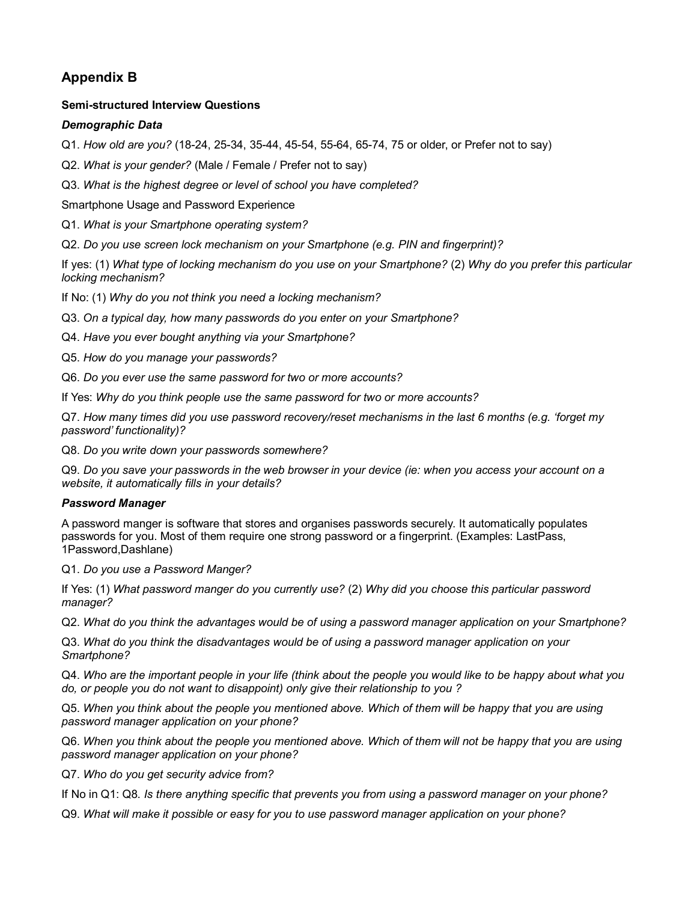# **Appendix B**

### **Semi-structured Interview Questions**

### *Demographic Data*

Q1. *How old are you?* (18-24, 25-34, 35-44, 45-54, 55-64, 65-74, 75 or older, or Prefer not to say)

Q2. *What is your gender?* (Male / Female / Prefer not to say)

Q3. *What is the highest degree or level of school you have completed?*

Smartphone Usage and Password Experience

Q1. *What is your Smartphone operating system?*

Q2. *Do you use screen lock mechanism on your Smartphone (e.g. PIN and fingerprint)?*

If yes: (1) *What type of locking mechanism do you use on your Smartphone?* (2) *Why do you prefer this particular locking mechanism?*

If No: (1) *Why do you not think you need a locking mechanism?*

Q3. *On a typical day, how many passwords do you enter on your Smartphone?*

Q4. *Have you ever bought anything via your Smartphone?*

Q5. *How do you manage your passwords?*

Q6. *Do you ever use the same password for two or more accounts?*

If Yes: *Why do you think people use the same password for two or more accounts?*

Q7. *How many times did you use password recovery/reset mechanisms in the last 6 months (e.g. 'forget my password' functionality)?*

Q8. *Do you write down your passwords somewhere?*

Q9. *Do you save your passwords in the web browser in your device (ie: when you access your account on a website, it automatically fills in your details?*

### *Password Manager*

A password manger is software that stores and organises passwords securely. It automatically populates passwords for you. Most of them require one strong password or a fingerprint. (Examples: LastPass, 1Password,Dashlane)

Q1. *Do you use a Password Manger?*

If Yes: (1) *What password manger do you currently use?* (2) *Why did you choose this particular password manager?*

Q2. *What do you think the advantages would be of using a password manager application on your Smartphone?*

Q3. *What do you think the disadvantages would be of using a password manager application on your Smartphone?*

Q4. *Who are the important people in your life (think about the people you would like to be happy about what you do, or people you do not want to disappoint) only give their relationship to you ?*

Q5. *When you think about the people you mentioned above. Which of them will be happy that you are using password manager application on your phone?*

Q6. *When you think about the people you mentioned above. Which of them will not be happy that you are using password manager application on your phone?*

Q7. *Who do you get security advice from?*

If No in Q1: Q8. *Is there anything specific that prevents you from using a password manager on your phone?*

Q9. *What will make it possible or easy for you to use password manager application on your phone?*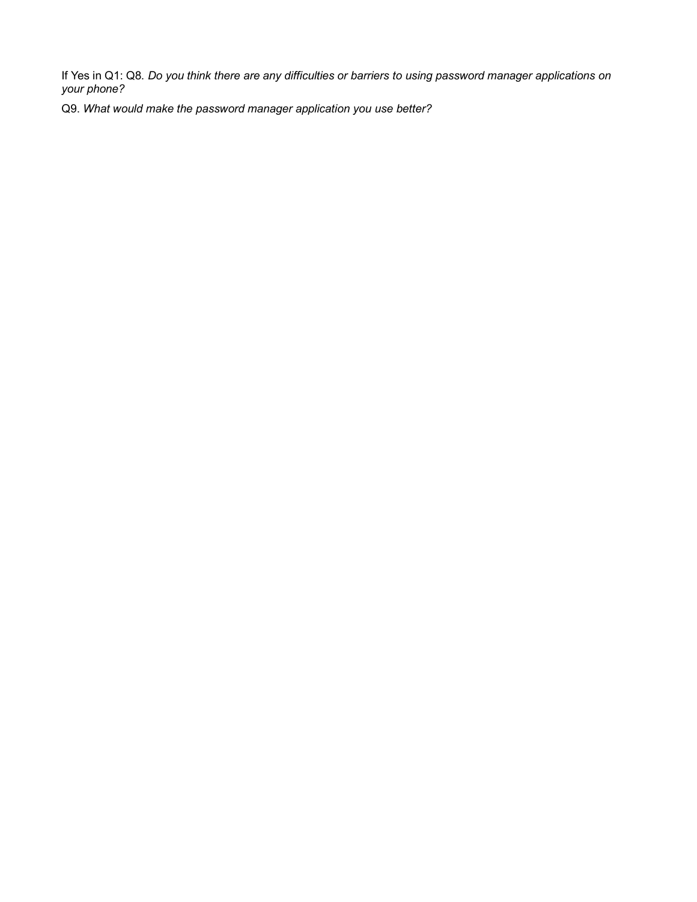If Yes in Q1: Q8. *Do you think there are any difficulties or barriers to using password manager applications on your phone?*

Q9. *What would make the password manager application you use better?*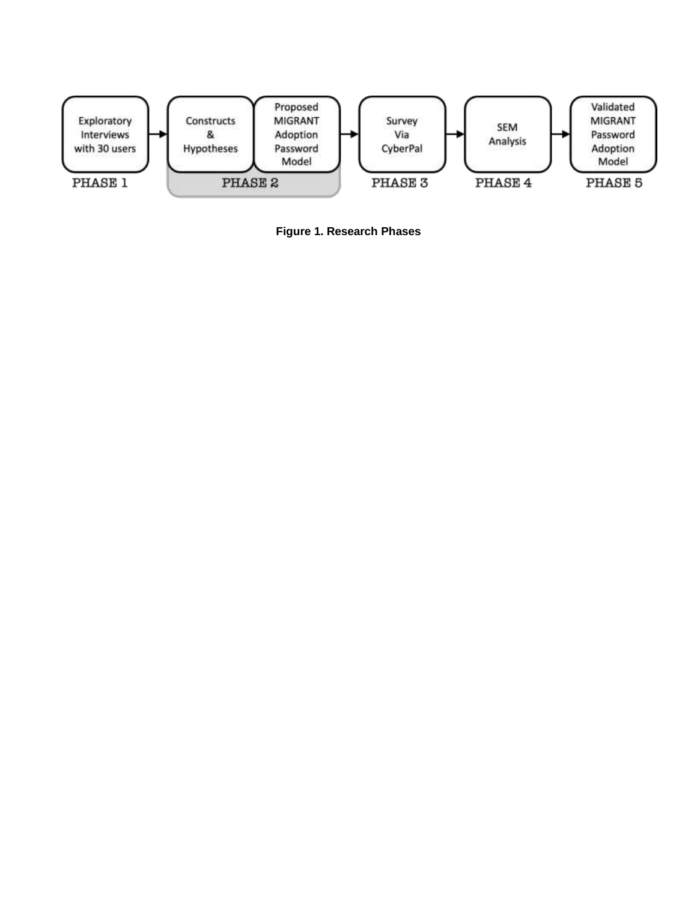

**Figure 1. Research Phases**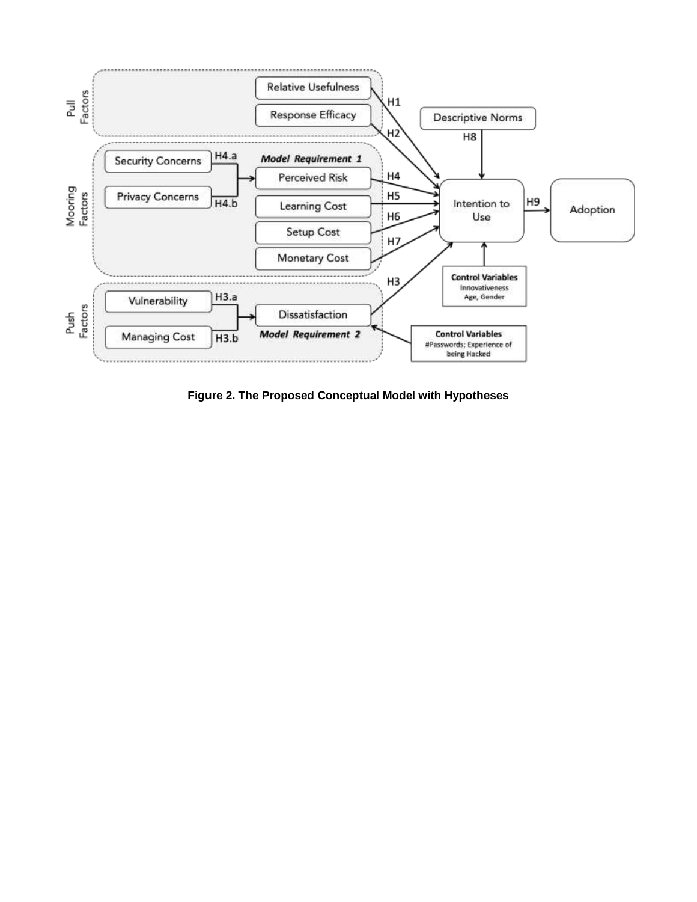

**Figure 2. The Proposed Conceptual Model with Hypotheses**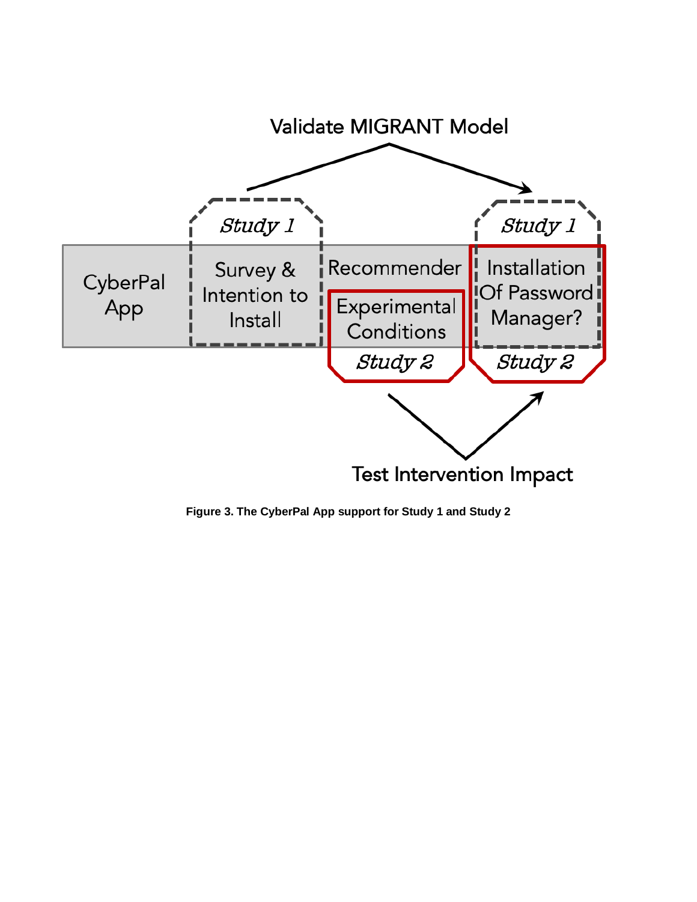

**Figure 3. The CyberPal App support for Study 1 and Study 2**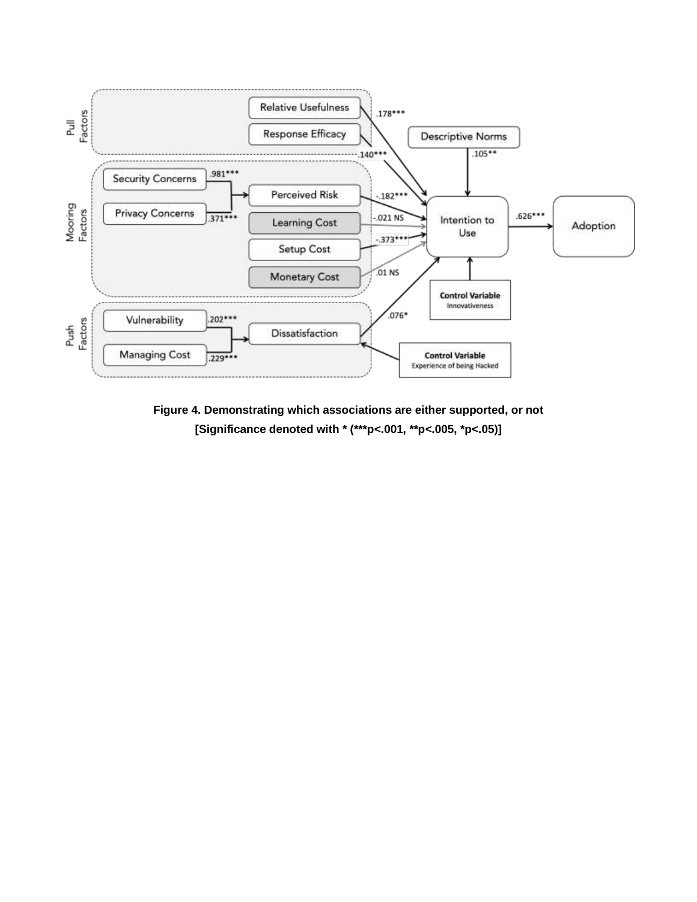

**Figure 4. Demonstrating which associations are either supported, or not [Significance denoted with \* (\*\*\*p***<***.001, \*\*p***<***.005, \*p***<***.05)]**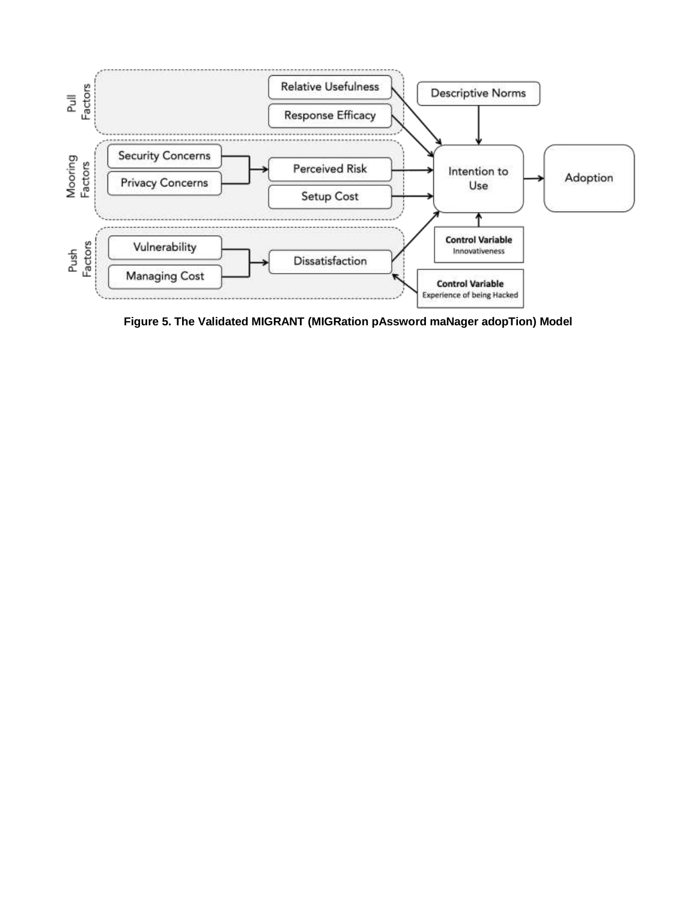

**Figure 5. The Validated MIGRANT (MIGRation pAssword maNager adopTion) Model**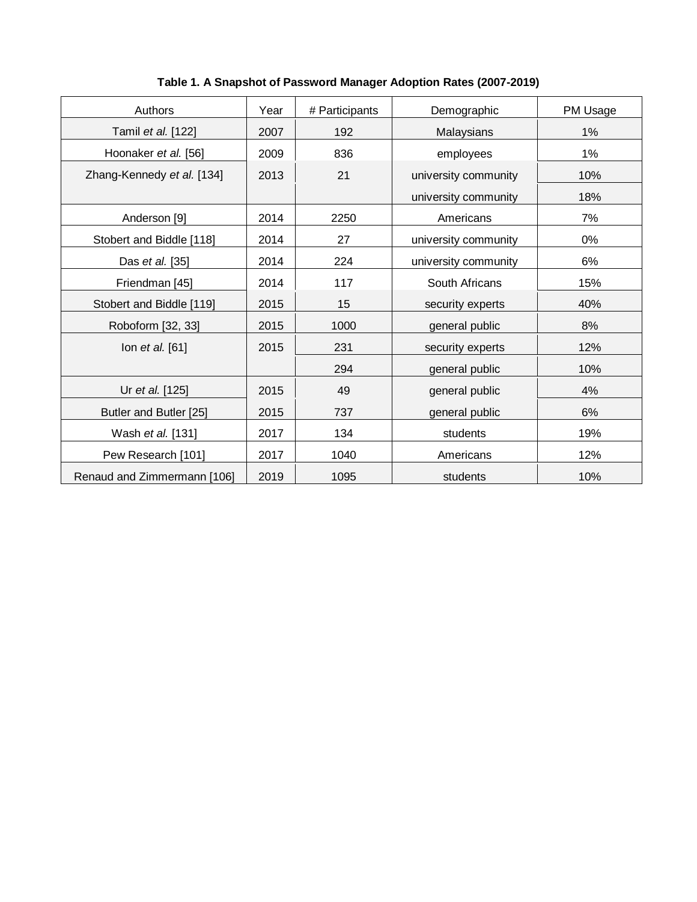| Authors                     | Year | # Participants | Demographic          | PM Usage |
|-----------------------------|------|----------------|----------------------|----------|
| Tamil et al. [122]          | 2007 | 192            | Malaysians           | 1%       |
| Hoonaker et al. [56]        | 2009 | 836            | employees            | 1%       |
| Zhang-Kennedy et al. [134]  | 2013 | 21             | university community | 10%      |
|                             |      |                | university community | 18%      |
| Anderson [9]                | 2014 | 2250           | Americans            | 7%       |
| Stobert and Biddle [118]    | 2014 | 27             | university community | 0%       |
| Das et al. [35]             | 2014 | 224            | university community | 6%       |
| Friendman [45]              | 2014 | 117            | South Africans       | 15%      |
| Stobert and Biddle [119]    | 2015 | 15             | security experts     | 40%      |
| Roboform [32, 33]           | 2015 | 1000           | general public       | 8%       |
| lon et al. [61]             | 2015 | 231            | security experts     | 12%      |
|                             |      | 294            | general public       | 10%      |
| Ur et al. [125]             | 2015 | 49             | general public       | 4%       |
| Butler and Butler [25]      | 2015 | 737            | general public       | 6%       |
| Wash et al. [131]           | 2017 | 134            | students             | 19%      |
| Pew Research [101]          | 2017 | 1040           | Americans            | 12%      |
| Renaud and Zimmermann [106] | 2019 | 1095           | students             | 10%      |

**Table 1. A Snapshot of Password Manager Adoption Rates (2007-2019)**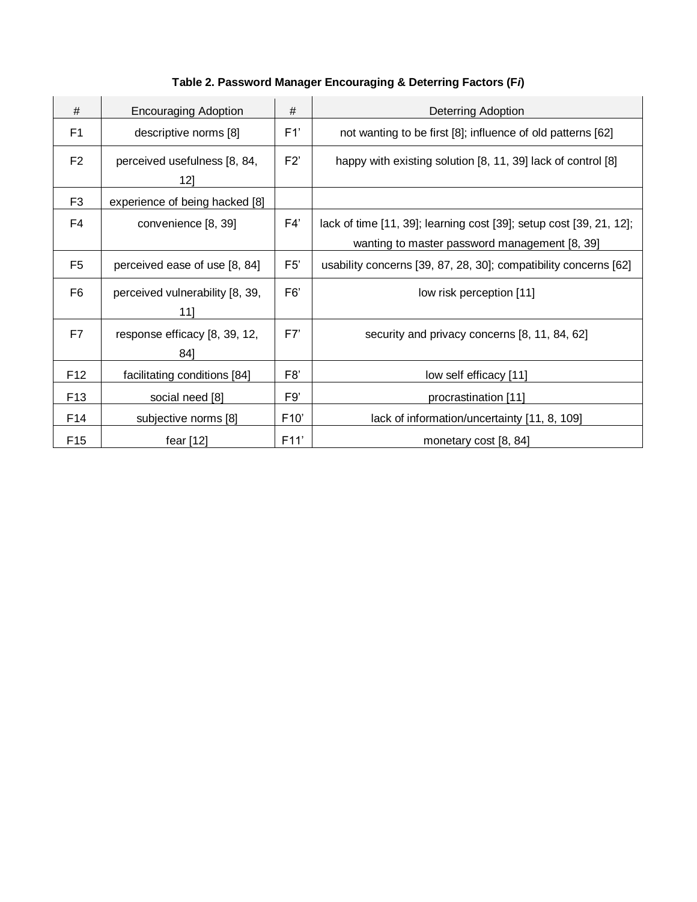# **Table 2. Password Manager Encouraging & Deterring Factors (F***i***)**

| #               | <b>Encouraging Adoption</b>            | #              | <b>Deterring Adoption</b>                                                                                            |
|-----------------|----------------------------------------|----------------|----------------------------------------------------------------------------------------------------------------------|
| F1              | descriptive norms [8]                  | F1'            | not wanting to be first [8]; influence of old patterns [62]                                                          |
| F <sub>2</sub>  | perceived usefulness [8, 84,<br>12]    | F2'            | happy with existing solution [8, 11, 39] lack of control [8]                                                         |
| F <sub>3</sub>  | experience of being hacked [8]         |                |                                                                                                                      |
| F <sub>4</sub>  | convenience [8, 39]                    | F4'            | lack of time [11, 39]; learning cost [39]; setup cost [39, 21, 12];<br>wanting to master password management [8, 39] |
| F <sub>5</sub>  | perceived ease of use [8, 84]          | F5'            | usability concerns [39, 87, 28, 30]; compatibility concerns [62]                                                     |
| F <sub>6</sub>  | perceived vulnerability [8, 39,<br>111 | F <sub>6</sub> | low risk perception [11]                                                                                             |
| F7              | response efficacy [8, 39, 12,<br>841   | F7'            | security and privacy concerns [8, 11, 84, 62]                                                                        |
| F <sub>12</sub> | facilitating conditions [84]           | F <sub>8</sub> | low self efficacy [11]                                                                                               |
| F <sub>13</sub> | social need [8]                        | F9'            | procrastination [11]                                                                                                 |
| F14             | subjective norms [8]                   | F10'           | lack of information/uncertainty [11, 8, 109]                                                                         |
| F <sub>15</sub> | fear $[12]$                            | F11'           | monetary cost [8, 84]                                                                                                |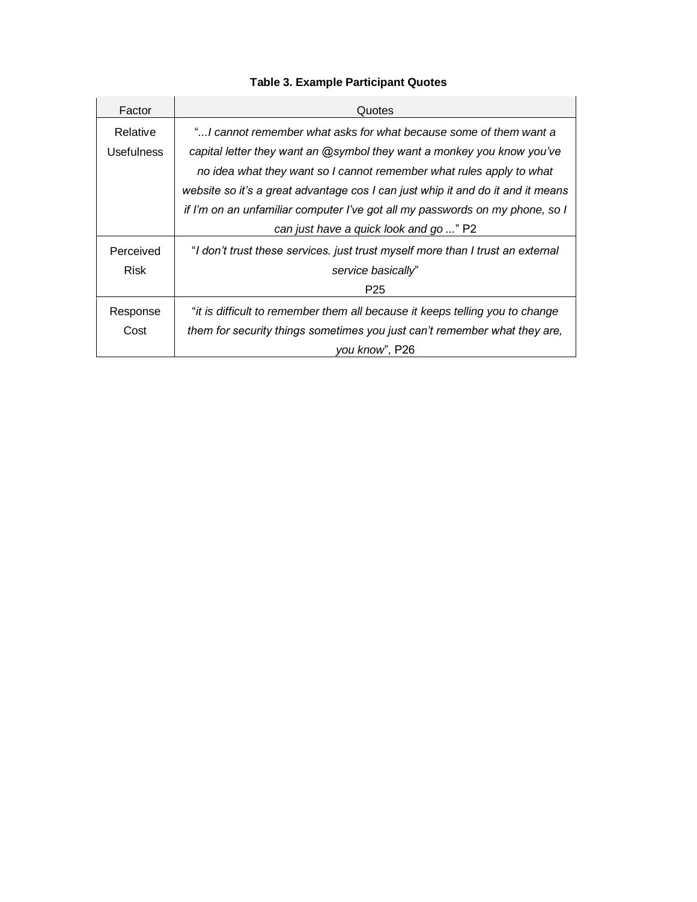# **Table 3. Example Participant Quotes**

| Factor            | Quotes                                                                          |
|-------------------|---------------------------------------------------------------------------------|
| Relative          | "I cannot remember what asks for what because some of them want a               |
| <b>Usefulness</b> | capital letter they want an @symbol they want a monkey you know you've          |
|                   | no idea what they want so I cannot remember what rules apply to what            |
|                   | website so it's a great advantage cos I can just whip it and do it and it means |
|                   | if I'm on an unfamiliar computer I've got all my passwords on my phone, so I    |
|                   | can just have a quick look and go " P2                                          |
| Perceived         | "I don't trust these services. just trust myself more than I trust an external  |
| Risk              | service basically"                                                              |
|                   | P <sub>25</sub>                                                                 |
| Response          | "it is difficult to remember them all because it keeps telling you to change    |
| Cost              | them for security things sometimes you just can't remember what they are,       |
|                   | you know", P26                                                                  |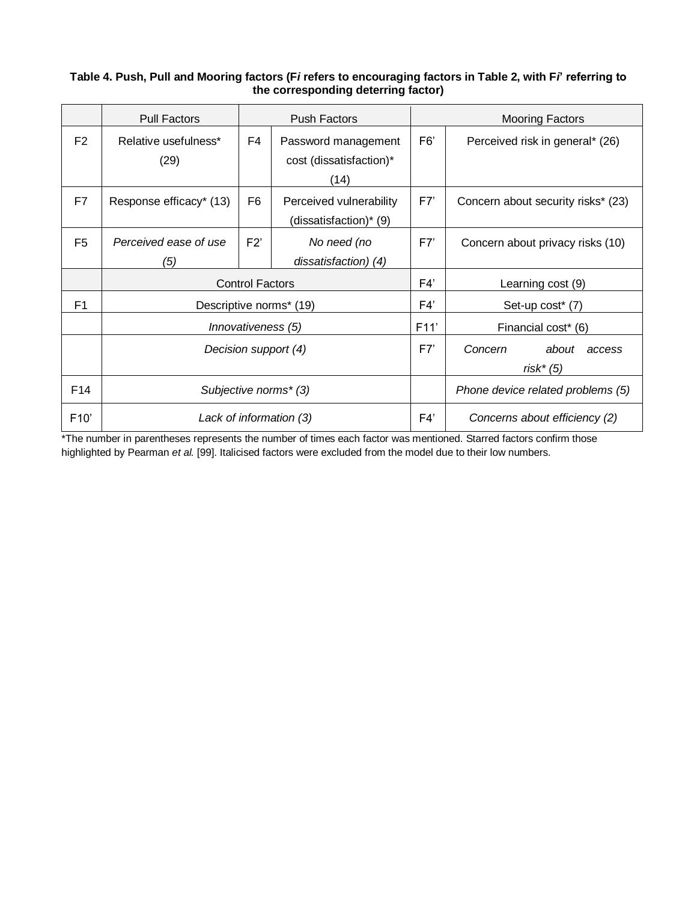# **Table 4. Push, Pull and Mooring factors (F***i* **refers to encouraging factors in Table 2, with F***i***' referring to the corresponding deterring factor)**

|                 | <b>Pull Factors</b>     |                        | <b>Push Factors</b>                               | <b>Mooring Factors</b>                    |                                    |  |  |  |
|-----------------|-------------------------|------------------------|---------------------------------------------------|-------------------------------------------|------------------------------------|--|--|--|
| F <sub>2</sub>  | Relative usefulness*    | F4                     | Password management                               | F <sub>6</sub>                            | Perceived risk in general* (26)    |  |  |  |
|                 | (29)                    |                        | cost (dissatisfaction)*<br>(14)                   |                                           |                                    |  |  |  |
| F7              | Response efficacy* (13) | F <sub>6</sub>         | Perceived vulnerability<br>(dissatisfaction)* (9) | F7'                                       | Concern about security risks* (23) |  |  |  |
| F <sub>5</sub>  | Perceived ease of use   | F2'                    | No need (no                                       | F7'                                       | Concern about privacy risks (10)   |  |  |  |
|                 | (5)                     |                        | dissatisfaction) (4)                              |                                           |                                    |  |  |  |
|                 |                         | <b>Control Factors</b> |                                                   | F4'                                       | Learning cost (9)                  |  |  |  |
| F1              |                         |                        | Descriptive norms* (19)                           | F4'                                       | Set-up cost* (7)                   |  |  |  |
|                 |                         | Innovativeness (5)     |                                                   | F11'                                      | Financial cost <sup>*</sup> (6)    |  |  |  |
|                 | Decision support (4)    |                        | F7'                                               | Concern<br>about<br>access<br>$risk^*(5)$ |                                    |  |  |  |
| F <sub>14</sub> | Subjective norms* (3)   |                        |                                                   | Phone device related problems (5)         |                                    |  |  |  |
| F10'            |                         |                        | Lack of information (3)                           | F4'                                       | Concerns about efficiency (2)      |  |  |  |

\*The number in parentheses represents the number of times each factor was mentioned. Starred factors confirm those highlighted by Pearman *et al.* [99]. Italicised factors were excluded from the model due to their low numbers.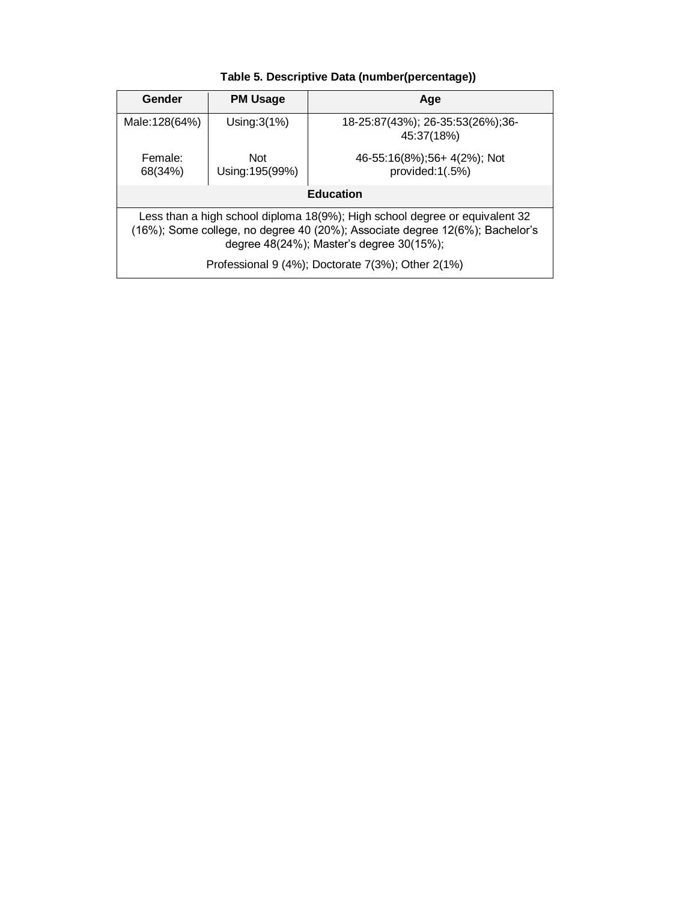# **Table 5. Descriptive Data (number(percentage))**

| Gender                                                                                                                                                                                                  | <b>PM Usage</b> | Age                                             |  |  |  |  |  |
|---------------------------------------------------------------------------------------------------------------------------------------------------------------------------------------------------------|-----------------|-------------------------------------------------|--|--|--|--|--|
| Male: 128(64%)                                                                                                                                                                                          | Using: $3(1%)$  | 18-25:87(43%); 26-35:53(26%); 36-<br>45:37(18%) |  |  |  |  |  |
| Female:<br>Not<br>Using: 195(99%)<br>68(34%)                                                                                                                                                            |                 | 46-55:16(8%);56+4(2%); Not<br>provided:1(.5%)   |  |  |  |  |  |
| <b>Education</b>                                                                                                                                                                                        |                 |                                                 |  |  |  |  |  |
| Less than a high school diploma 18(9%); High school degree or equivalent 32<br>(16%); Some college, no degree 40 (20%); Associate degree 12(6%); Bachelor's<br>degree 48(24%); Master's degree 30(15%); |                 |                                                 |  |  |  |  |  |
| Professional 9 (4%); Doctorate 7(3%); Other 2(1%)                                                                                                                                                       |                 |                                                 |  |  |  |  |  |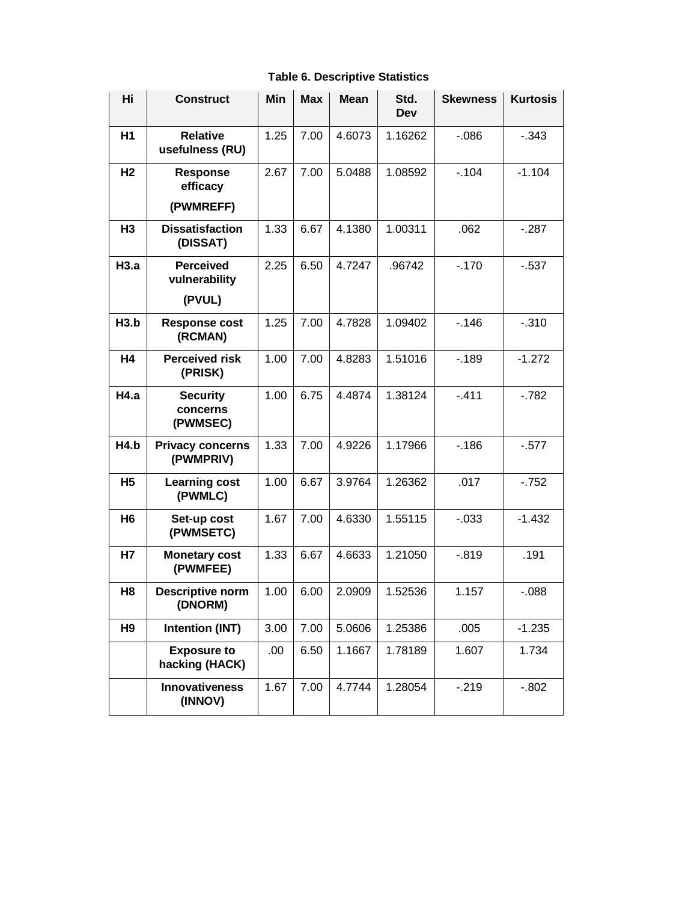**Table 6. Descriptive Statistics**

| Hi             | <b>Construct</b>                            | Min  | <b>Max</b> | <b>Mean</b> | Std.<br>Dev | <b>Skewness</b> | <b>Kurtosis</b> |
|----------------|---------------------------------------------|------|------------|-------------|-------------|-----------------|-----------------|
| H <sub>1</sub> | <b>Relative</b><br>usefulness (RU)          | 1.25 | 7.00       | 4.6073      | 1.16262     | $-0.086$        | $-0.343$        |
| H <sub>2</sub> | <b>Response</b><br>efficacy<br>(PWMREFF)    | 2.67 | 7.00       | 5.0488      | 1.08592     | $-104$          | $-1.104$        |
| H <sub>3</sub> | <b>Dissatisfaction</b><br>(DISSAT)          | 1.33 | 6.67       | 4.1380      | 1.00311     | .062            | $-287$          |
| H3.a           | <b>Perceived</b><br>vulnerability<br>(PVUL) | 2.25 | 6.50       | 4.7247      | .96742      | $-.170$         | $-537$          |
| H3.b           | <b>Response cost</b><br>(RCMAN)             | 1.25 | 7.00       | 4.7828      | 1.09402     | $-.146$         | $-0.310$        |
| <b>H4</b>      | <b>Perceived risk</b><br>(PRISK)            | 1.00 | 7.00       | 4.8283      | 1.51016     | $-189$          | $-1.272$        |
| H4.a           | <b>Security</b><br>concerns<br>(PWMSEC)     | 1.00 | 6.75       | 4.4874      | 1.38124     | $-411$          | $-782$          |
| H4.b           | <b>Privacy concerns</b><br>(PWMPRIV)        | 1.33 | 7.00       | 4.9226      | 1.17966     | $-186$          | $-0.577$        |
| <b>H5</b>      | <b>Learning cost</b><br>(PWMLC)             | 1.00 | 6.67       | 3.9764      | 1.26362     | .017            | $-752$          |
| H <sub>6</sub> | Set-up cost<br>(PWMSETC)                    | 1.67 | 7.00       | 4.6330      | 1.55115     | $-0.033$        | $-1.432$        |
| <b>H7</b>      | <b>Monetary cost</b><br>(PWMFEE)            | 1.33 | 6.67       | 4.6633      | 1.21050     | $-0.819$        | .191            |
| H <sub>8</sub> | <b>Descriptive norm</b><br>(DNORM)          | 1.00 | 6.00       | 2.0909      | 1.52536     | 1.157           | $-0.088$        |
| H <sub>9</sub> | <b>Intention (INT)</b>                      | 3.00 | 7.00       | 5.0606      | 1.25386     | .005            | $-1.235$        |
|                | <b>Exposure to</b><br>hacking (HACK)        | .00. | 6.50       | 1.1667      | 1.78189     | 1.607           | 1.734           |
|                | <b>Innovativeness</b><br>(INNOV)            | 1.67 | 7.00       | 4.7744      | 1.28054     | $-219$          | $-0.802$        |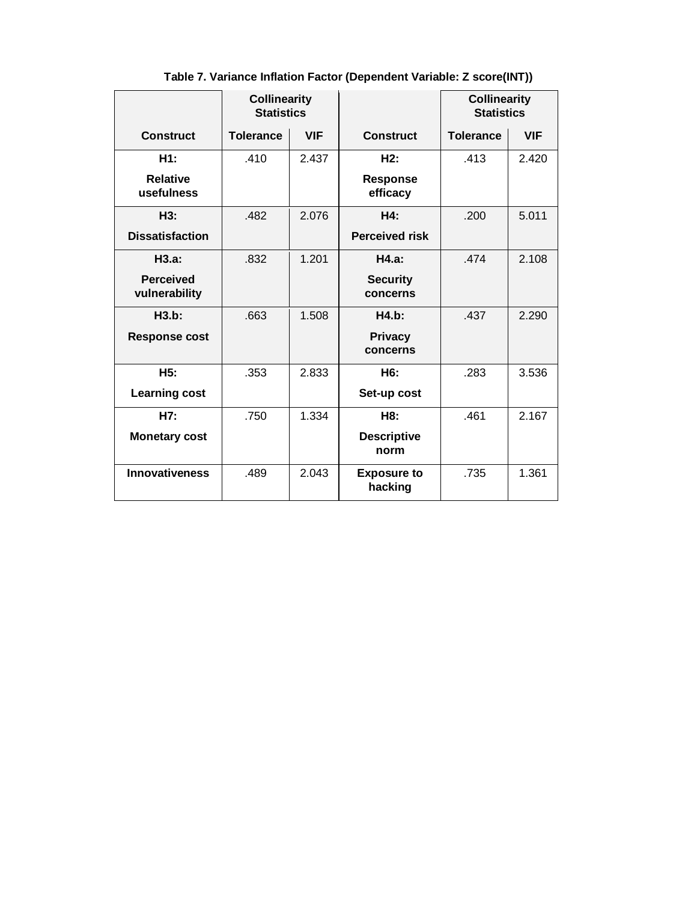|                                   | <b>Collinearity</b><br><b>Statistics</b> |            |                               | <b>Collinearity</b><br><b>Statistics</b> |            |
|-----------------------------------|------------------------------------------|------------|-------------------------------|------------------------------------------|------------|
| <b>Construct</b>                  | <b>Tolerance</b>                         | <b>VIF</b> | <b>Construct</b>              | <b>Tolerance</b>                         | <b>VIF</b> |
| H1:                               | .410                                     | 2.437      | H2:                           | .413                                     | 2.420      |
| <b>Relative</b><br>usefulness     |                                          |            | <b>Response</b><br>efficacy   |                                          |            |
| H3:                               | .482                                     | 2.076      | H4:                           | .200                                     | 5.011      |
| <b>Dissatisfaction</b>            |                                          |            | <b>Perceived risk</b>         |                                          |            |
| H3.a:                             | .832                                     | 1.201      | H4.a:                         | .474                                     | 2.108      |
| <b>Perceived</b><br>vulnerability |                                          |            | <b>Security</b><br>concerns   |                                          |            |
| H3.b:                             | .663                                     | 1.508      | H4.b:                         | .437                                     | 2.290      |
| <b>Response cost</b>              |                                          |            | <b>Privacy</b><br>concerns    |                                          |            |
| H5:                               | .353                                     | 2.833      | H6:                           | .283                                     | 3.536      |
| <b>Learning cost</b>              |                                          |            | Set-up cost                   |                                          |            |
| H7:                               | .750                                     | 1.334      | H8:                           | .461                                     | 2.167      |
| <b>Monetary cost</b>              |                                          |            | <b>Descriptive</b><br>norm    |                                          |            |
| <b>Innovativeness</b>             | .489                                     | 2.043      | <b>Exposure to</b><br>hacking | .735                                     | 1.361      |

**Table 7. Variance Inflation Factor (Dependent Variable: Z score(INT))**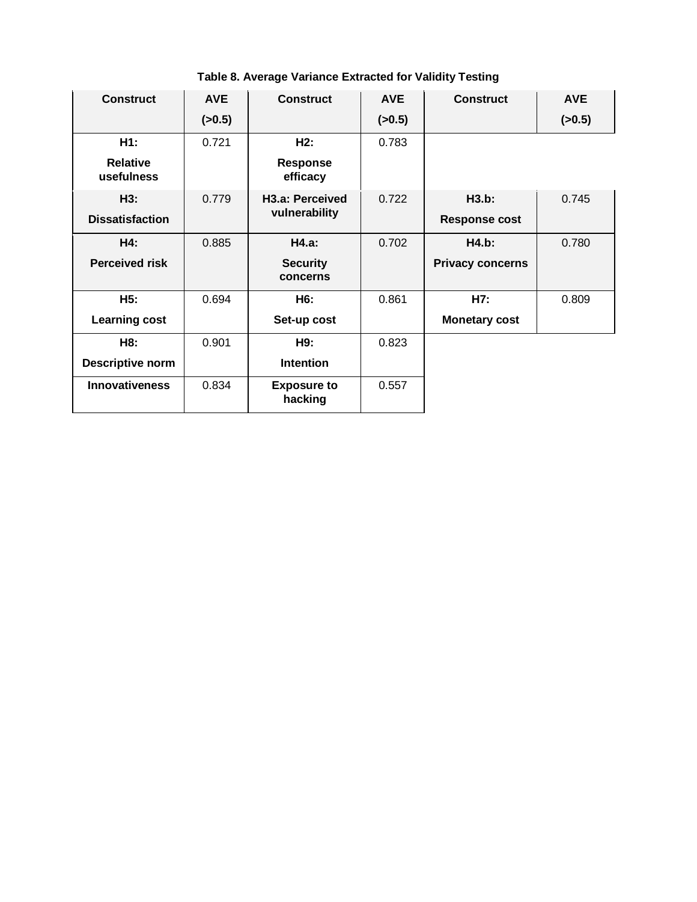| <b>Construct</b>              | <b>AVE</b> | <b>Construct</b>              | <b>AVE</b> | <b>Construct</b>        | <b>AVE</b> |
|-------------------------------|------------|-------------------------------|------------|-------------------------|------------|
|                               | (>0.5)     |                               | (>0.5)     |                         | (>0.5)     |
| H1:                           | 0.721      | H2:                           | 0.783      |                         |            |
| <b>Relative</b><br>usefulness |            | <b>Response</b><br>efficacy   |            |                         |            |
| H3:                           | 0.779      | H <sub>3.a</sub> : Perceived  | 0.722      | H3.b:                   | 0.745      |
| <b>Dissatisfaction</b>        |            | vulnerability                 |            | <b>Response cost</b>    |            |
| H4:                           | 0.885      | H4.a:                         | 0.702      | <b>H4.b:</b>            | 0.780      |
| <b>Perceived risk</b>         |            | <b>Security</b><br>concerns   |            | <b>Privacy concerns</b> |            |
| H5:                           | 0.694      | H6:                           | 0.861      | H7:                     | 0.809      |
| <b>Learning cost</b>          |            | Set-up cost                   |            | <b>Monetary cost</b>    |            |
| H8:                           | 0.901      | H9:                           | 0.823      |                         |            |
| <b>Descriptive norm</b>       |            | <b>Intention</b>              |            |                         |            |
| <b>Innovativeness</b>         | 0.834      | <b>Exposure to</b><br>hacking | 0.557      |                         |            |

**Table 8. Average Variance Extracted for Validity Testing**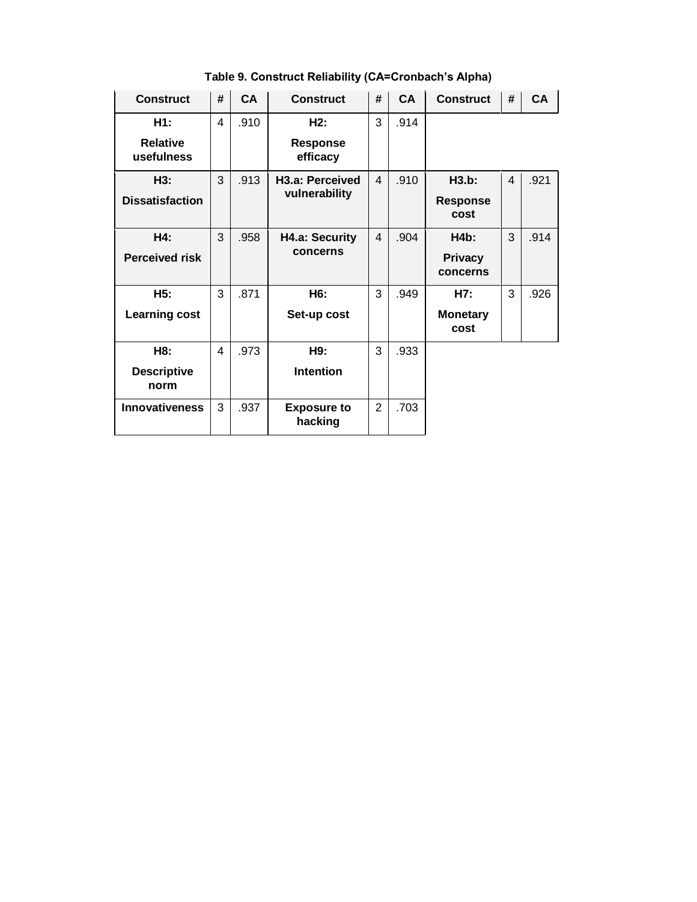| <b>Construct</b>              | # | <b>CA</b> | <b>Construct</b>              | # | <b>CA</b> | <b>Construct</b>           | #                        | <b>CA</b> |
|-------------------------------|---|-----------|-------------------------------|---|-----------|----------------------------|--------------------------|-----------|
| H1:                           | 4 | .910      | H2:                           | 3 | .914      |                            |                          |           |
| <b>Relative</b><br>usefulness |   |           | Response<br>efficacy          |   |           |                            |                          |           |
| H3:                           | 3 | .913      | H <sub>3.a</sub> : Perceived  | 4 | .910      | H3.b:                      | $\overline{\mathcal{A}}$ | .921      |
| <b>Dissatisfaction</b>        |   |           | vulnerability                 |   |           | <b>Response</b><br>cost    |                          |           |
| H4:                           | 3 | .958      | H4.a: Security                | 4 | .904      | H4b:                       | 3                        | .914      |
| <b>Perceived risk</b>         |   |           | concerns                      |   |           | <b>Privacy</b><br>concerns |                          |           |
| H5:                           | 3 | .871      | H6:                           | 3 | .949      | H7:                        | 3                        | .926      |
| <b>Learning cost</b>          |   |           | Set-up cost                   |   |           | <b>Monetary</b><br>cost    |                          |           |
| H8:                           | 4 | .973      | H9:                           | 3 | .933      |                            |                          |           |
| <b>Descriptive</b><br>norm    |   |           | <b>Intention</b>              |   |           |                            |                          |           |
| <b>Innovativeness</b>         | 3 | .937      | <b>Exposure to</b><br>hacking | 2 | .703      |                            |                          |           |

**Table 9. Construct Reliability (CA=Cronbach's Alpha)**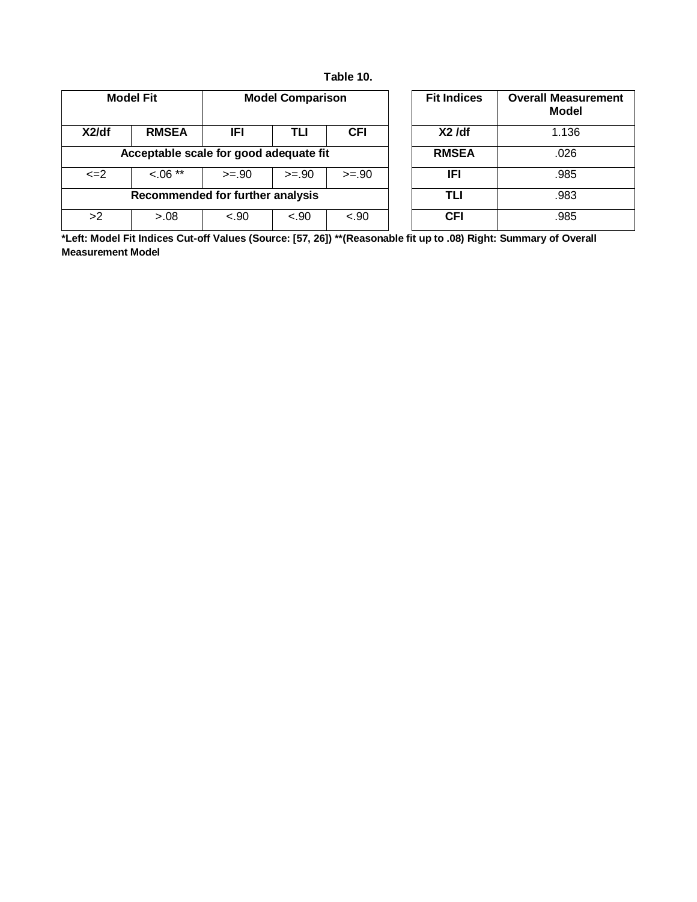| Table 10. |  |
|-----------|--|
|-----------|--|

|                                        | <b>Model Fit</b> |         | <b>Model Comparison</b> |            |  | <b>Fit Indices</b> | <b>Overall Measurement</b><br>Model |
|----------------------------------------|------------------|---------|-------------------------|------------|--|--------------------|-------------------------------------|
| X2/df                                  | <b>RMSEA</b>     | IFI     | TLI                     | <b>CFI</b> |  | $X2$ /df           | 1.136                               |
| Acceptable scale for good adequate fit |                  |         |                         |            |  | <b>RMSEA</b>       | .026                                |
| $\leq$ $=$ $2$                         | $0.06**$         | $>= 90$ | $>= 0.90$               | $>= 90$    |  | <b>IFI</b>         | .985                                |
| Recommended for further analysis       |                  |         |                         |            |  | TLI                | .983                                |
| >2                                     | > 0.08           | $-.90$  | $-.90$                  | $-.90$     |  | <b>CFI</b>         | .985                                |

| <b>Fit Indices</b> | <b>Overall Measurement</b><br><b>Model</b> |
|--------------------|--------------------------------------------|
| $X2$ /df           | 1.136                                      |
| <b>RMSEA</b>       | .026                                       |
| IFI                | .985                                       |
| TLI                | .983                                       |
| CFI                | .985                                       |

**\*Left: Model Fit Indices Cut-off Values (Source: [57, 26]) \*\*(Reasonable fit up to .08) Right: Summary of Overall Measurement Model**